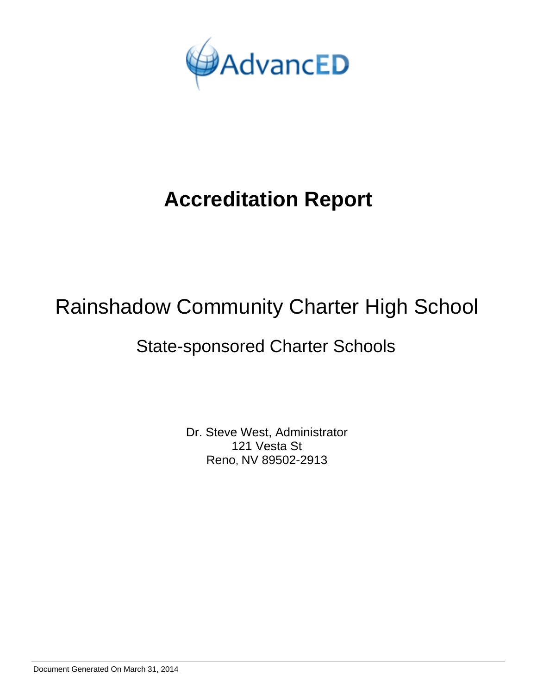

## Rainshadow Community Charter High School

## State-sponsored Charter Schools

Dr. Steve West, Administrator 121 Vesta St Reno, NV 89502-2913

Document Generated On March 31, 2014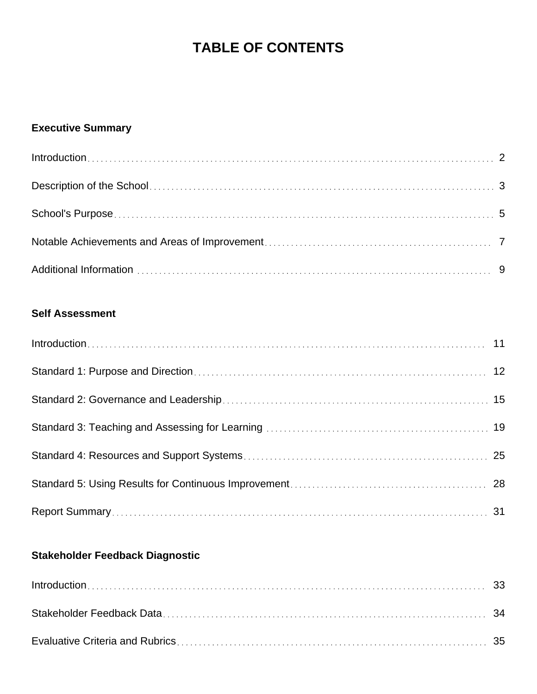## **TABLE OF CONTENTS**

## **Executive Summary**

## **Self Assessment**

## **Stakeholder Feedback Diagnostic**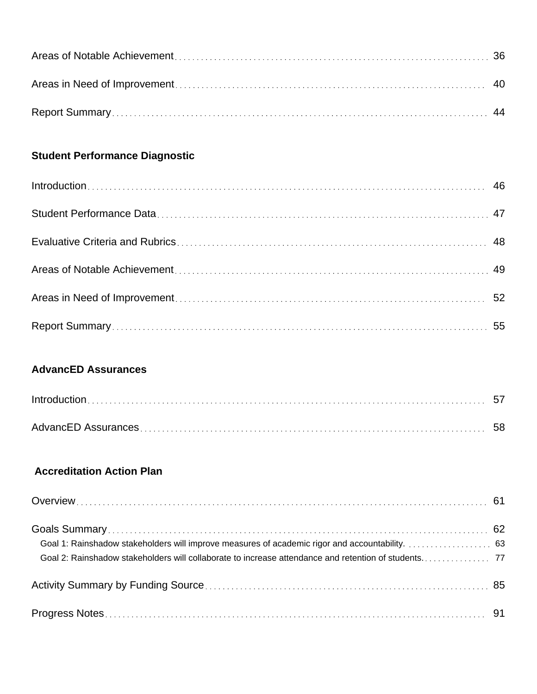## **Student Performance Diagnostic**

## **AdvancED Assurances**

## **Accreditation Action Plan**

| Goal 1: Rainshadow stakeholders will improve measures of academic rigor and accountability. 63 |  |
|------------------------------------------------------------------------------------------------|--|
|                                                                                                |  |
|                                                                                                |  |
|                                                                                                |  |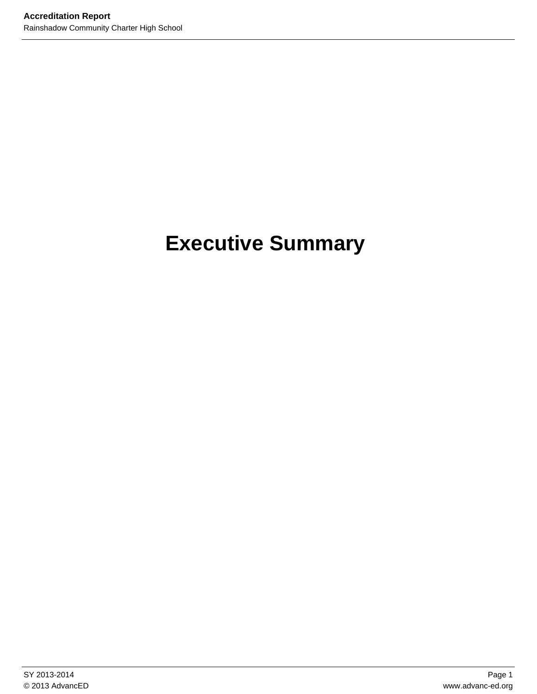# **Executive Summary**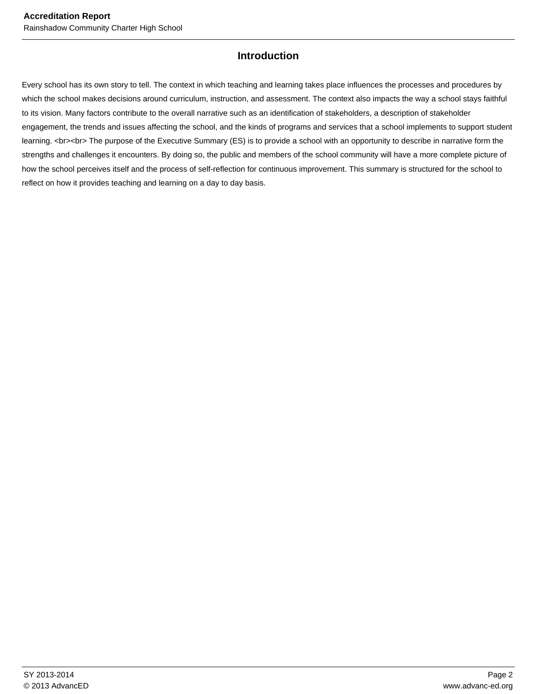### **Introduction**

Every school has its own story to tell. The context in which teaching and learning takes place influences the processes and procedures by which the school makes decisions around curriculum, instruction, and assessment. The context also impacts the way a school stays faithful to its vision. Many factors contribute to the overall narrative such as an identification of stakeholders, a description of stakeholder engagement, the trends and issues affecting the school, and the kinds of programs and services that a school implements to support student learning. <br><br> The purpose of the Executive Summary (ES) is to provide a school with an opportunity to describe in narrative form the strengths and challenges it encounters. By doing so, the public and members of the school community will have a more complete picture of how the school perceives itself and the process of self-reflection for continuous improvement. This summary is structured for the school to reflect on how it provides teaching and learning on a day to day basis.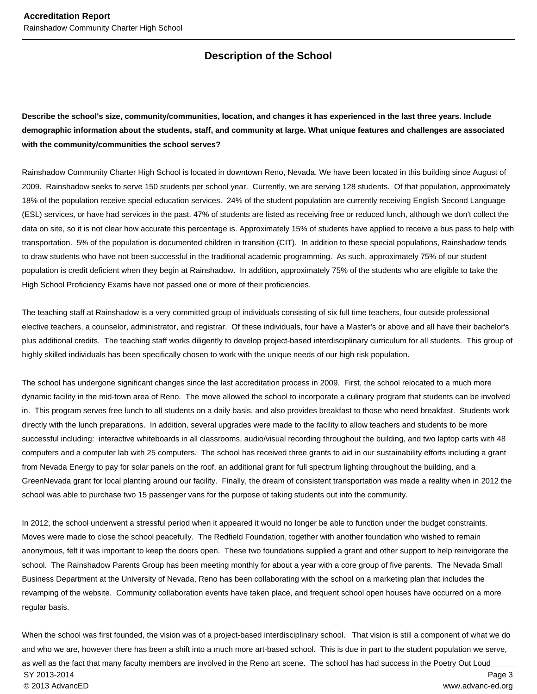## **Description of the School**

**Describe the school's size, community/communities, location, and changes it has experienced in the last three years. Include demographic information about the students, staff, and community at large. What unique features and challenges are associated with the community/communities the school serves?**

Rainshadow Community Charter High School is located in downtown Reno, Nevada. We have been located in this building since August of 2009. Rainshadow seeks to serve 150 students per school year. Currently, we are serving 128 students. Of that population, approximately 18% of the population receive special education services. 24% of the student population are currently receiving English Second Language (ESL) services, or have had services in the past. 47% of students are listed as receiving free or reduced lunch, although we don't collect the data on site, so it is not clear how accurate this percentage is. Approximately 15% of students have applied to receive a bus pass to help with transportation. 5% of the population is documented children in transition (CIT). In addition to these special populations, Rainshadow tends to draw students who have not been successful in the traditional academic programming. As such, approximately 75% of our student population is credit deficient when they begin at Rainshadow. In addition, approximately 75% of the students who are eligible to take the High School Proficiency Exams have not passed one or more of their proficiencies.

The teaching staff at Rainshadow is a very committed group of individuals consisting of six full time teachers, four outside professional elective teachers, a counselor, administrator, and registrar. Of these individuals, four have a Master's or above and all have their bachelor's plus additional credits. The teaching staff works diligently to develop project-based interdisciplinary curriculum for all students. This group of highly skilled individuals has been specifically chosen to work with the unique needs of our high risk population.

The school has undergone significant changes since the last accreditation process in 2009. First, the school relocated to a much more dynamic facility in the mid-town area of Reno. The move allowed the school to incorporate a culinary program that students can be involved in. This program serves free lunch to all students on a daily basis, and also provides breakfast to those who need breakfast. Students work directly with the lunch preparations. In addition, several upgrades were made to the facility to allow teachers and students to be more successful including: interactive whiteboards in all classrooms, audio/visual recording throughout the building, and two laptop carts with 48 computers and a computer lab with 25 computers. The school has received three grants to aid in our sustainability efforts including a grant from Nevada Energy to pay for solar panels on the roof, an additional grant for full spectrum lighting throughout the building, and a GreenNevada grant for local planting around our facility. Finally, the dream of consistent transportation was made a reality when in 2012 the school was able to purchase two 15 passenger vans for the purpose of taking students out into the community.

In 2012, the school underwent a stressful period when it appeared it would no longer be able to function under the budget constraints. Moves were made to close the school peacefully. The Redfield Foundation, together with another foundation who wished to remain anonymous, felt it was important to keep the doors open. These two foundations supplied a grant and other support to help reinvigorate the school. The Rainshadow Parents Group has been meeting monthly for about a year with a core group of five parents. The Nevada Small Business Department at the University of Nevada, Reno has been collaborating with the school on a marketing plan that includes the revamping of the website. Community collaboration events have taken place, and frequent school open houses have occurred on a more regular basis.

When the school was first founded, the vision was of a project-based interdisciplinary school. That vision is still a component of what we do and who we are, however there has been a shift into a much more art-based school. This is due in part to the student population we serve, as well as the fact that many faculty members are involved in the Reno art scene. The school has had success in the Poetry Out Loud SY 2013-2014 Page 3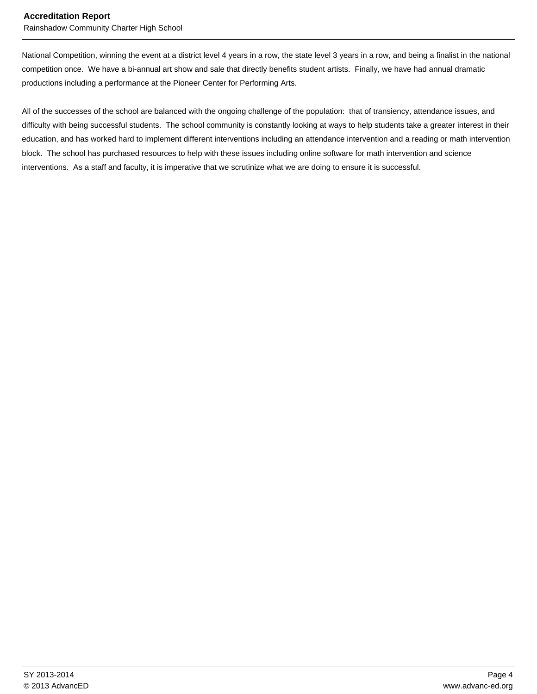Rainshadow Community Charter High School

National Competition, winning the event at a district level 4 years in a row, the state level 3 years in a row, and being a finalist in the national competition once. We have a bi-annual art show and sale that directly benefits student artists. Finally, we have had annual dramatic productions including a performance at the Pioneer Center for Performing Arts.

All of the successes of the school are balanced with the ongoing challenge of the population: that of transiency, attendance issues, and difficulty with being successful students. The school community is constantly looking at ways to help students take a greater interest in their education, and has worked hard to implement different interventions including an attendance intervention and a reading or math intervention block. The school has purchased resources to help with these issues including online software for math intervention and science interventions. As a staff and faculty, it is imperative that we scrutinize what we are doing to ensure it is successful.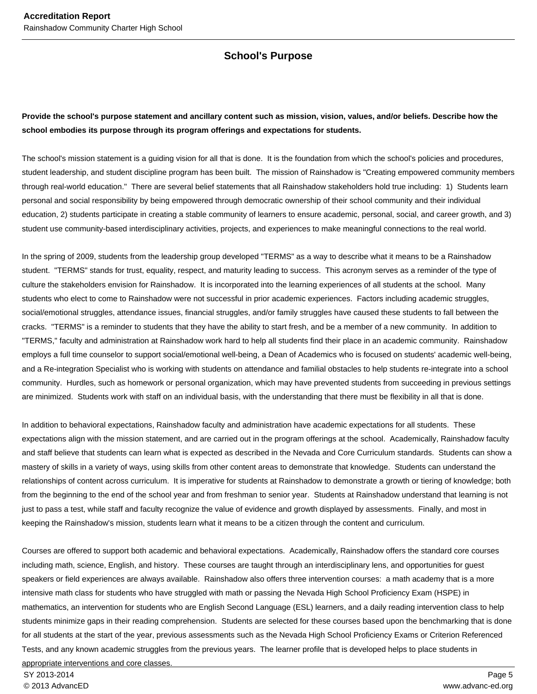### **School's Purpose**

#### **Provide the school's purpose statement and ancillary content such as mission, vision, values, and/or beliefs. Describe how the school embodies its purpose through its program offerings and expectations for students.**

The school's mission statement is a guiding vision for all that is done. It is the foundation from which the school's policies and procedures, student leadership, and student discipline program has been built. The mission of Rainshadow is "Creating empowered community members through real-world education." There are several belief statements that all Rainshadow stakeholders hold true including: 1) Students learn personal and social responsibility by being empowered through democratic ownership of their school community and their individual education, 2) students participate in creating a stable community of learners to ensure academic, personal, social, and career growth, and 3) student use community-based interdisciplinary activities, projects, and experiences to make meaningful connections to the real world.

In the spring of 2009, students from the leadership group developed "TERMS" as a way to describe what it means to be a Rainshadow student. "TERMS" stands for trust, equality, respect, and maturity leading to success. This acronym serves as a reminder of the type of culture the stakeholders envision for Rainshadow. It is incorporated into the learning experiences of all students at the school. Many students who elect to come to Rainshadow were not successful in prior academic experiences. Factors including academic struggles, social/emotional struggles, attendance issues, financial struggles, and/or family struggles have caused these students to fall between the cracks. "TERMS" is a reminder to students that they have the ability to start fresh, and be a member of a new community. In addition to "TERMS," faculty and administration at Rainshadow work hard to help all students find their place in an academic community. Rainshadow employs a full time counselor to support social/emotional well-being, a Dean of Academics who is focused on students' academic well-being, and a Re-integration Specialist who is working with students on attendance and familial obstacles to help students re-integrate into a school community. Hurdles, such as homework or personal organization, which may have prevented students from succeeding in previous settings are minimized. Students work with staff on an individual basis, with the understanding that there must be flexibility in all that is done.

In addition to behavioral expectations, Rainshadow faculty and administration have academic expectations for all students. These expectations align with the mission statement, and are carried out in the program offerings at the school. Academically, Rainshadow faculty and staff believe that students can learn what is expected as described in the Nevada and Core Curriculum standards. Students can show a mastery of skills in a variety of ways, using skills from other content areas to demonstrate that knowledge. Students can understand the relationships of content across curriculum. It is imperative for students at Rainshadow to demonstrate a growth or tiering of knowledge; both from the beginning to the end of the school year and from freshman to senior year. Students at Rainshadow understand that learning is not just to pass a test, while staff and faculty recognize the value of evidence and growth displayed by assessments. Finally, and most in keeping the Rainshadow's mission, students learn what it means to be a citizen through the content and curriculum.

Courses are offered to support both academic and behavioral expectations. Academically, Rainshadow offers the standard core courses including math, science, English, and history. These courses are taught through an interdisciplinary lens, and opportunities for guest speakers or field experiences are always available. Rainshadow also offers three intervention courses: a math academy that is a more intensive math class for students who have struggled with math or passing the Nevada High School Proficiency Exam (HSPE) in mathematics, an intervention for students who are English Second Language (ESL) learners, and a daily reading intervention class to help students minimize gaps in their reading comprehension. Students are selected for these courses based upon the benchmarking that is done for all students at the start of the year, previous assessments such as the Nevada High School Proficiency Exams or Criterion Referenced Tests, and any known academic struggles from the previous years. The learner profile that is developed helps to place students in appropriate interventions and core classes.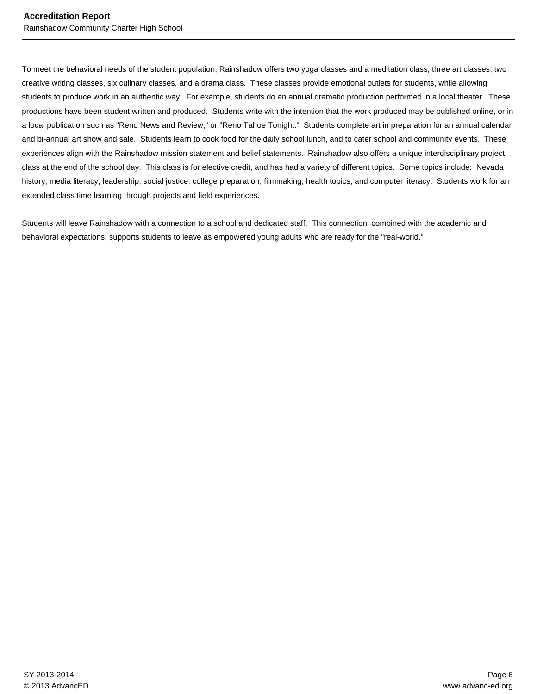To meet the behavioral needs of the student population, Rainshadow offers two yoga classes and a meditation class, three art classes, two creative writing classes, six culinary classes, and a drama class. These classes provide emotional outlets for students, while allowing students to produce work in an authentic way. For example, students do an annual dramatic production performed in a local theater. These productions have been student written and produced. Students write with the intention that the work produced may be published online, or in a local publication such as "Reno News and Review," or "Reno Tahoe Tonight." Students complete art in preparation for an annual calendar and bi-annual art show and sale. Students learn to cook food for the daily school lunch, and to cater school and community events. These experiences align with the Rainshadow mission statement and belief statements. Rainshadow also offers a unique interdisciplinary project class at the end of the school day. This class is for elective credit, and has had a variety of different topics. Some topics include: Nevada history, media literacy, leadership, social justice, college preparation, filmmaking, health topics, and computer literacy. Students work for an extended class time learning through projects and field experiences.

Students will leave Rainshadow with a connection to a school and dedicated staff. This connection, combined with the academic and behavioral expectations, supports students to leave as empowered young adults who are ready for the "real-world."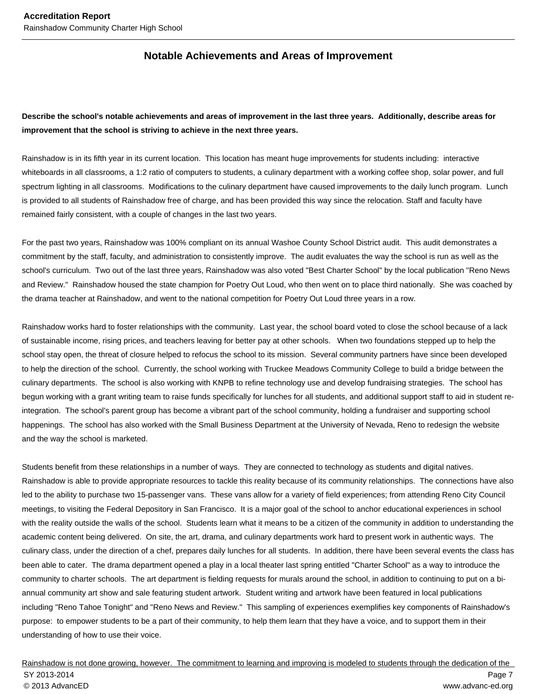#### **Notable Achievements and Areas of Improvement**

#### **Describe the school's notable achievements and areas of improvement in the last three years. Additionally, describe areas for improvement that the school is striving to achieve in the next three years.**

Rainshadow is in its fifth year in its current location. This location has meant huge improvements for students including: interactive whiteboards in all classrooms, a 1:2 ratio of computers to students, a culinary department with a working coffee shop, solar power, and full spectrum lighting in all classrooms. Modifications to the culinary department have caused improvements to the daily lunch program. Lunch is provided to all students of Rainshadow free of charge, and has been provided this way since the relocation. Staff and faculty have remained fairly consistent, with a couple of changes in the last two years.

For the past two years, Rainshadow was 100% compliant on its annual Washoe County School District audit. This audit demonstrates a commitment by the staff, faculty, and administration to consistently improve. The audit evaluates the way the school is run as well as the school's curriculum. Two out of the last three years, Rainshadow was also voted "Best Charter School" by the local publication "Reno News and Review." Rainshadow housed the state champion for Poetry Out Loud, who then went on to place third nationally. She was coached by the drama teacher at Rainshadow, and went to the national competition for Poetry Out Loud three years in a row.

Rainshadow works hard to foster relationships with the community. Last year, the school board voted to close the school because of a lack of sustainable income, rising prices, and teachers leaving for better pay at other schools. When two foundations stepped up to help the school stay open, the threat of closure helped to refocus the school to its mission. Several community partners have since been developed to help the direction of the school. Currently, the school working with Truckee Meadows Community College to build a bridge between the culinary departments. The school is also working with KNPB to refine technology use and develop fundraising strategies. The school has begun working with a grant writing team to raise funds specifically for lunches for all students, and additional support staff to aid in student reintegration. The school's parent group has become a vibrant part of the school community, holding a fundraiser and supporting school happenings. The school has also worked with the Small Business Department at the University of Nevada, Reno to redesign the website and the way the school is marketed.

Students benefit from these relationships in a number of ways. They are connected to technology as students and digital natives. Rainshadow is able to provide appropriate resources to tackle this reality because of its community relationships. The connections have also led to the ability to purchase two 15-passenger vans. These vans allow for a variety of field experiences; from attending Reno City Council meetings, to visiting the Federal Depository in San Francisco. It is a major goal of the school to anchor educational experiences in school with the reality outside the walls of the school. Students learn what it means to be a citizen of the community in addition to understanding the academic content being delivered. On site, the art, drama, and culinary departments work hard to present work in authentic ways. The culinary class, under the direction of a chef, prepares daily lunches for all students. In addition, there have been several events the class has been able to cater. The drama department opened a play in a local theater last spring entitled "Charter School" as a way to introduce the community to charter schools. The art department is fielding requests for murals around the school, in addition to continuing to put on a biannual community art show and sale featuring student artwork. Student writing and artwork have been featured in local publications including "Reno Tahoe Tonight" and "Reno News and Review." This sampling of experiences exemplifies key components of Rainshadow's purpose: to empower students to be a part of their community, to help them learn that they have a voice, and to support them in their understanding of how to use their voice.

#### Rainshadow is not done growing, however. The commitment to learning and improving is modeled to students through the dedication of the SY 2013-2014 Page 7 © 2013 AdvancED www.advanc-ed.org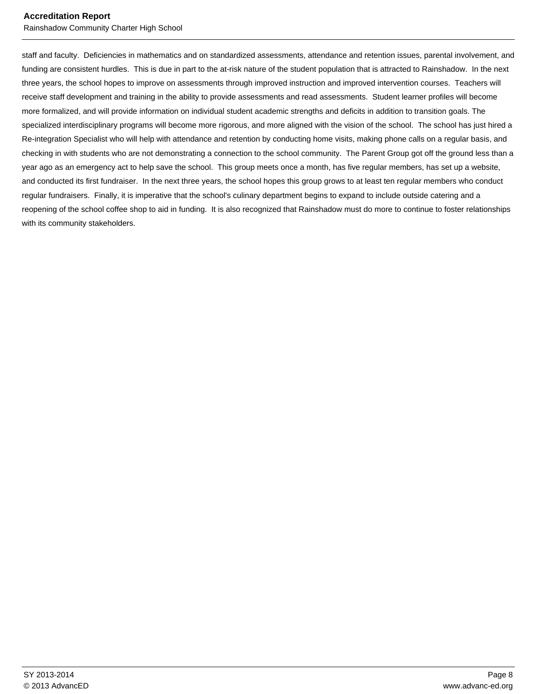Rainshadow Community Charter High School

staff and faculty. Deficiencies in mathematics and on standardized assessments, attendance and retention issues, parental involvement, and funding are consistent hurdles. This is due in part to the at-risk nature of the student population that is attracted to Rainshadow. In the next three years, the school hopes to improve on assessments through improved instruction and improved intervention courses. Teachers will receive staff development and training in the ability to provide assessments and read assessments. Student learner profiles will become more formalized, and will provide information on individual student academic strengths and deficits in addition to transition goals. The specialized interdisciplinary programs will become more rigorous, and more aligned with the vision of the school. The school has just hired a Re-integration Specialist who will help with attendance and retention by conducting home visits, making phone calls on a regular basis, and checking in with students who are not demonstrating a connection to the school community. The Parent Group got off the ground less than a year ago as an emergency act to help save the school. This group meets once a month, has five regular members, has set up a website, and conducted its first fundraiser. In the next three years, the school hopes this group grows to at least ten regular members who conduct regular fundraisers. Finally, it is imperative that the school's culinary department begins to expand to include outside catering and a reopening of the school coffee shop to aid in funding. It is also recognized that Rainshadow must do more to continue to foster relationships with its community stakeholders.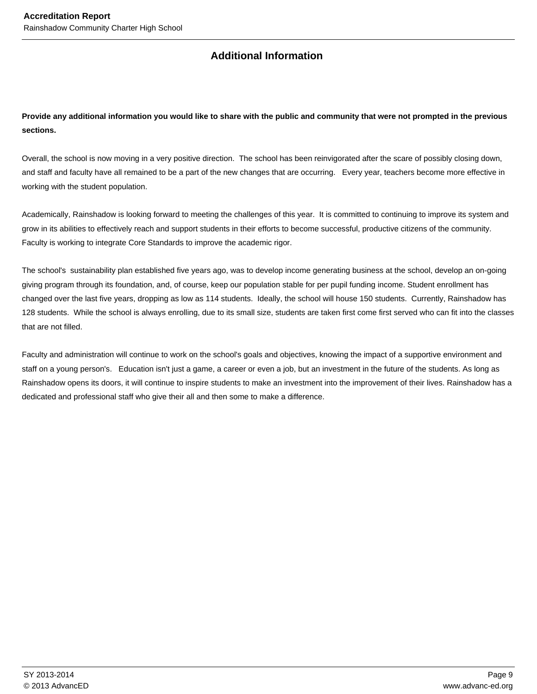## **Additional Information**

**Provide any additional information you would like to share with the public and community that were not prompted in the previous sections.**

Overall, the school is now moving in a very positive direction. The school has been reinvigorated after the scare of possibly closing down, and staff and faculty have all remained to be a part of the new changes that are occurring. Every year, teachers become more effective in working with the student population.

Academically, Rainshadow is looking forward to meeting the challenges of this year. It is committed to continuing to improve its system and grow in its abilities to effectively reach and support students in their efforts to become successful, productive citizens of the community. Faculty is working to integrate Core Standards to improve the academic rigor.

The school's sustainability plan established five years ago, was to develop income generating business at the school, develop an on-going giving program through its foundation, and, of course, keep our population stable for per pupil funding income. Student enrollment has changed over the last five years, dropping as low as 114 students. Ideally, the school will house 150 students. Currently, Rainshadow has 128 students. While the school is always enrolling, due to its small size, students are taken first come first served who can fit into the classes that are not filled.

Faculty and administration will continue to work on the school's goals and objectives, knowing the impact of a supportive environment and staff on a young person's. Education isn't just a game, a career or even a job, but an investment in the future of the students. As long as Rainshadow opens its doors, it will continue to inspire students to make an investment into the improvement of their lives. Rainshadow has a dedicated and professional staff who give their all and then some to make a difference.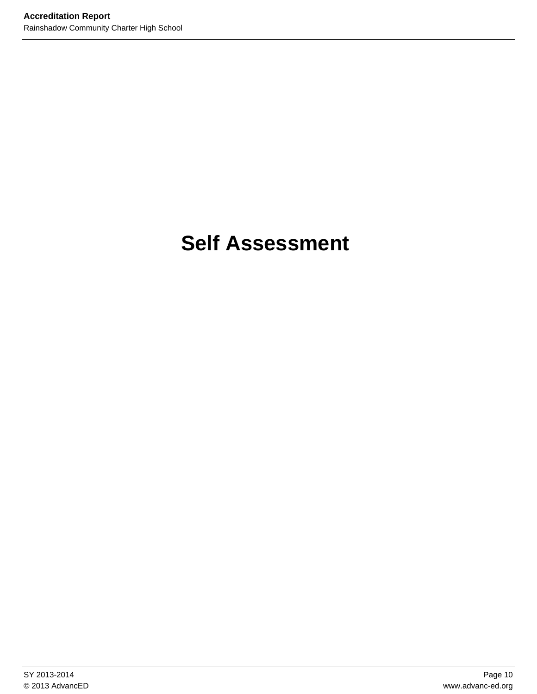## **Self Assessment**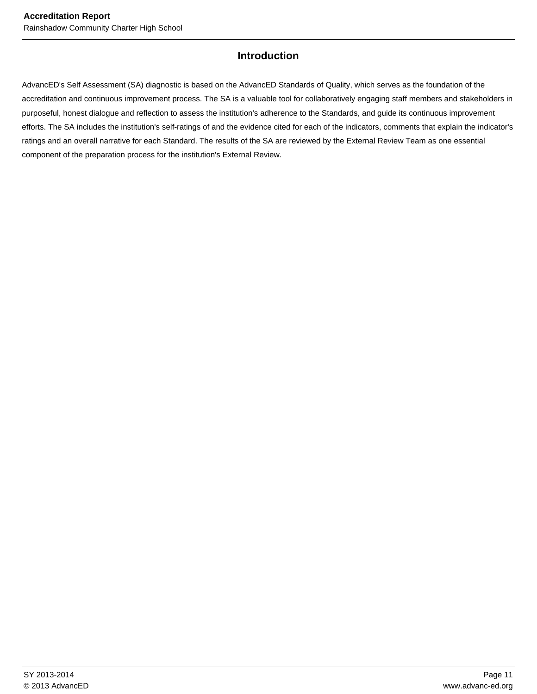#### **Introduction**

AdvancED's Self Assessment (SA) diagnostic is based on the AdvancED Standards of Quality, which serves as the foundation of the accreditation and continuous improvement process. The SA is a valuable tool for collaboratively engaging staff members and stakeholders in purposeful, honest dialogue and reflection to assess the institution's adherence to the Standards, and guide its continuous improvement efforts. The SA includes the institution's self-ratings of and the evidence cited for each of the indicators, comments that explain the indicator's ratings and an overall narrative for each Standard. The results of the SA are reviewed by the External Review Team as one essential component of the preparation process for the institution's External Review.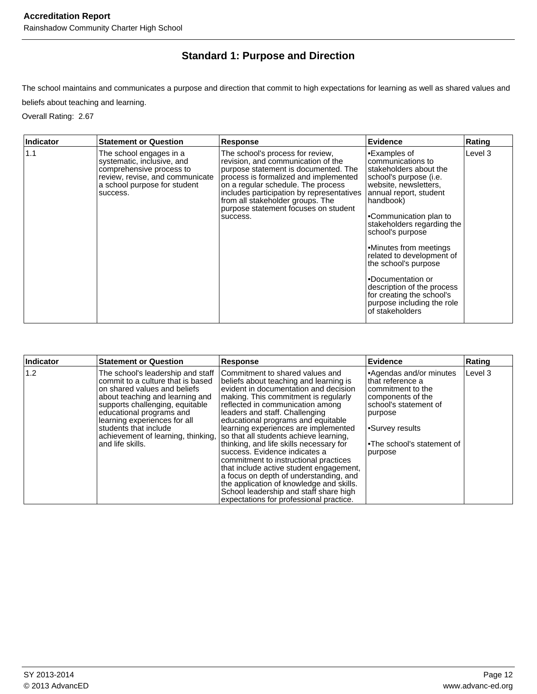## **Standard 1: Purpose and Direction**

The school maintains and communicates a purpose and direction that commit to high expectations for learning as well as shared values and beliefs about teaching and learning.

Overall Rating: 2.67

| <b>Indicator</b> | <b>Statement or Question</b>                                                                                                                                     | <b>Response</b>                                                                                                                                                                                                                                                                                                                    | <b>Evidence</b>                                                                                                                                                                                                                                                                                                                                                                                                                                   | Rating  |
|------------------|------------------------------------------------------------------------------------------------------------------------------------------------------------------|------------------------------------------------------------------------------------------------------------------------------------------------------------------------------------------------------------------------------------------------------------------------------------------------------------------------------------|---------------------------------------------------------------------------------------------------------------------------------------------------------------------------------------------------------------------------------------------------------------------------------------------------------------------------------------------------------------------------------------------------------------------------------------------------|---------|
| 1.1              | The school engages in a<br>systematic, inclusive, and<br>comprehensive process to<br>review, revise, and communicate<br>a school purpose for student<br>success. | The school's process for review.<br>revision, and communication of the<br>purpose statement is documented. The<br>process is formalized and implemented<br>on a regular schedule. The process<br>includes participation by representatives<br>from all stakeholder groups. The<br>purpose statement focuses on student<br>success. | •Examples of<br>communications to<br>stakeholders about the<br>school's purpose (i.e.<br>website, newsletters,<br>annual report, student<br>handbook)<br>•Communication plan to<br>stakeholders regarding the<br>school's purpose<br>•Minutes from meetings<br>related to development of<br>the school's purpose<br>•Documentation or<br>description of the process<br>for creating the school's<br>purpose including the role<br>of stakeholders | Level 3 |

| Indicator | <b>Statement or Question</b>                                                                                                                                                                                                                                                                                                | Response                                                                                                                                                                                                                                                                                                                                                                                                                                                                                                                                                                                                                                                                                            | Evidence                                                                                                                                                                                          | Rating  |
|-----------|-----------------------------------------------------------------------------------------------------------------------------------------------------------------------------------------------------------------------------------------------------------------------------------------------------------------------------|-----------------------------------------------------------------------------------------------------------------------------------------------------------------------------------------------------------------------------------------------------------------------------------------------------------------------------------------------------------------------------------------------------------------------------------------------------------------------------------------------------------------------------------------------------------------------------------------------------------------------------------------------------------------------------------------------------|---------------------------------------------------------------------------------------------------------------------------------------------------------------------------------------------------|---------|
| 1.2       | The school's leadership and staff<br>commit to a culture that is based<br>on shared values and beliefs<br>about teaching and learning and<br>supports challenging, equitable<br>educational programs and<br>learning experiences for all<br>students that include<br>achievement of learning, thinking,<br>and life skills. | Commitment to shared values and<br>beliefs about teaching and learning is<br>evident in documentation and decision<br>making. This commitment is regularly<br>reflected in communication among<br>leaders and staff. Challenging<br>educational programs and equitable<br>learning experiences are implemented<br>so that all students achieve learning,<br>thinking, and life skills necessary for<br>success. Evidence indicates a<br>commitment to instructional practices<br>that include active student engagement,<br>a focus on depth of understanding, and<br>the application of knowledge and skills.<br>School leadership and staff share high<br>expectations for professional practice. | •Agendas and/or minutes<br>that reference a<br>commitment to the<br>components of the<br>school's statement of<br>purpose<br>Survey results <sup>-</sup><br>.The school's statement of<br>purpose | Level 3 |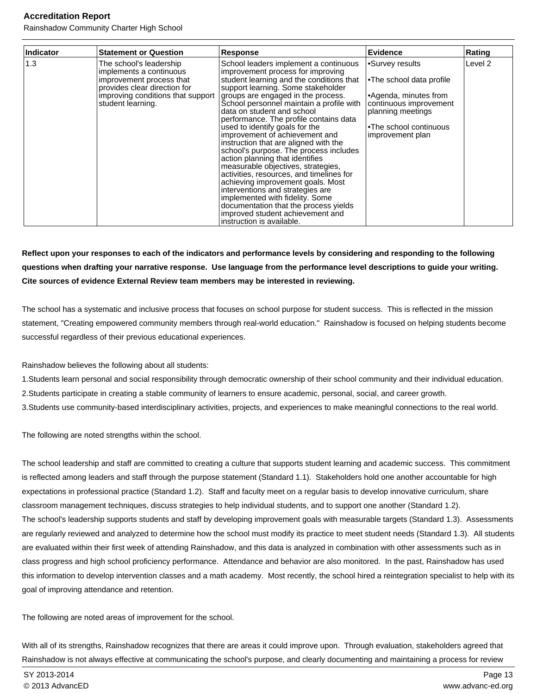Rainshadow Community Charter High School

| Indicator | <b>Statement or Question</b>                                                                                                                                             | <b>Response</b>                                                                                                                                                                                                                                                                                                                                                                                                                                                                                                                                                                                                                                                                                                                                                                                                          | <b>Evidence</b>                                                                                                                                                          | Rating  |
|-----------|--------------------------------------------------------------------------------------------------------------------------------------------------------------------------|--------------------------------------------------------------------------------------------------------------------------------------------------------------------------------------------------------------------------------------------------------------------------------------------------------------------------------------------------------------------------------------------------------------------------------------------------------------------------------------------------------------------------------------------------------------------------------------------------------------------------------------------------------------------------------------------------------------------------------------------------------------------------------------------------------------------------|--------------------------------------------------------------------------------------------------------------------------------------------------------------------------|---------|
| 1.3       | The school's leadership<br>implements a continuous<br>improvement process that<br>provides clear direction for<br>improving conditions that support<br>student learning. | School leaders implement a continuous<br>improvement process for improving<br>student learning and the conditions that<br>support learning. Some stakeholder<br>groups are engaged in the process.<br>School personnel maintain a profile with<br>data on student and school<br>performance. The profile contains data<br>used to identify goals for the<br>improvement of achievement and<br>instruction that are aligned with the<br>school's purpose. The process includes<br>action planning that identifies<br>measurable objectives, strategies,<br>activities, resources, and timelines for<br>achieving improvement goals. Most<br>interventions and strategies are<br>implemented with fidelity. Some<br>documentation that the process yields<br>improved student achievement and<br>instruction is available. | •Survey results<br><b>•The school data profile</b><br>•Agenda, minutes from<br>continuous improvement<br>planning meetings<br>•The school continuous<br>improvement plan | Level 2 |

#### **Reflect upon your responses to each of the indicators and performance levels by considering and responding to the following questions when drafting your narrative response. Use language from the performance level descriptions to guide your writing. Cite sources of evidence External Review team members may be interested in reviewing.**

 The school has a systematic and inclusive process that focuses on school purpose for student success. This is reflected in the mission statement, "Creating empowered community members through real-world education." Rainshadow is focused on helping students become successful regardless of their previous educational experiences.

 Rainshadow believes the following about all students:

- 1. Students learn personal and social responsibility through democratic ownership of their school community and their individual education.
- 2. Students participate in creating a stable community of learners to ensure academic, personal, social, and career growth.
- 3. Students use community-based interdisciplinary activities, projects, and experiences to make meaningful connections to the real world.

The following are noted strengths within the school.

 The school leadership and staff are committed to creating a culture that supports student learning and academic success. This commitment is reflected among leaders and staff through the purpose statement (Standard 1.1). Stakeholders hold one another accountable for high expectations in professional practice (Standard 1.2). Staff and faculty meet on a regular basis to develop innovative curriculum, share classroom management techniques, discuss strategies to help individual students, and to support one another (Standard 1.2). The school's leadership supports students and staff by developing improvement goals with measurable targets (Standard 1.3). Assessments are regularly reviewed and analyzed to determine how the school must modify its practice to meet student needs (Standard 1.3). All students are evaluated within their first week of attending Rainshadow, and this data is analyzed in combination with other assessments such as in class progress and high school proficiency performance. Attendance and behavior are also monitored. In the past, Rainshadow has used this information to develop intervention classes and a math academy. Most recently, the school hired a reintegration specialist to help with its goal of improving attendance and retention.

The following are noted areas of improvement for the school.

 With all of its strengths, Rainshadow recognizes that there are areas it could improve upon. Through evaluation, stakeholders agreed that Rainshadow is not always effective at communicating the school's purpose, and clearly documenting and maintaining a process for review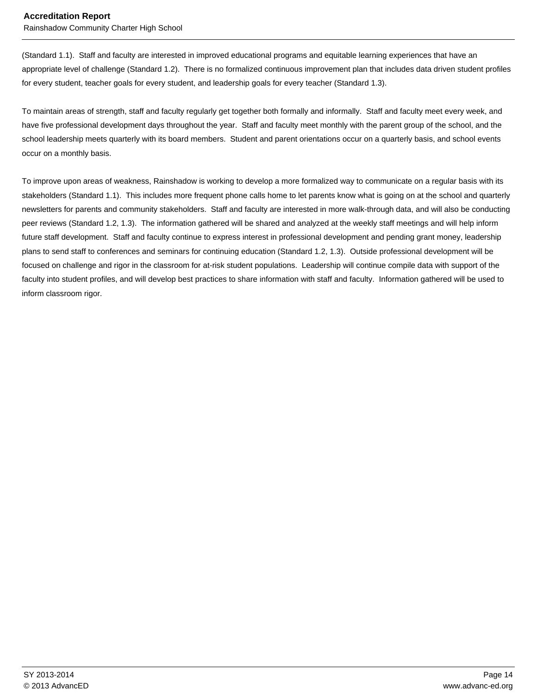Rainshadow Community Charter High School

(Standard 1.1). Staff and faculty are interested in improved educational programs and equitable learning experiences that have an appropriate level of challenge (Standard 1.2). There is no formalized continuous improvement plan that includes data driven student profiles for every student, teacher goals for every student, and leadership goals for every teacher (Standard 1.3).

 To maintain areas of strength, staff and faculty regularly get together both formally and informally. Staff and faculty meet every week, and have five professional development days throughout the year. Staff and faculty meet monthly with the parent group of the school, and the school leadership meets quarterly with its board members. Student and parent orientations occur on a quarterly basis, and school events occur on a monthly basis.

 To improve upon areas of weakness, Rainshadow is working to develop a more formalized way to communicate on a regular basis with its stakeholders (Standard 1.1). This includes more frequent phone calls home to let parents know what is going on at the school and quarterly newsletters for parents and community stakeholders. Staff and faculty are interested in more walk-through data, and will also be conducting peer reviews (Standard 1.2, 1.3). The information gathered will be shared and analyzed at the weekly staff meetings and will help inform future staff development. Staff and faculty continue to express interest in professional development and pending grant money, leadership plans to send staff to conferences and seminars for continuing education (Standard 1.2, 1.3). Outside professional development will be focused on challenge and rigor in the classroom for at-risk student populations. Leadership will continue compile data with support of the faculty into student profiles, and will develop best practices to share information with staff and faculty. Information gathered will be used to inform classroom rigor.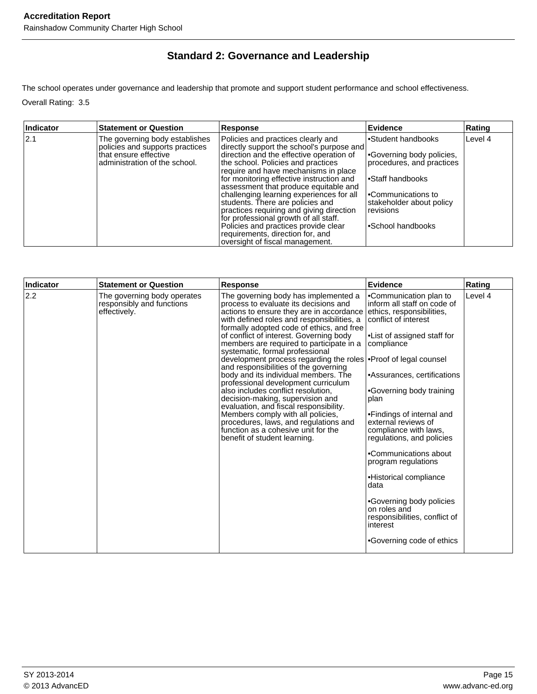## **Standard 2: Governance and Leadership**

The school operates under governance and leadership that promote and support student performance and school effectiveness. Overall Rating: 3.5

| Indicator | <b>Statement or Question</b>                                                                                                 | <b>Response</b>                                                                                                                                                                                                                                                                                                                                                                                                                                                                                                                                                                    | <b>Evidence</b>                                                                                                                                                                      | Rating  |
|-----------|------------------------------------------------------------------------------------------------------------------------------|------------------------------------------------------------------------------------------------------------------------------------------------------------------------------------------------------------------------------------------------------------------------------------------------------------------------------------------------------------------------------------------------------------------------------------------------------------------------------------------------------------------------------------------------------------------------------------|--------------------------------------------------------------------------------------------------------------------------------------------------------------------------------------|---------|
| 2.1       | The governing body establishes<br>policies and supports practices<br>Ithat ensure effective<br>administration of the school. | Policies and practices clearly and<br>directly support the school's purpose and<br>direction and the effective operation of<br>the school. Policies and practices<br>require and have mechanisms in place<br>for monitoring effective instruction and<br>assessment that produce equitable and<br>challenging learning experiences for all<br>students. There are policies and<br>practices requiring and giving direction<br>for professional growth of all staff.<br>Policies and practices provide clear<br>requirements, direction for, and<br>oversight of fiscal management. | Student handbooks<br>Governing body policies,<br>procedures, and practices<br>l∙Staff handbooks<br>l•Communications to<br>stakeholder about policy<br>revisions<br>•School handbooks | Level 4 |

| Indicator | <b>Statement or Question</b>                                             | <b>Response</b>                                                                                                                                                                                                                                                                                                                                                                                                                                                                                                                                                                                                                                                                                                                                                                                                     | <b>Evidence</b>                                                                                                                                                                                                                                                                                                                                                                                                                                                                                                                              | Rating  |
|-----------|--------------------------------------------------------------------------|---------------------------------------------------------------------------------------------------------------------------------------------------------------------------------------------------------------------------------------------------------------------------------------------------------------------------------------------------------------------------------------------------------------------------------------------------------------------------------------------------------------------------------------------------------------------------------------------------------------------------------------------------------------------------------------------------------------------------------------------------------------------------------------------------------------------|----------------------------------------------------------------------------------------------------------------------------------------------------------------------------------------------------------------------------------------------------------------------------------------------------------------------------------------------------------------------------------------------------------------------------------------------------------------------------------------------------------------------------------------------|---------|
| 2.2       | The governing body operates<br>responsibly and functions<br>effectively. | The governing body has implemented a<br>process to evaluate its decisions and<br>actions to ensure they are in accordance<br>with defined roles and responsibilities, a<br>formally adopted code of ethics, and free<br>of conflict of interest. Governing body<br>members are required to participate in a<br>systematic, formal professional<br>development process regarding the roles . Proof of legal counsel<br>and responsibilities of the governing<br>body and its individual members. The<br>professional development curriculum<br>also includes conflict resolution.<br>decision-making, supervision and<br>evaluation, and fiscal responsibility.<br>Members comply with all policies.<br>procedures, laws, and regulations and<br>function as a cohesive unit for the<br>benefit of student learning. | •Communication plan to<br>inform all staff on code of<br>ethics, responsibilities,<br>conflict of interest<br>•List of assigned staff for<br>compliance<br>•Assurances, certifications<br>•Governing body training<br>plan<br>•Findings of internal and<br>external reviews of<br>compliance with laws,<br>regulations, and policies<br>•Communications about<br>program regulations<br>·Historical compliance<br>data<br>•Governing body policies<br>on roles and<br>responsibilities, conflict of<br>interest<br>•Governing code of ethics | Level 4 |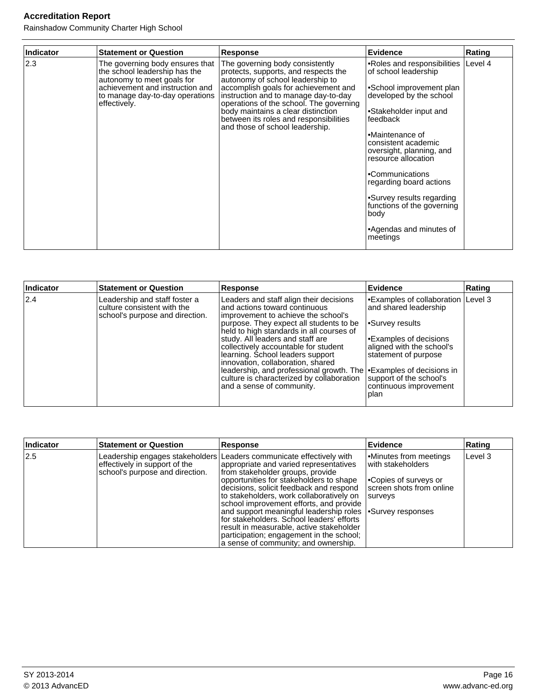Rainshadow Community Charter High School

| Indicator | <b>Statement or Question</b>                                                                                                                                                         | Response                                                                                                                                                                                                                                                                                                                                                  | Evidence                                                                                                                                                                                                                                                                                                                                                                                              | Rating  |
|-----------|--------------------------------------------------------------------------------------------------------------------------------------------------------------------------------------|-----------------------------------------------------------------------------------------------------------------------------------------------------------------------------------------------------------------------------------------------------------------------------------------------------------------------------------------------------------|-------------------------------------------------------------------------------------------------------------------------------------------------------------------------------------------------------------------------------------------------------------------------------------------------------------------------------------------------------------------------------------------------------|---------|
| 2.3       | The governing body ensures that<br>the school leadership has the<br>autonomy to meet goals for<br>achievement and instruction and<br>to manage day-to-day operations<br>effectively. | The governing body consistently<br>protects, supports, and respects the<br>autonomy of school leadership to<br>accomplish goals for achievement and<br>instruction and to manage day-to-day<br>operations of the school. The governing<br>body maintains a clear distinction<br>between its roles and responsibilities<br>and those of school leadership. | •Roles and responsibilities<br>of school leadership<br>•School improvement plan<br>developed by the school<br>•Stakeholder input and<br>feedback<br>•Maintenance of<br>consistent academic<br>oversight, planning, and<br>resource allocation<br>•Communications<br>regarding board actions<br>•Survey results regarding<br>functions of the governing<br>body<br>•Agendas and minutes of<br>meetings | Level 4 |

| Indicator | <b>Statement or Question</b>                                                                    | <b>Response</b>                                                                                                                                                                                                                                                                                                                                                                                                                                                                                                   | Evidence                                                                                                                                                                                                                                                         | Rating |
|-----------|-------------------------------------------------------------------------------------------------|-------------------------------------------------------------------------------------------------------------------------------------------------------------------------------------------------------------------------------------------------------------------------------------------------------------------------------------------------------------------------------------------------------------------------------------------------------------------------------------------------------------------|------------------------------------------------------------------------------------------------------------------------------------------------------------------------------------------------------------------------------------------------------------------|--------|
| 2.4       | Leadership and staff foster a<br>culture consistent with the<br>school's purpose and direction. | Leaders and staff align their decisions<br>and actions toward continuous<br>improvement to achieve the school's<br>purpose. They expect all students to be<br>held to high standards in all courses of<br>study. All leaders and staff are<br>collectively accountable for student<br>learning. School leaders support<br>innovation, collaboration, shared<br>leadership, and professional growth. The <b>Examples</b> of decisions in<br>culture is characterized by collaboration<br>and a sense of community. | Examples of collaboration   Level 3 <sup> </sup><br>and shared leadership<br>Survey results <sup></sup><br>Examples of decisions <sup>1</sup><br>aligned with the school's<br>statement of purpose<br>support of the school's<br>continuous improvement<br> plan |        |

| Indicator | <b>Statement or Question</b>                                     | <b>Response</b>                                                                                                                                                                                                                                                                                                                                                                                                                                                                                                                                                              | <b>Evidence</b>                                                                                                   | Rating  |
|-----------|------------------------------------------------------------------|------------------------------------------------------------------------------------------------------------------------------------------------------------------------------------------------------------------------------------------------------------------------------------------------------------------------------------------------------------------------------------------------------------------------------------------------------------------------------------------------------------------------------------------------------------------------------|-------------------------------------------------------------------------------------------------------------------|---------|
| 12.5      | effectively in support of the<br>school's purpose and direction. | Leadership engages stakeholders   Leaders communicate effectively with<br>appropriate and varied representatives<br>from stakeholder groups, provide<br>opportunities for stakeholders to shape<br>decisions, solicit feedback and respond<br>to stakeholders, work collaboratively on<br>school improvement efforts, and provide<br>and support meaningful leadership roles   Survey responses<br>for stakeholders. School leaders' efforts<br>result in measurable, active stakeholder<br>participation; engagement in the school;<br>a sense of community; and ownership. | Minutes from meetings<br>with stakeholders<br><b>Copies of surveys or</b><br>screen shots from online<br>Isurvevs | Level 3 |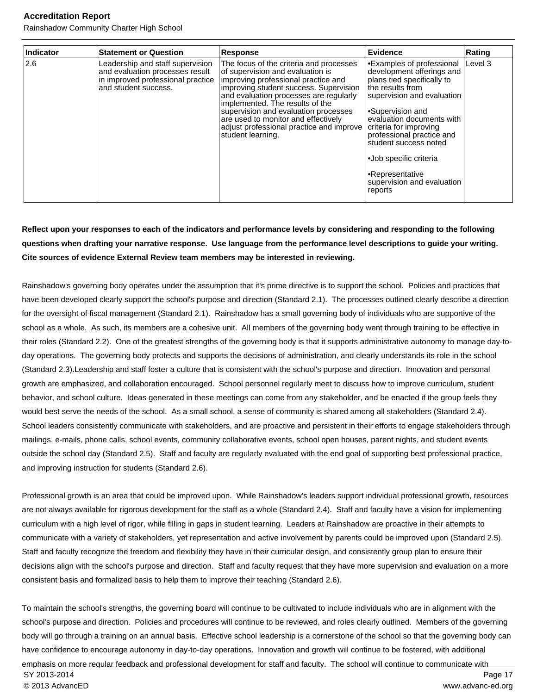Rainshadow Community Charter High School

| Indicator | <b>Statement or Question</b>                                                                                                     | <b>Response</b>                                                                                                                                                                                                                                                                                                                                                                           | <b>Evidence</b>                                                                                                                                                                                                                                                                                                                                                    | Rating  |
|-----------|----------------------------------------------------------------------------------------------------------------------------------|-------------------------------------------------------------------------------------------------------------------------------------------------------------------------------------------------------------------------------------------------------------------------------------------------------------------------------------------------------------------------------------------|--------------------------------------------------------------------------------------------------------------------------------------------------------------------------------------------------------------------------------------------------------------------------------------------------------------------------------------------------------------------|---------|
| 2.6       | Leadership and staff supervision<br>and evaluation processes result<br>in improved professional practice<br>and student success. | The focus of the criteria and processes<br>of supervision and evaluation is<br>improving professional practice and<br>improving student success. Supervision<br>and evaluation processes are regularly<br>implemented. The results of the<br>supervision and evaluation processes<br>are used to monitor and effectively<br>adjust professional practice and improve<br>student learning. | <b>Examples of professional</b><br>development offerings and<br>plans tied specifically to<br>the results from<br>supervision and evaluation<br>Supervision and<br>evaluation documents with<br>criteria for improving<br>professional practice and<br>student success noted<br>•Job specific criteria<br>•Representative<br>supervision and evaluation<br>reports | Level 3 |

#### **Reflect upon your responses to each of the indicators and performance levels by considering and responding to the following questions when drafting your narrative response. Use language from the performance level descriptions to guide your writing. Cite sources of evidence External Review team members may be interested in reviewing.**

Rainshadow's governing body operates under the assumption that it's prime directive is to support the school. Policies and practices that have been developed clearly support the school's purpose and direction (Standard 2.1). The processes outlined clearly describe a direction for the oversight of fiscal management (Standard 2.1). Rainshadow has a small governing body of individuals who are supportive of the school as a whole. As such, its members are a cohesive unit. All members of the governing body went through training to be effective in their roles (Standard 2.2). One of the greatest strengths of the governing body is that it supports administrative autonomy to manage day-today operations. The governing body protects and supports the decisions of administration, and clearly understands its role in the school (Standard 2.3).Leadership and staff foster a culture that is consistent with the school's purpose and direction. Innovation and personal growth are emphasized, and collaboration encouraged. School personnel regularly meet to discuss how to improve curriculum, student behavior, and school culture. Ideas generated in these meetings can come from any stakeholder, and be enacted if the group feels they would best serve the needs of the school. As a small school, a sense of community is shared among all stakeholders (Standard 2.4). School leaders consistently communicate with stakeholders, and are proactive and persistent in their efforts to engage stakeholders through mailings, e-mails, phone calls, school events, community collaborative events, school open houses, parent nights, and student events outside the school day (Standard 2.5). Staff and faculty are regularly evaluated with the end goal of supporting best professional practice, and improving instruction for students (Standard 2.6).

Professional growth is an area that could be improved upon. While Rainshadow's leaders support individual professional growth, resources are not always available for rigorous development for the staff as a whole (Standard 2.4). Staff and faculty have a vision for implementing curriculum with a high level of rigor, while filling in gaps in student learning. Leaders at Rainshadow are proactive in their attempts to communicate with a variety of stakeholders, yet representation and active involvement by parents could be improved upon (Standard 2.5). Staff and faculty recognize the freedom and flexibility they have in their curricular design, and consistently group plan to ensure their decisions align with the school's purpose and direction. Staff and faculty request that they have more supervision and evaluation on a more consistent basis and formalized basis to help them to improve their teaching (Standard 2.6).

To maintain the school's strengths, the governing board will continue to be cultivated to include individuals who are in alignment with the school's purpose and direction. Policies and procedures will continue to be reviewed, and roles clearly outlined. Members of the governing body will go through a training on an annual basis. Effective school leadership is a cornerstone of the school so that the governing body can have confidence to encourage autonomy in day-to-day operations. Innovation and growth will continue to be fostered, with additional emphasis on more regular feedback and professional development for staff and faculty. The school will continue to communicate with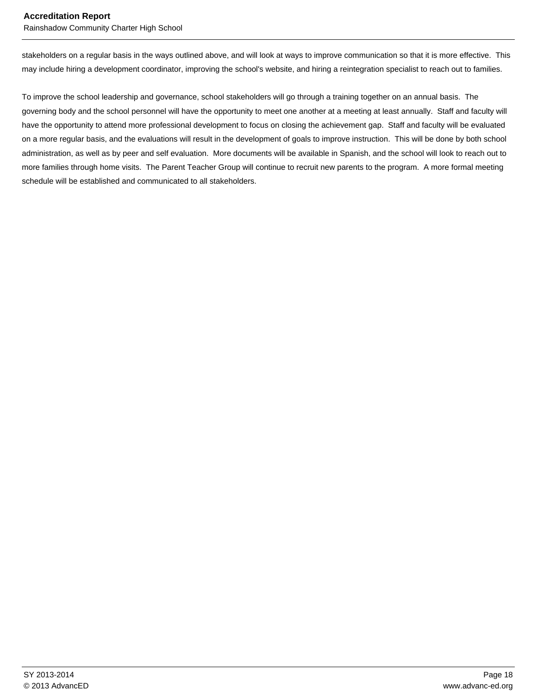Rainshadow Community Charter High School

stakeholders on a regular basis in the ways outlined above, and will look at ways to improve communication so that it is more effective. This may include hiring a development coordinator, improving the school's website, and hiring a reintegration specialist to reach out to families.

To improve the school leadership and governance, school stakeholders will go through a training together on an annual basis. The governing body and the school personnel will have the opportunity to meet one another at a meeting at least annually. Staff and faculty will have the opportunity to attend more professional development to focus on closing the achievement gap. Staff and faculty will be evaluated on a more regular basis, and the evaluations will result in the development of goals to improve instruction. This will be done by both school administration, as well as by peer and self evaluation. More documents will be available in Spanish, and the school will look to reach out to more families through home visits. The Parent Teacher Group will continue to recruit new parents to the program. A more formal meeting schedule will be established and communicated to all stakeholders.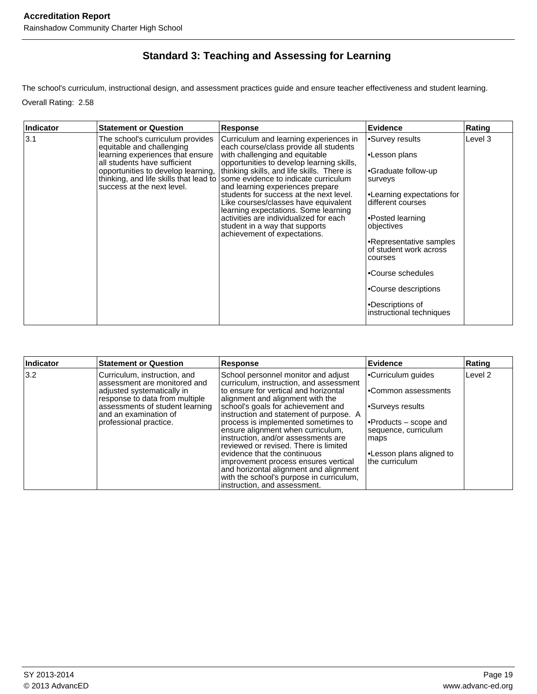## **Standard 3: Teaching and Assessing for Learning**

The school's curriculum, instructional design, and assessment practices guide and ensure teacher effectiveness and student learning. Overall Rating: 2.58

Ē

| Indicator | <b>Statement or Question</b>                                                                                                                                                                          | <b>Response</b>                                                                                                                                                                                                                                                                                                                                                                                                                                                                                                                                                         | Evidence                                                                                                                                                                                                                                                                                                             | Rating  |
|-----------|-------------------------------------------------------------------------------------------------------------------------------------------------------------------------------------------------------|-------------------------------------------------------------------------------------------------------------------------------------------------------------------------------------------------------------------------------------------------------------------------------------------------------------------------------------------------------------------------------------------------------------------------------------------------------------------------------------------------------------------------------------------------------------------------|----------------------------------------------------------------------------------------------------------------------------------------------------------------------------------------------------------------------------------------------------------------------------------------------------------------------|---------|
| 3.1       | The school's curriculum provides<br>equitable and challenging<br>learning experiences that ensure<br>all students have sufficient<br>opportunities to develop learning.<br>success at the next level. | Curriculum and learning experiences in<br>each course/class provide all students<br>with challenging and equitable<br>opportunities to develop learning skills,<br>thinking skills, and life skills. There is<br>thinking, and life skills that lead to some evidence to indicate curriculum<br>and learning experiences prepare<br>students for success at the next level.<br>Like courses/classes have equivalent<br>learning expectations. Some learning<br>activities are individualized for each<br>student in a way that supports<br>achievement of expectations. | •Survey results<br>•Lesson plans<br>•Graduate follow-up<br>surveys<br>•Learning expectations for<br>different courses<br>•Posted learning<br>objectives<br>•Representative samples<br>of student work across<br>courses<br>•Course schedules<br>•Course descriptions<br>•Descriptions of<br>instructional techniques | Level 3 |

| Indicator     | <b>Statement or Question</b>                                                                                                                                                                                       | <b>Response</b>                                                                                                                                                                                                                                                                                                                                                                                                                                                                                                            | Evidence                                                                                                                                                                        | Rating             |
|---------------|--------------------------------------------------------------------------------------------------------------------------------------------------------------------------------------------------------------------|----------------------------------------------------------------------------------------------------------------------------------------------------------------------------------------------------------------------------------------------------------------------------------------------------------------------------------------------------------------------------------------------------------------------------------------------------------------------------------------------------------------------------|---------------------------------------------------------------------------------------------------------------------------------------------------------------------------------|--------------------|
| $ 3.2\rangle$ | Curriculum, instruction, and<br>assessment are monitored and<br>adjusted systematically in<br>response to data from multiple<br>assessments of student learning<br>and an examination of<br>professional practice. | School personnel monitor and adjust<br>curriculum, instruction, and assessment<br>to ensure for vertical and horizontal<br>alignment and alignment with the<br>school's goals for achievement and<br>instruction and statement of purpose. A<br>process is implemented sometimes to<br>ensure alignment when curriculum,<br>instruction, and/or assessments are<br>reviewed or revised. There is limited<br>evidence that the continuous<br>improvement process ensures vertical<br>and horizontal alignment and alignment | •Curriculum guides<br>l•Common assessments<br>l∙Surveys results<br> •Products – scope and<br> sequence, curriculum<br>maps<br><b>-Lesson plans aligned to</b><br>the curriculum | Level <sub>2</sub> |
|               |                                                                                                                                                                                                                    | with the school's purpose in curriculum,<br>instruction, and assessment.                                                                                                                                                                                                                                                                                                                                                                                                                                                   |                                                                                                                                                                                 |                    |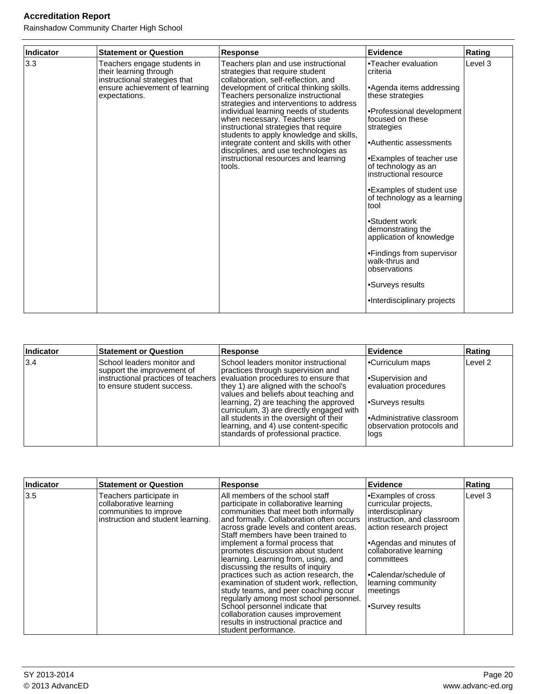Rainshadow Community Charter High School

| Indicator | <b>Statement or Question</b>                                                                                                              | <b>Response</b>                                                                                                                                                                                                                                                                                                                                                                                                                                                                                                                              | <b>Evidence</b>                                                                                                                                                                                                                                                                                                                                                                                                                                                                                              | Rating  |
|-----------|-------------------------------------------------------------------------------------------------------------------------------------------|----------------------------------------------------------------------------------------------------------------------------------------------------------------------------------------------------------------------------------------------------------------------------------------------------------------------------------------------------------------------------------------------------------------------------------------------------------------------------------------------------------------------------------------------|--------------------------------------------------------------------------------------------------------------------------------------------------------------------------------------------------------------------------------------------------------------------------------------------------------------------------------------------------------------------------------------------------------------------------------------------------------------------------------------------------------------|---------|
| 3.3       | Teachers engage students in<br>their learning through<br>instructional strategies that<br>ensure achievement of learning<br>expectations. | Teachers plan and use instructional<br>strategies that require student<br>collaboration, self-reflection, and<br>development of critical thinking skills.<br>Teachers personalize instructional<br>strategies and interventions to address<br>individual learning needs of students<br>when necessary. Teachers use<br>instructional strategies that require<br>students to apply knowledge and skills,<br>integrate content and skills with other<br>disciplines, and use technologies as<br>instructional resources and learning<br>tools. | •Teacher evaluation<br>criteria<br>•Agenda items addressing<br>these strategies<br>•Professional development<br>focused on these<br>strategies<br>•Authentic assessments<br>•Examples of teacher use<br>of technology as an<br>instructional resource<br>•Examples of student use<br>of technology as a learning<br>tool<br>•Student work<br>demonstrating the<br>application of knowledge<br>•Findings from supervisor<br>walk-thrus and<br>observations<br>•Surveys results<br>·Interdisciplinary projects | Level 3 |

| Indicator | <b>Statement or Question</b>                                                           | Response                                                                                                                                                                                                                                                                                                                                                                                                                                                | <b>Evidence</b>                                                                                                                                           | Rating             |
|-----------|----------------------------------------------------------------------------------------|---------------------------------------------------------------------------------------------------------------------------------------------------------------------------------------------------------------------------------------------------------------------------------------------------------------------------------------------------------------------------------------------------------------------------------------------------------|-----------------------------------------------------------------------------------------------------------------------------------------------------------|--------------------|
| 3.4       | School leaders monitor and<br>support the improvement of<br>to ensure student success. | School leaders monitor instructional<br>practices through supervision and<br>instructional practices of teachers evaluation procedures to ensure that<br>they 1) are aligned with the school's<br>values and beliefs about teaching and<br>learning, 2) are teaching the approved<br>curriculum, 3) are directly engaged with<br>all students in the oversight of their<br>learning, and 4) use content-specific<br>standards of professional practice. | <b>Curriculum maps</b><br>l•Supervision and<br>evaluation procedures<br>Surveys results<br>Administrative classroom<br>observation protocols and<br>llogs | Level <sub>2</sub> |

| Indicator | <b>Statement or Question</b>                                                                                     | <b>Response</b>                                                                                                                                                                                                                                                                                                                                                                                                                                                                                                                                                                                                                                                                                                  | Evidence                                                                                                                                                                                                                                                                   | Rating  |
|-----------|------------------------------------------------------------------------------------------------------------------|------------------------------------------------------------------------------------------------------------------------------------------------------------------------------------------------------------------------------------------------------------------------------------------------------------------------------------------------------------------------------------------------------------------------------------------------------------------------------------------------------------------------------------------------------------------------------------------------------------------------------------------------------------------------------------------------------------------|----------------------------------------------------------------------------------------------------------------------------------------------------------------------------------------------------------------------------------------------------------------------------|---------|
| 3.5       | Teachers participate in<br>collaborative learning<br>communities to improve<br>instruction and student learning. | All members of the school staff<br>participate in collaborative learning<br>communities that meet both informally<br>and formally. Collaboration often occurs<br>across grade levels and content areas.<br>Staff members have been trained to<br>implement a formal process that<br>promotes discussion about student<br>learning. Learning from, using, and<br>discussing the results of inquiry<br>practices such as action research, the<br>examination of student work, reflection,<br>study teams, and peer coaching occur<br>regularly among most school personnel.<br>School personnel indicate that<br>collaboration causes improvement<br>results in instructional practice and<br>student performance. | •Examples of cross<br>curricular projects,<br>linterdisciplinary<br>instruction, and classroom<br>action research project<br>•Agendas and minutes of<br>collaborative learning<br>committees<br>•Calendar/schedule of<br>learning community<br>meetings<br>•Survey results | Level 3 |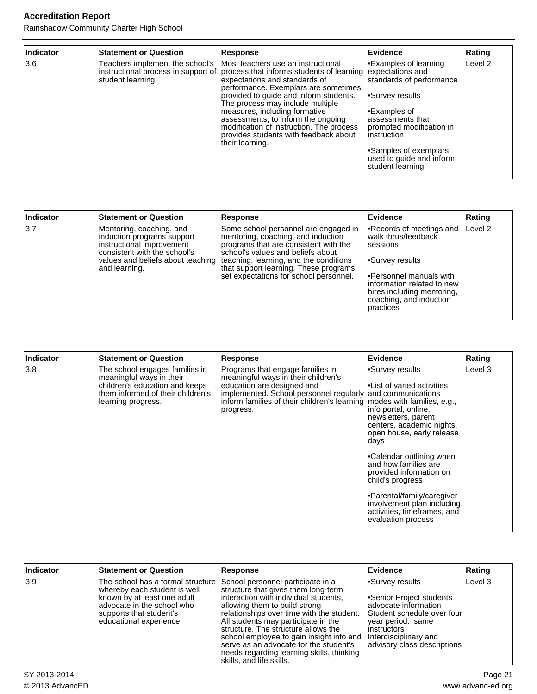Rainshadow Community Charter High School

| Indicator | <b>Statement or Question</b>                         | Response                                                                                                                                                                                                                                                                                                                                                                                                                                                  | Evidence                                                                                                                                                                                                                                          | Rating             |
|-----------|------------------------------------------------------|-----------------------------------------------------------------------------------------------------------------------------------------------------------------------------------------------------------------------------------------------------------------------------------------------------------------------------------------------------------------------------------------------------------------------------------------------------------|---------------------------------------------------------------------------------------------------------------------------------------------------------------------------------------------------------------------------------------------------|--------------------|
| 3.6       | Teachers implement the school's<br>student learning. | Most teachers use an instructional<br>instructional process in support of process that informs students of learning<br>expectations and standards of<br>performance. Exemplars are sometimes<br>provided to guide and inform students.<br>The process may include multiple<br>measures, including formative<br>assessments, to inform the ongoing<br>modification of instruction. The process<br>provides students with feedback about<br>their learning. | •Examples of learning<br>expectations and<br>standards of performance<br>l∙Survey results<br>•Examples of<br>assessments that<br>prompted modification in<br>instruction<br>•Samples of exemplars<br>used to guide and inform<br>student learning | Level <sub>2</sub> |

| Indicator | <b>Statement or Question</b>                                                                                                         | <b>Response</b>                                                                                                                                                                                                                                                                                                           | <b>Evidence</b>                                                                                                                                                                                                 | Rating  |
|-----------|--------------------------------------------------------------------------------------------------------------------------------------|---------------------------------------------------------------------------------------------------------------------------------------------------------------------------------------------------------------------------------------------------------------------------------------------------------------------------|-----------------------------------------------------------------------------------------------------------------------------------------------------------------------------------------------------------------|---------|
| 3.7       | Mentoring, coaching, and<br>induction programs support<br>instructional improvement<br>consistent with the school's<br>and learning. | Some school personnel are engaged in<br>mentoring, coaching, and induction<br>programs that are consistent with the<br>school's values and beliefs about<br>values and beliefs about teaching   teaching, learning, and the conditions<br>that support learning. These programs<br>set expectations for school personnel. | Records of meetings and<br>walk thrus/feedback<br>sessions<br>l∙Survey results<br>l•Personnel manuals with<br>linformation related to new<br>hires including mentoring,<br>coaching, and induction<br>practices | Level 2 |

| Indicator | <b>Statement or Question</b>                                                                                                                            | <b>Response</b>                                                                                                                                                                                                                                             | <b>Evidence</b>                                                                                                                                                                                                                                                               | Rating  |
|-----------|---------------------------------------------------------------------------------------------------------------------------------------------------------|-------------------------------------------------------------------------------------------------------------------------------------------------------------------------------------------------------------------------------------------------------------|-------------------------------------------------------------------------------------------------------------------------------------------------------------------------------------------------------------------------------------------------------------------------------|---------|
| 3.8       | The school engages families in<br>meaningful ways in their<br>children's education and keeps<br>them informed of their children's<br>learning progress. | Programs that engage families in<br>meaningful ways in their children's<br>education are designed and<br>implemented. School personnel regularly and communications<br>inform families of their children's learning modes with families, e.g.,<br>progress. | Survey results <sup></sup><br>l•List of varied activities<br>info portal, online,<br>newsletters, parent<br>centers, academic nights,<br>open house, early release<br>days<br>•Calendar outlining when<br>and how families are<br>provided information on<br>child's progress | Level 3 |
|           |                                                                                                                                                         |                                                                                                                                                                                                                                                             | Parental/family/caregiver<br>involvement plan including<br>activities, timeframes, and<br>evaluation process                                                                                                                                                                  |         |

| Indicator | <b>Statement or Question</b>                                                                                                                                                                                            | Response                                                                                                                                                                                                                                                                                                                                                                                                | Evidence                                                                                                                                                                                      | Rating  |
|-----------|-------------------------------------------------------------------------------------------------------------------------------------------------------------------------------------------------------------------------|---------------------------------------------------------------------------------------------------------------------------------------------------------------------------------------------------------------------------------------------------------------------------------------------------------------------------------------------------------------------------------------------------------|-----------------------------------------------------------------------------------------------------------------------------------------------------------------------------------------------|---------|
| 3.9       | The school has a formal structure School personnel participate in a<br>whereby each student is well<br>known by at least one adult<br>ladvocate in the school who<br>supports that student's<br>educational experience. | structure that gives them long-term<br>interaction with individual students,<br>allowing them to build strong<br>relationships over time with the student.<br>All students may participate in the<br>structure. The structure allows the<br>school employee to gain insight into and<br>serve as an advocate for the student's<br>needs regarding learning skills, thinking<br>skills, and life skills. | •Survey results<br>•Senior Project students<br>advocate information<br>Student schedule over four<br>year period: same<br>instructors<br>Interdisciplinary and<br>advisory class descriptions | Level 3 |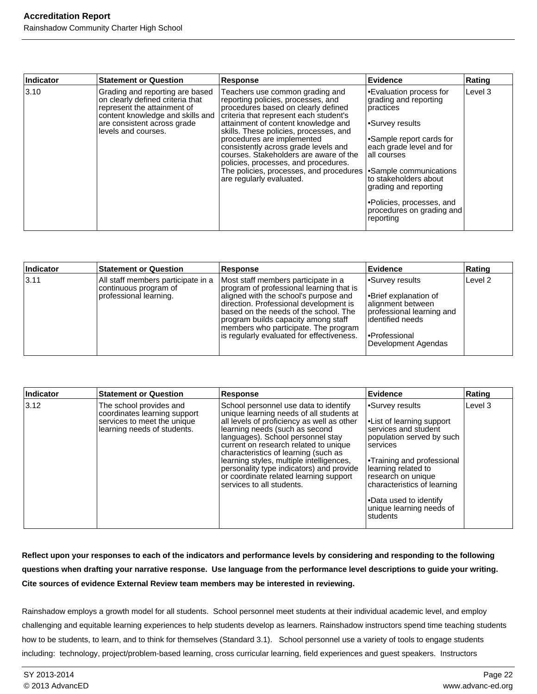| Indicator | <b>Statement or Question</b>                                                                                                                                                                 | <b>Response</b>                                                                                                                                                                                                                                                                                                                                                                                                                                                        | Evidence                                                                                                                                                                                                                                                                                                                 | Rating  |
|-----------|----------------------------------------------------------------------------------------------------------------------------------------------------------------------------------------------|------------------------------------------------------------------------------------------------------------------------------------------------------------------------------------------------------------------------------------------------------------------------------------------------------------------------------------------------------------------------------------------------------------------------------------------------------------------------|--------------------------------------------------------------------------------------------------------------------------------------------------------------------------------------------------------------------------------------------------------------------------------------------------------------------------|---------|
| $3.10$    | Grading and reporting are based<br>on clearly defined criteria that<br>represent the attainment of<br>content knowledge and skills and<br>are consistent across grade<br>levels and courses. | Teachers use common grading and<br>reporting policies, processes, and<br>procedures based on clearly defined<br>criteria that represent each student's<br>attainment of content knowledge and<br>skills. These policies, processes, and<br>procedures are implemented<br>consistently across grade levels and<br>courses. Stakeholders are aware of the<br>policies, processes, and procedures.<br>The policies, processes, and procedures<br>are regularly evaluated. | Evaluation process for<br>grading and reporting<br>practices<br>l∙Survey results<br>Sample report cards for<br>each grade level and for<br>lall courses<br>Sample communications <sup>1</sup><br>lto stakeholders about<br>grading and reporting<br>. Policies, processes, and<br>procedures on grading and<br>reporting | Level 3 |

| Indicator | <b>Statement or Question</b>                                                          | Response                                                                                                                                                                                                                                                                                                                                | ∣Evidence                                                                                                                                                            | Rating             |
|-----------|---------------------------------------------------------------------------------------|-----------------------------------------------------------------------------------------------------------------------------------------------------------------------------------------------------------------------------------------------------------------------------------------------------------------------------------------|----------------------------------------------------------------------------------------------------------------------------------------------------------------------|--------------------|
| 3.11      | All staff members participate in a<br>continuous program of<br>professional learning. | Most staff members participate in a<br>program of professional learning that is<br>aligned with the school's purpose and<br>direction. Professional development is<br>based on the needs of the school. The<br>program builds capacity among staff<br>members who participate. The program<br>is regularly evaluated for effectiveness. | Survey results <sup></sup><br> •Brief explanation of<br>alignment between<br>professional learning and<br>lidentified needs<br>l•Professional<br>Development Agendas | Level <sub>2</sub> |

| Indicator | <b>Statement or Question</b>                                                                                          | <b>Response</b>                                                                                                                                                                                                                                                                                                                                                                                                                                        | Evidence                                                                                                                                                                                                                                                                                                      | Rating  |
|-----------|-----------------------------------------------------------------------------------------------------------------------|--------------------------------------------------------------------------------------------------------------------------------------------------------------------------------------------------------------------------------------------------------------------------------------------------------------------------------------------------------------------------------------------------------------------------------------------------------|---------------------------------------------------------------------------------------------------------------------------------------------------------------------------------------------------------------------------------------------------------------------------------------------------------------|---------|
| 3.12      | The school provides and<br>coordinates learning support<br>services to meet the unique<br>learning needs of students. | School personnel use data to identify<br>unique learning needs of all students at<br>all levels of proficiency as well as other<br>learning needs (such as second<br>languages). School personnel stay<br>current on research related to unique<br>characteristics of learning (such as<br>learning styles, multiple intelligences,<br>personality type indicators) and provide<br>or coordinate related learning support<br>services to all students. | Survey results <sup></sup><br>•List of learning support<br>services and student<br>population served by such<br>Iservices<br><b>Training and professional</b><br>learning related to<br>research on unique<br>characteristics of learning<br>l•Data used to identify<br>unique learning needs of<br>Istudents | Level 3 |

**Reflect upon your responses to each of the indicators and performance levels by considering and responding to the following questions when drafting your narrative response. Use language from the performance level descriptions to guide your writing. Cite sources of evidence External Review team members may be interested in reviewing.**

Rainshadow employs a growth model for all students. School personnel meet students at their individual academic level, and employ challenging and equitable learning experiences to help students develop as learners. Rainshadow instructors spend time teaching students how to be students, to learn, and to think for themselves (Standard 3.1). School personnel use a variety of tools to engage students including: technology, project/problem-based learning, cross curricular learning, field experiences and guest speakers. Instructors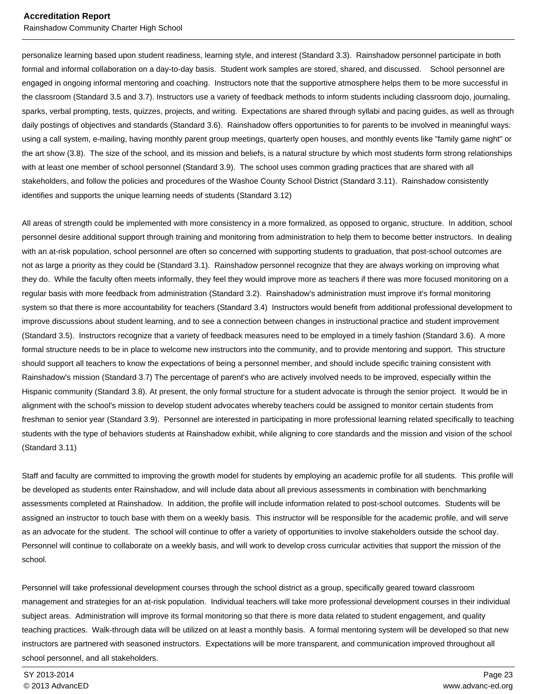#### **Accreditation Report** Rainshadow Community Charter High School

personalize learning based upon student readiness, learning style, and interest (Standard 3.3). Rainshadow personnel participate in both formal and informal collaboration on a day-to-day basis. Student work samples are stored, shared, and discussed. School personnel are engaged in ongoing informal mentoring and coaching. Instructors note that the supportive atmosphere helps them to be more successful in the classroom (Standard 3.5 and 3.7). Instructors use a variety of feedback methods to inform students including classroom dojo, journaling, sparks, verbal prompting, tests, quizzes, projects, and writing. Expectations are shared through syllabi and pacing guides, as well as through daily postings of objectives and standards (Standard 3.6). Rainshadow offers opportunities to for parents to be involved in meaningful ways: using a call system, e-mailing, having monthly parent group meetings, quarterly open houses, and monthly events like "family game night" or the art show (3.8). The size of the school, and its mission and beliefs, is a natural structure by which most students form strong relationships with at least one member of school personnel (Standard 3.9). The school uses common grading practices that are shared with all stakeholders, and follow the policies and procedures of the Washoe County School District (Standard 3.11). Rainshadow consistently identifies and supports the unique learning needs of students (Standard 3.12)

All areas of strength could be implemented with more consistency in a more formalized, as opposed to organic, structure. In addition, school personnel desire additional support through training and monitoring from administration to help them to become better instructors. In dealing with an at-risk population, school personnel are often so concerned with supporting students to graduation, that post-school outcomes are not as large a priority as they could be (Standard 3.1). Rainshadow personnel recognize that they are always working on improving what they do. While the faculty often meets informally, they feel they would improve more as teachers if there was more focused monitoring on a regular basis with more feedback from administration (Standard 3.2). Rainshadow's administration must improve it's formal monitoring system so that there is more accountability for teachers (Standard 3.4) Instructors would benefit from additional professional development to improve discussions about student learning, and to see a connection between changes in instructional practice and student improvement (Standard 3.5). Instructors recognize that a variety of feedback measures need to be employed in a timely fashion (Standard 3.6). A more formal structure needs to be in place to welcome new instructors into the community, and to provide mentoring and support. This structure should support all teachers to know the expectations of being a personnel member, and should include specific training consistent with Rainshadow's mission (Standard 3.7) The percentage of parent's who are actively involved needs to be improved, especially within the Hispanic community (Standard 3.8). At present, the only formal structure for a student advocate is through the senior project. It would be in alignment with the school's mission to develop student advocates whereby teachers could be assigned to monitor certain students from freshman to senior year (Standard 3.9). Personnel are interested in participating in more professional learning related specifically to teaching students with the type of behaviors students at Rainshadow exhibit, while aligning to core standards and the mission and vision of the school (Standard 3.11)

Staff and faculty are committed to improving the growth model for students by employing an academic profile for all students. This profile will be developed as students enter Rainshadow, and will include data about all previous assessments in combination with benchmarking assessments completed at Rainshadow. In addition, the profile will include information related to post-school outcomes. Students will be assigned an instructor to touch base with them on a weekly basis. This instructor will be responsible for the academic profile, and will serve as an advocate for the student. The school will continue to offer a variety of opportunities to involve stakeholders outside the school day. Personnel will continue to collaborate on a weekly basis, and will work to develop cross curricular activities that support the mission of the school.

Personnel will take professional development courses through the school district as a group, specifically geared toward classroom management and strategies for an at-risk population. Individual teachers will take more professional development courses in their individual subject areas. Administration will improve its formal monitoring so that there is more data related to student engagement, and quality teaching practices. Walk-through data will be utilized on at least a monthly basis. A formal mentoring system will be developed so that new instructors are partnered with seasoned instructors. Expectations will be more transparent, and communication improved throughout all school personnel, and all stakeholders.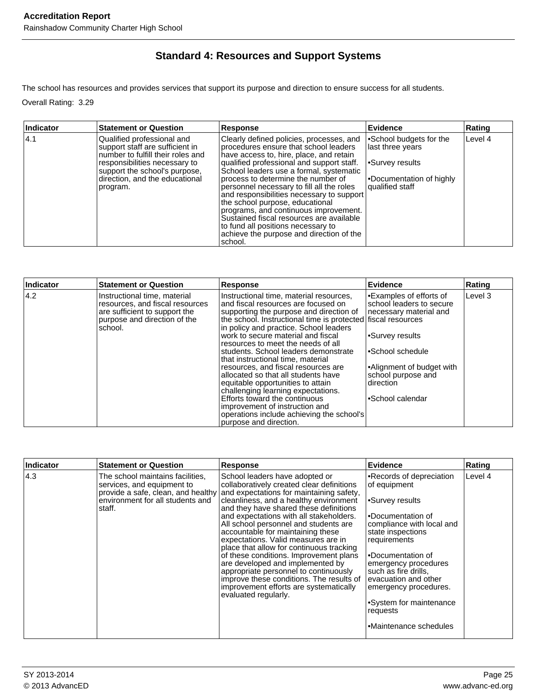### **Standard 4: Resources and Support Systems**

The school has resources and provides services that support its purpose and direction to ensure success for all students.

Overall Rating: 3.29

| Indicator | <b>Statement or Question</b>                                                                                                                                                                                       | Response                                                                                                                                                                                                                                                                                                                                                                                                                                                                                                                                                                  | Evidence                                                                                                      | Rating  |
|-----------|--------------------------------------------------------------------------------------------------------------------------------------------------------------------------------------------------------------------|---------------------------------------------------------------------------------------------------------------------------------------------------------------------------------------------------------------------------------------------------------------------------------------------------------------------------------------------------------------------------------------------------------------------------------------------------------------------------------------------------------------------------------------------------------------------------|---------------------------------------------------------------------------------------------------------------|---------|
| 4.1       | Qualified professional and<br>support staff are sufficient in<br>number to fulfill their roles and<br>responsibilities necessary to<br>support the school's purpose,<br>direction, and the educational<br>program. | Clearly defined policies, processes, and<br>procedures ensure that school leaders<br>have access to, hire, place, and retain<br>qualified professional and support staff.<br>School leaders use a formal, systematic<br>process to determine the number of<br>personnel necessary to fill all the roles<br>and responsibilities necessary to support<br>the school purpose, educational<br>programs, and continuous improvement.<br>Sustained fiscal resources are available<br>to fund all positions necessary to<br>achieve the purpose and direction of the<br>school. | •School budgets for the<br>last three years<br>•Survey results<br>•Documentation of highly<br>qualified staff | Level 4 |

| <b>Statement or Question</b>                                                                                                                 | <b>Response</b>                                                                                                                                                                                                                                                                                                                                                                                                                                                                                                          | Evidence                                                                                                                                                                                                   | Rating                                                                                                    |
|----------------------------------------------------------------------------------------------------------------------------------------------|--------------------------------------------------------------------------------------------------------------------------------------------------------------------------------------------------------------------------------------------------------------------------------------------------------------------------------------------------------------------------------------------------------------------------------------------------------------------------------------------------------------------------|------------------------------------------------------------------------------------------------------------------------------------------------------------------------------------------------------------|-----------------------------------------------------------------------------------------------------------|
| Instructional time, material<br>resources, and fiscal resources<br>are sufficient to support the<br>purpose and direction of the<br>Ischool. | Instructional time, material resources,<br>land fiscal resources are focused on<br>supporting the purpose and direction of<br>in policy and practice. School leaders<br>work to secure material and fiscal<br>resources to meet the needs of all<br>students. School leaders demonstrate<br>Ithat instructional time. material<br>resources, and fiscal resources are<br>allocated so that all students have<br>equitable opportunities to attain<br>challenging learning expectations.<br>Efforts toward the continuous | Examples of efforts of<br>school leaders to secure<br>necessary material and<br>l∙Survey results<br>l∙School schedule<br>Alignment of budget with<br>school purpose and<br>Idirection<br>l∙School calendar | Level 3                                                                                                   |
|                                                                                                                                              | purpose and direction.                                                                                                                                                                                                                                                                                                                                                                                                                                                                                                   |                                                                                                                                                                                                            |                                                                                                           |
|                                                                                                                                              |                                                                                                                                                                                                                                                                                                                                                                                                                                                                                                                          | improvement of instruction and                                                                                                                                                                             | the school. Instructional time is protected fiscal resources<br>operations include achieving the school's |

| Indicator | <b>Statement or Question</b>                                                                                 | <b>Response</b>                                                                                                                                                                                                                                                                                                                                                                                                                                                                                                                                                                                                                                                                                 | Evidence                                                                                                                                                                                                                                                                                                                                            | Rating  |
|-----------|--------------------------------------------------------------------------------------------------------------|-------------------------------------------------------------------------------------------------------------------------------------------------------------------------------------------------------------------------------------------------------------------------------------------------------------------------------------------------------------------------------------------------------------------------------------------------------------------------------------------------------------------------------------------------------------------------------------------------------------------------------------------------------------------------------------------------|-----------------------------------------------------------------------------------------------------------------------------------------------------------------------------------------------------------------------------------------------------------------------------------------------------------------------------------------------------|---------|
| 4.3       | The school maintains facilities.<br>services, and equipment to<br>environment for all students and<br>staff. | School leaders have adopted or<br>collaboratively created clear definitions<br>provide a safe, clean, and healthy and expectations for maintaining safety,<br>cleanliness, and a healthy environment<br>and they have shared these definitions<br>and expectations with all stakeholders.<br>All school personnel and students are<br>accountable for maintaining these<br>expectations. Valid measures are in<br>place that allow for continuous tracking<br>of these conditions. Improvement plans<br>are developed and implemented by<br>appropriate personnel to continuously<br>improve these conditions. The results of<br>improvement efforts are systematically<br>evaluated regularly. | Records of depreciation<br>of equipment<br>Survey results <sup>-</sup><br>.Documentation of<br>compliance with local and<br>state inspections<br>requirements<br>Documentation of<br>emergency procedures<br>such as fire drills,<br>evacuation and other<br>emergency procedures.<br>•System for maintenance<br>requests<br>•Maintenance schedules | Level 4 |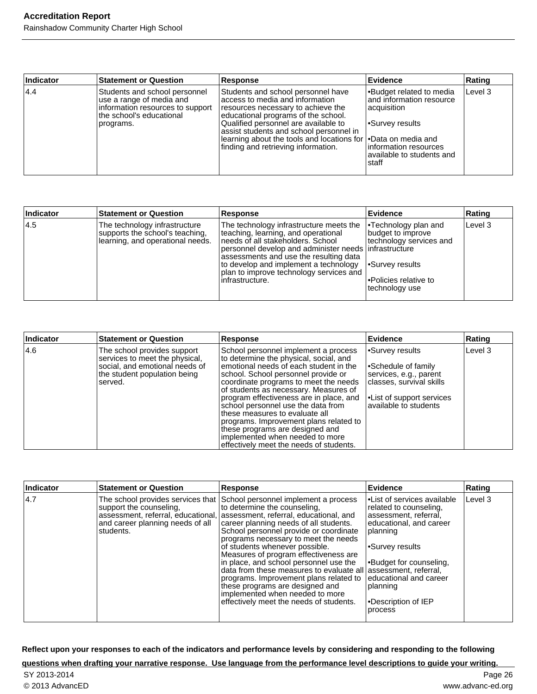#### **Accreditation Report** Rainshadow Community Charter High School

| Indicator | <b>Statement or Question</b>                                                                                                            | <b>Response</b>                                                                                                                                                                                                                                                                                                                                  | <b>Evidence</b>                                                                                                                                               | Rating  |
|-----------|-----------------------------------------------------------------------------------------------------------------------------------------|--------------------------------------------------------------------------------------------------------------------------------------------------------------------------------------------------------------------------------------------------------------------------------------------------------------------------------------------------|---------------------------------------------------------------------------------------------------------------------------------------------------------------|---------|
| 4.4       | Students and school personnel<br>use a range of media and<br>information resources to support<br>Ithe school's educational<br>programs. | Students and school personnel have<br>access to media and information<br>resources necessary to achieve the<br>educational programs of the school.<br>Qualified personnel are available to<br>assist students and school personnel in<br>learning about the tools and locations for   • Data on media and<br>finding and retrieving information. | <b>Budget related to media</b><br>and information resource<br>acquisition<br>l∙Survey results<br>linformation resources<br>available to students and<br>staff | Level 3 |

| Indicator | <b>Statement or Question</b>                                                                         | Response                                                                                                                                                                                                                                                                                                                          | Evidence                                                                                                                               | Rating  |
|-----------|------------------------------------------------------------------------------------------------------|-----------------------------------------------------------------------------------------------------------------------------------------------------------------------------------------------------------------------------------------------------------------------------------------------------------------------------------|----------------------------------------------------------------------------------------------------------------------------------------|---------|
| 14.5      | The technology infrastructure<br>supports the school's teaching,<br>learning, and operational needs. | The technology infrastructure meets the<br>teaching, learning, and operational<br>Ineeds of all stakeholders. School<br>personnel develop and administer needs   infrastructure<br>assessments and use the resulting data<br>to develop and implement a technology<br>plan to improve technology services and<br>linfrastructure. | <b>Technology plan and</b><br>budget to improve<br>technology services and<br>Survey results<br>Policies relative to<br>technology use | Level 3 |

| Indicator | <b>Statement or Question</b>                                                                                                                | <b>Response</b>                                                                                                                                                                                                                                                                                                                                                                                                                                                                                                                  | Evidence                                                                                                                                                            | Rating  |
|-----------|---------------------------------------------------------------------------------------------------------------------------------------------|----------------------------------------------------------------------------------------------------------------------------------------------------------------------------------------------------------------------------------------------------------------------------------------------------------------------------------------------------------------------------------------------------------------------------------------------------------------------------------------------------------------------------------|---------------------------------------------------------------------------------------------------------------------------------------------------------------------|---------|
| 14.6      | The school provides support<br>services to meet the physical,<br>social, and emotional needs of<br>the student population being<br>Iserved. | School personnel implement a process<br>to determine the physical, social, and<br>emotional needs of each student in the<br>school. School personnel provide or<br>coordinate programs to meet the needs<br>of students as necessary. Measures of<br>program effectiveness are in place, and<br>school personnel use the data from<br>Ithese measures to evaluate all<br>programs. Improvement plans related to<br>these programs are designed and<br>implemented when needed to more<br>effectively meet the needs of students. | •Survey results<br>Schedule of family<br>services, e.g., parent<br>classes, survival skills<br><b>Example 1</b> FL ist of support services<br>available to students | Level 3 |

| Indicator | <b>Statement or Question</b>                                              | <b>Response</b>                                                                                                                                                                                                                                                                                                                                                                                                                                                                                                                                                                                                                                                   | Evidence                                                                                                                                                                                                                                                  | Rating  |
|-----------|---------------------------------------------------------------------------|-------------------------------------------------------------------------------------------------------------------------------------------------------------------------------------------------------------------------------------------------------------------------------------------------------------------------------------------------------------------------------------------------------------------------------------------------------------------------------------------------------------------------------------------------------------------------------------------------------------------------------------------------------------------|-----------------------------------------------------------------------------------------------------------------------------------------------------------------------------------------------------------------------------------------------------------|---------|
| 4.7       | support the counseling,<br>and career planning needs of all<br>Istudents. | The school provides services that School personnel implement a process<br>to determine the counseling,<br>assessment, referral, educational, assessment, referral, educational, and<br>career planning needs of all students.<br>School personnel provide or coordinate<br>programs necessary to meet the needs<br>of students whenever possible.<br>Measures of program effectiveness are<br>in place, and school personnel use the<br>data from these measures to evaluate all assessment, referral,<br>programs. Improvement plans related to<br>these programs are designed and<br>implemented when needed to more<br>effectively meet the needs of students. | <b>I</b> leList of services available<br>related to counseling,<br>assessment, referral,<br>educational, and career<br> planning<br>l∙Survey results<br> •Budget for counseling,<br>educational and career<br> planning<br>•Description of IEP<br>process | Level 3 |

**Reflect upon your responses to each of the indicators and performance levels by considering and responding to the following**

#### **questions when drafting your narrative response. Use language from the performance level descriptions to guide your writing.**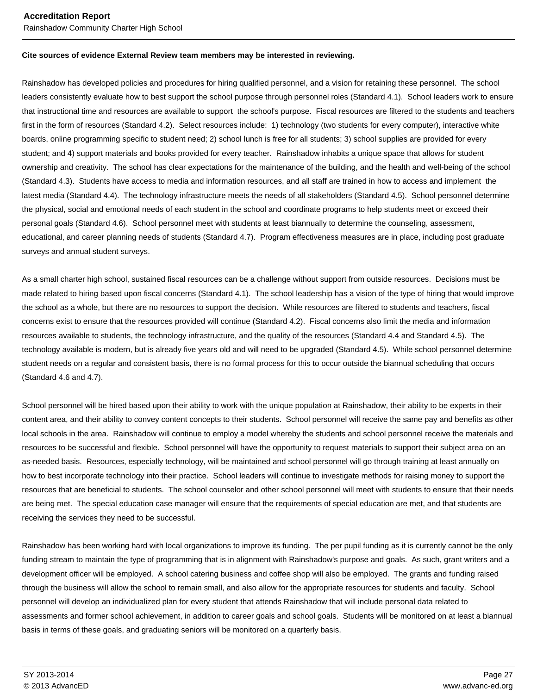#### **Accreditation Report** Rainshadow Community Charter High School

#### **Cite sources of evidence External Review team members may be interested in reviewing.**

Rainshadow has developed policies and procedures for hiring qualified personnel, and a vision for retaining these personnel. The school leaders consistently evaluate how to best support the school purpose through personnel roles (Standard 4.1). School leaders work to ensure that instructional time and resources are available to support the school's purpose. Fiscal resources are filtered to the students and teachers first in the form of resources (Standard 4.2). Select resources include: 1) technology (two students for every computer), interactive white boards, online programming specific to student need; 2) school lunch is free for all students; 3) school supplies are provided for every student; and 4) support materials and books provided for every teacher. Rainshadow inhabits a unique space that allows for student ownership and creativity. The school has clear expectations for the maintenance of the building, and the health and well-being of the school (Standard 4.3). Students have access to media and information resources, and all staff are trained in how to access and implement the latest media (Standard 4.4). The technology infrastructure meets the needs of all stakeholders (Standard 4.5). School personnel determine the physical, social and emotional needs of each student in the school and coordinate programs to help students meet or exceed their personal goals (Standard 4.6). School personnel meet with students at least biannually to determine the counseling, assessment, educational, and career planning needs of students (Standard 4.7). Program effectiveness measures are in place, including post graduate surveys and annual student surveys.

As a small charter high school, sustained fiscal resources can be a challenge without support from outside resources. Decisions must be made related to hiring based upon fiscal concerns (Standard 4.1). The school leadership has a vision of the type of hiring that would improve the school as a whole, but there are no resources to support the decision. While resources are filtered to students and teachers, fiscal concerns exist to ensure that the resources provided will continue (Standard 4.2). Fiscal concerns also limit the media and information resources available to students, the technology infrastructure, and the quality of the resources (Standard 4.4 and Standard 4.5). The technology available is modern, but is already five years old and will need to be upgraded (Standard 4.5). While school personnel determine student needs on a regular and consistent basis, there is no formal process for this to occur outside the biannual scheduling that occurs (Standard 4.6 and 4.7).

School personnel will be hired based upon their ability to work with the unique population at Rainshadow, their ability to be experts in their content area, and their ability to convey content concepts to their students. School personnel will receive the same pay and benefits as other local schools in the area. Rainshadow will continue to employ a model whereby the students and school personnel receive the materials and resources to be successful and flexible. School personnel will have the opportunity to request materials to support their subject area on an as-needed basis. Resources, especially technology, will be maintained and school personnel will go through training at least annually on how to best incorporate technology into their practice. School leaders will continue to investigate methods for raising money to support the resources that are beneficial to students. The school counselor and other school personnel will meet with students to ensure that their needs are being met. The special education case manager will ensure that the requirements of special education are met, and that students are receiving the services they need to be successful.

Rainshadow has been working hard with local organizations to improve its funding. The per pupil funding as it is currently cannot be the only funding stream to maintain the type of programming that is in alignment with Rainshadow's purpose and goals. As such, grant writers and a development officer will be employed. A school catering business and coffee shop will also be employed. The grants and funding raised through the business will allow the school to remain small, and also allow for the appropriate resources for students and faculty. School personnel will develop an individualized plan for every student that attends Rainshadow that will include personal data related to assessments and former school achievement, in addition to career goals and school goals. Students will be monitored on at least a biannual basis in terms of these goals, and graduating seniors will be monitored on a quarterly basis.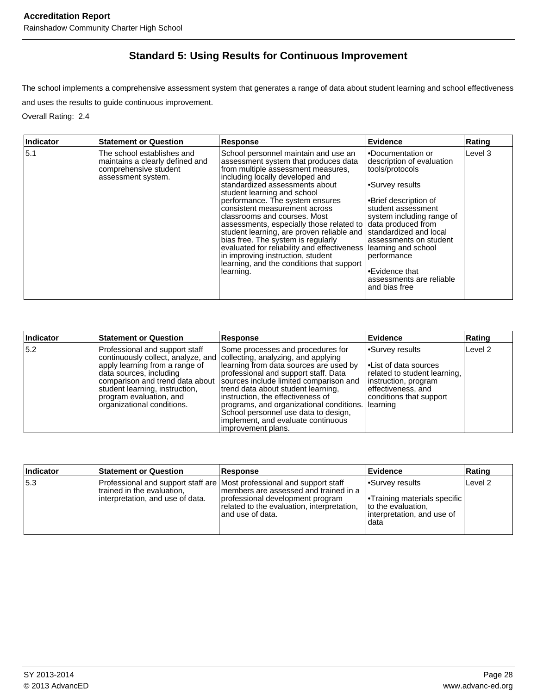## **Standard 5: Using Results for Continuous Improvement**

The school implements a comprehensive assessment system that generates a range of data about student learning and school effectiveness and uses the results to guide continuous improvement.

Overall Rating: 2.4

| Indicator | <b>Statement or Question</b>                                                                                 | <b>Response</b>                                                                                                                                                                                                                                                                                                                                                                                                                                                                                                                                                                                         | Evidence                                                                                                                                                                                                                                                                                                                                        | Rating  |
|-----------|--------------------------------------------------------------------------------------------------------------|---------------------------------------------------------------------------------------------------------------------------------------------------------------------------------------------------------------------------------------------------------------------------------------------------------------------------------------------------------------------------------------------------------------------------------------------------------------------------------------------------------------------------------------------------------------------------------------------------------|-------------------------------------------------------------------------------------------------------------------------------------------------------------------------------------------------------------------------------------------------------------------------------------------------------------------------------------------------|---------|
| 5.1       | The school establishes and<br>maintains a clearly defined and<br>comprehensive student<br>assessment system. | School personnel maintain and use an<br>assessment system that produces data<br>from multiple assessment measures,<br>including locally developed and<br>standardized assessments about<br>student learning and school<br>performance. The system ensures<br>consistent measurement across<br>classrooms and courses. Most<br>assessments, especially those related to<br>student learning, are proven reliable and<br>bias free. The system is regularly<br>evaluated for reliability and effectiveness<br>in improving instruction, student<br>learning, and the conditions that support<br>learning. | •Documentation or<br>description of evaluation<br>tools/protocols<br>•Survey results<br>•Brief description of<br>student assessment<br>system including range of<br>data produced from<br>standardized and local<br>assessments on student<br>learning and school<br>performance<br>●Evidence that<br>assessments are reliable<br>and bias free | Level 3 |

| Indicator | <b>Statement or Question</b>                                                                                                                                                             | <b>Response</b>                                                                                                                                                                                                                                                                                                                                                                                                                                                                                      | <b>Evidence</b>                                                                                                                                         | Rating  |
|-----------|------------------------------------------------------------------------------------------------------------------------------------------------------------------------------------------|------------------------------------------------------------------------------------------------------------------------------------------------------------------------------------------------------------------------------------------------------------------------------------------------------------------------------------------------------------------------------------------------------------------------------------------------------------------------------------------------------|---------------------------------------------------------------------------------------------------------------------------------------------------------|---------|
| 5.2       | Professional and support staff<br>lapply learning from a range of<br>Idata sources, including<br>student learning, instruction,<br>program evaluation, and<br>organizational conditions. | Some processes and procedures for<br>continuously collect, analyze, and collecting, analyzing, and applying<br>learning from data sources are used by<br>professional and support staff. Data<br>comparison and trend data about   sources include limited comparison and<br>trend data about student learning,<br>Instruction, the effectiveness of<br>programs, and organizational conditions.<br>School personnel use data to design,<br>implement, and evaluate continuous<br>improvement plans. | Survey results<br><b>Example 1</b><br>related to student learning.<br>instruction, program<br>effectiveness, and<br>conditions that support<br>learning | Level 2 |

| Indicator | <b>Statement or Question</b>                                    | <b>Response</b>                                                                                                                                                                                                         | ∣Evidence                                                                                                                | Rating             |
|-----------|-----------------------------------------------------------------|-------------------------------------------------------------------------------------------------------------------------------------------------------------------------------------------------------------------------|--------------------------------------------------------------------------------------------------------------------------|--------------------|
| 5.3       | trained in the evaluation,<br>linterpretation, and use of data. | Professional and support staff are Most professional and support staff<br>Imembers are assessed and trained in a<br>professional development program<br>related to the evaluation, interpretation,<br>land use of data. | <b>Survey results</b><br><b>Training materials specific</b><br>Ito the evaluation.<br>interpretation, and use of<br>data | Level <sub>2</sub> |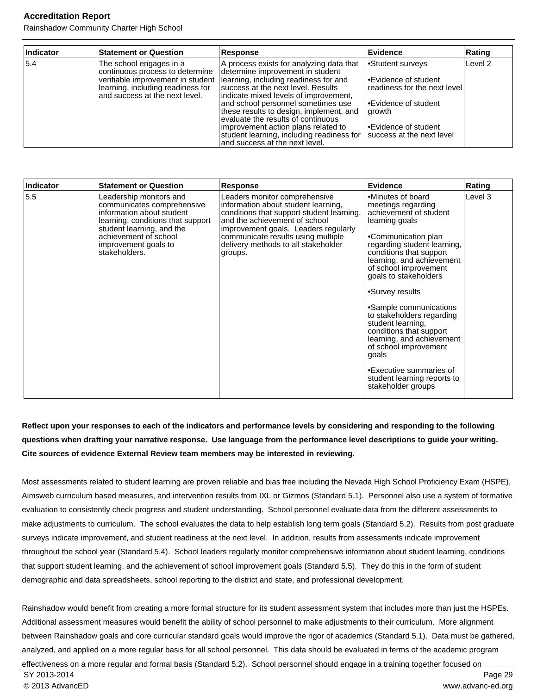Rainshadow Community Charter High School

| Indicator | <b>Statement or Question</b>                                                                                                      | <b>Response</b>                                                                                                                                                                                                                                                                                                                                                                                                                                                                       | <b>Evidence</b>                                                                                                                                                     | Rating             |
|-----------|-----------------------------------------------------------------------------------------------------------------------------------|---------------------------------------------------------------------------------------------------------------------------------------------------------------------------------------------------------------------------------------------------------------------------------------------------------------------------------------------------------------------------------------------------------------------------------------------------------------------------------------|---------------------------------------------------------------------------------------------------------------------------------------------------------------------|--------------------|
| 5.4       | The school engages in a<br>continuous process to determine<br>learning, including readiness for<br>and success at the next level. | A process exists for analyzing data that<br>determine improvement in student<br>verifiable improvement in student   learning, including readiness for and<br>success at the next level. Results<br>indicate mixed levels of improvement,<br>and school personnel sometimes use<br>these results to design, implement, and<br>evaluate the results of continuous<br>improvement action plans related to<br>student learning, including readiness for<br>and success at the next level. | Student surveys<br>l∙Evidence of student<br>readiness for the next level<br>l•Evidence of student<br>∣growth<br>l∙Evidence of student<br>Isuccess at the next level | Level <sub>2</sub> |

| Indicator | <b>Statement or Question</b>                                                                                                                                                                                           | <b>Response</b>                                                                                                                                                                                                                                                                    | <b>Evidence</b>                                                                                                                                                                                                                                                                                                                                                                                                                                                                                                                  | Rating  |
|-----------|------------------------------------------------------------------------------------------------------------------------------------------------------------------------------------------------------------------------|------------------------------------------------------------------------------------------------------------------------------------------------------------------------------------------------------------------------------------------------------------------------------------|----------------------------------------------------------------------------------------------------------------------------------------------------------------------------------------------------------------------------------------------------------------------------------------------------------------------------------------------------------------------------------------------------------------------------------------------------------------------------------------------------------------------------------|---------|
| 5.5       | Leadership monitors and<br>communicates comprehensive<br>information about student<br>learning, conditions that support<br>student learning, and the<br>achievement of school<br>improvement goals to<br>stakeholders. | Leaders monitor comprehensive<br>information about student learning,<br>conditions that support student learning,<br>and the achievement of school<br>improvement goals. Leaders regularly<br>communicate results using multiple<br>delivery methods to all stakeholder<br>groups. | Minutes of board<br>meetings regarding<br>achievement of student<br>learning goals<br>Communication plan<br>regarding student learning,<br>conditions that support<br>learning, and achievement<br>of school improvement<br>goals to stakeholders<br>•Survey results<br>•Sample communications<br>to stakeholders regarding<br>student learning,<br>conditions that support<br>learning, and achievement<br>of school improvement<br>goals<br><b>Executive summaries of</b><br>student learning reports to<br>stakeholder groups | Level 3 |

#### **Reflect upon your responses to each of the indicators and performance levels by considering and responding to the following questions when drafting your narrative response. Use language from the performance level descriptions to guide your writing. Cite sources of evidence External Review team members may be interested in reviewing.**

Most assessments related to student learning are proven reliable and bias free including the Nevada High School Proficiency Exam (HSPE), Aimsweb curriculum based measures, and intervention results from IXL or Gizmos (Standard 5.1). Personnel also use a system of formative evaluation to consistently check progress and student understanding. School personnel evaluate data from the different assessments to make adjustments to curriculum. The school evaluates the data to help establish long term goals (Standard 5.2). Results from post graduate surveys indicate improvement, and student readiness at the next level. In addition, results from assessments indicate improvement throughout the school year (Standard 5.4). School leaders regularly monitor comprehensive information about student learning, conditions that support student learning, and the achievement of school improvement goals (Standard 5.5). They do this in the form of student demographic and data spreadsheets, school reporting to the district and state, and professional development.

Rainshadow would benefit from creating a more formal structure for its student assessment system that includes more than just the HSPEs. Additional assessment measures would benefit the ability of school personnel to make adjustments to their curriculum. More alignment between Rainshadow goals and core curricular standard goals would improve the rigor of academics (Standard 5.1). Data must be gathered, analyzed, and applied on a more regular basis for all school personnel. This data should be evaluated in terms of the academic program effectiveness on a more regular and formal basis (Standard 5.2). School personnel should engage in a training together focused on SY 2013-2014 Page 29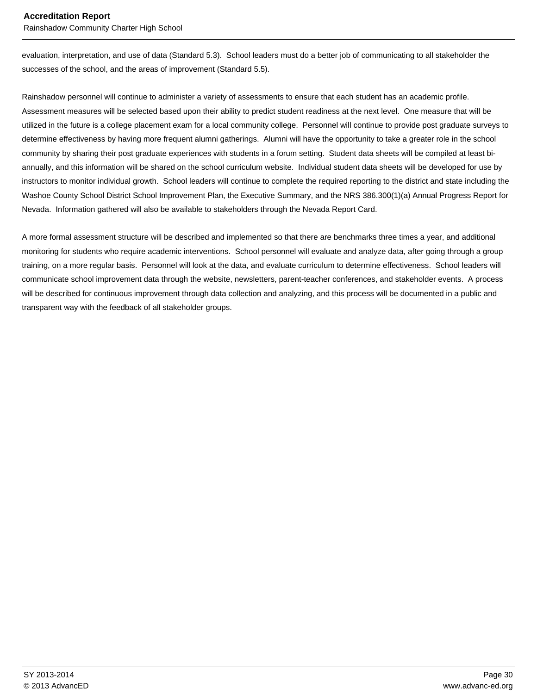Rainshadow Community Charter High School

evaluation, interpretation, and use of data (Standard 5.3). School leaders must do a better job of communicating to all stakeholder the successes of the school, and the areas of improvement (Standard 5.5).

Rainshadow personnel will continue to administer a variety of assessments to ensure that each student has an academic profile. Assessment measures will be selected based upon their ability to predict student readiness at the next level. One measure that will be utilized in the future is a college placement exam for a local community college. Personnel will continue to provide post graduate surveys to determine effectiveness by having more frequent alumni gatherings. Alumni will have the opportunity to take a greater role in the school community by sharing their post graduate experiences with students in a forum setting. Student data sheets will be compiled at least biannually, and this information will be shared on the school curriculum website. Individual student data sheets will be developed for use by instructors to monitor individual growth. School leaders will continue to complete the required reporting to the district and state including the Washoe County School District School Improvement Plan, the Executive Summary, and the NRS 386.300(1)(a) Annual Progress Report for Nevada. Information gathered will also be available to stakeholders through the Nevada Report Card.

A more formal assessment structure will be described and implemented so that there are benchmarks three times a year, and additional monitoring for students who require academic interventions. School personnel will evaluate and analyze data, after going through a group training, on a more regular basis. Personnel will look at the data, and evaluate curriculum to determine effectiveness. School leaders will communicate school improvement data through the website, newsletters, parent-teacher conferences, and stakeholder events. A process will be described for continuous improvement through data collection and analyzing, and this process will be documented in a public and transparent way with the feedback of all stakeholder groups.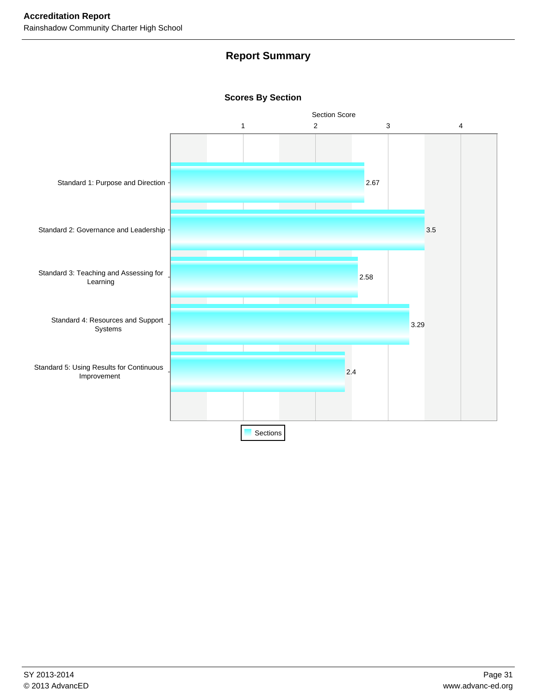## **Report Summary**

#### **Scores By Section**

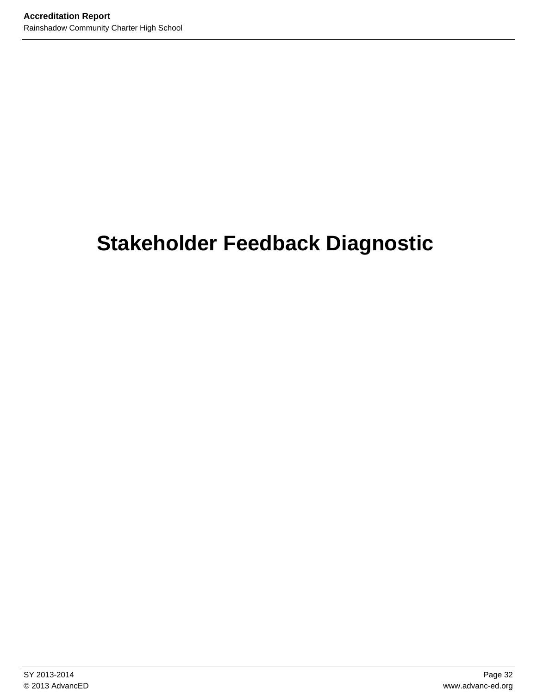# **Stakeholder Feedback Diagnostic**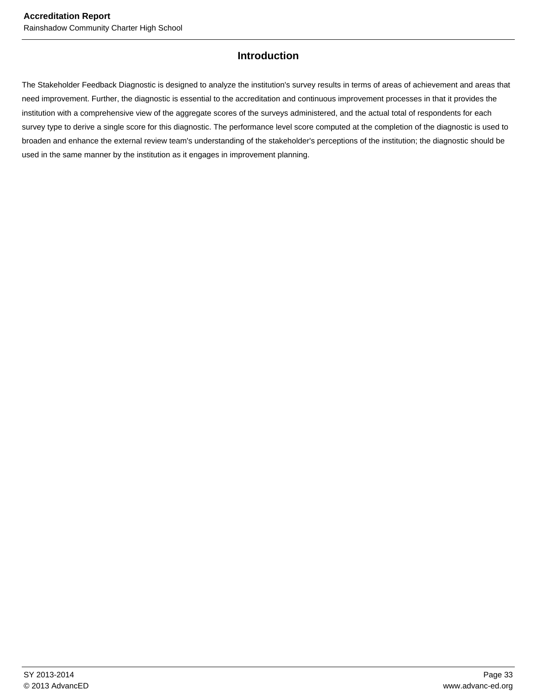#### **Introduction**

The Stakeholder Feedback Diagnostic is designed to analyze the institution's survey results in terms of areas of achievement and areas that need improvement. Further, the diagnostic is essential to the accreditation and continuous improvement processes in that it provides the institution with a comprehensive view of the aggregate scores of the surveys administered, and the actual total of respondents for each survey type to derive a single score for this diagnostic. The performance level score computed at the completion of the diagnostic is used to broaden and enhance the external review team's understanding of the stakeholder's perceptions of the institution; the diagnostic should be used in the same manner by the institution as it engages in improvement planning.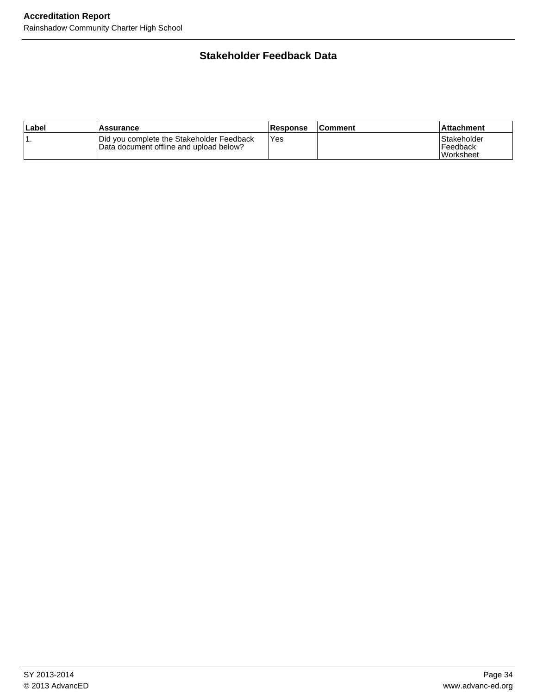## **Stakeholder Feedback Data**

| ∣Label | Assurance                                                                            | <b>Response</b> | <b>Comment</b> | ∣Attachment∶                                       |
|--------|--------------------------------------------------------------------------------------|-----------------|----------------|----------------------------------------------------|
|        | Did you complete the Stakeholder Feedback<br>Data document offline and upload below? | Yes             |                | Stakeholder<br><b>Feedback</b><br><b>Worksheet</b> |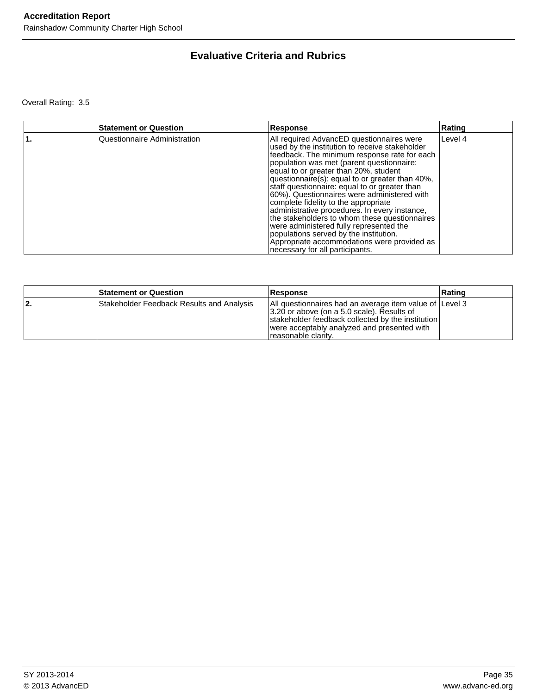## **Evaluative Criteria and Rubrics**

Overall Rating: 3.5

| <b>Statement or Question</b> | Response                                                                                                                                                                                                                                                                                                                                                                                                                                                                                                                                                                                                                                                                                              | Rating  |
|------------------------------|-------------------------------------------------------------------------------------------------------------------------------------------------------------------------------------------------------------------------------------------------------------------------------------------------------------------------------------------------------------------------------------------------------------------------------------------------------------------------------------------------------------------------------------------------------------------------------------------------------------------------------------------------------------------------------------------------------|---------|
| Questionnaire Administration | All required AdvancED questionnaires were<br>used by the institution to receive stakeholder<br>feedback. The minimum response rate for each<br>population was met (parent questionnaire:<br>equal to or greater than 20%, student<br>questionnaire(s): equal to or greater than 40%,<br>staff questionnaire: equal to or greater than<br>60%). Questionnaires were administered with<br>complete fidelity to the appropriate<br>administrative procedures. In every instance,<br>the stakeholders to whom these questionnaires<br>were administered fully represented the<br>populations served by the institution.<br>Appropriate accommodations were provided as<br>necessary for all participants. | Level 4 |

|     | <b>Statement or Question</b>              | <b>Response</b>                                                                                                                                                                                                                   | ∣Ratinɑ |
|-----|-------------------------------------------|-----------------------------------------------------------------------------------------------------------------------------------------------------------------------------------------------------------------------------------|---------|
| 12. | Stakeholder Feedback Results and Analysis | All questionnaires had an average item value of Level 3<br>13.20 or above (on a 5.0 scale). Results of<br>stakeholder feedback collected by the institution<br>were acceptably analyzed and presented with<br>reasonable clarity. |         |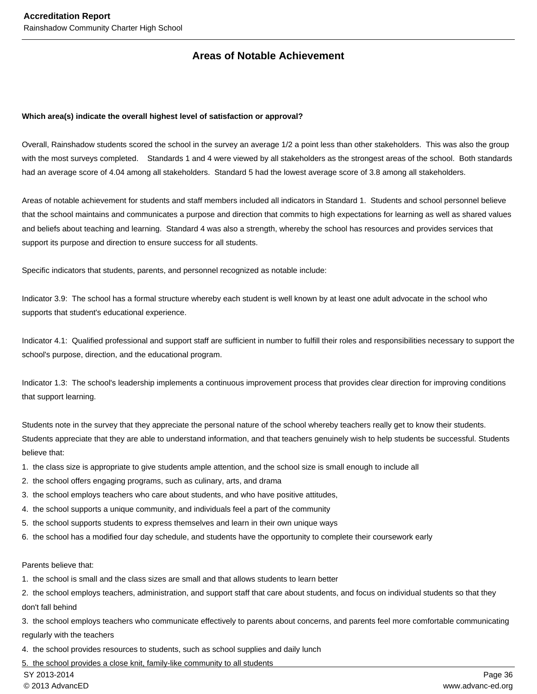## **Areas of Notable Achievement**

#### **Which area(s) indicate the overall highest level of satisfaction or approval?**

Overall, Rainshadow students scored the school in the survey an average 1/2 a point less than other stakeholders. This was also the group with the most surveys completed. Standards 1 and 4 were viewed by all stakeholders as the strongest areas of the school. Both standards had an average score of 4.04 among all stakeholders. Standard 5 had the lowest average score of 3.8 among all stakeholders.

Areas of notable achievement for students and staff members included all indicators in Standard 1. Students and school personnel believe that the school maintains and communicates a purpose and direction that commits to high expectations for learning as well as shared values and beliefs about teaching and learning. Standard 4 was also a strength, whereby the school has resources and provides services that support its purpose and direction to ensure success for all students.

Specific indicators that students, parents, and personnel recognized as notable include:

Indicator 3.9: The school has a formal structure whereby each student is well known by at least one adult advocate in the school who supports that student's educational experience.

Indicator 4.1: Qualified professional and support staff are sufficient in number to fulfill their roles and responsibilities necessary to support the school's purpose, direction, and the educational program.

Indicator 1.3: The school's leadership implements a continuous improvement process that provides clear direction for improving conditions that support learning.

Students note in the survey that they appreciate the personal nature of the school whereby teachers really get to know their students. Students appreciate that they are able to understand information, and that teachers genuinely wish to help students be successful. Students believe that:

- 1. the class size is appropriate to give students ample attention, and the school size is small enough to include all
- 2. the school offers engaging programs, such as culinary, arts, and drama
- 3. the school employs teachers who care about students, and who have positive attitudes,
- 4. the school supports a unique community, and individuals feel a part of the community
- 5. the school supports students to express themselves and learn in their own unique ways
- 6. the school has a modified four day schedule, and students have the opportunity to complete their coursework early

#### Parents believe that:

- 1. the school is small and the class sizes are small and that allows students to learn better
- 2. the school employs teachers, administration, and support staff that care about students, and focus on individual students so that they don't fall behind
- 3. the school employs teachers who communicate effectively to parents about concerns, and parents feel more comfortable communicating regularly with the teachers
- 4. the school provides resources to students, such as school supplies and daily lunch
- 5. the school provides a close knit, family-like community to all students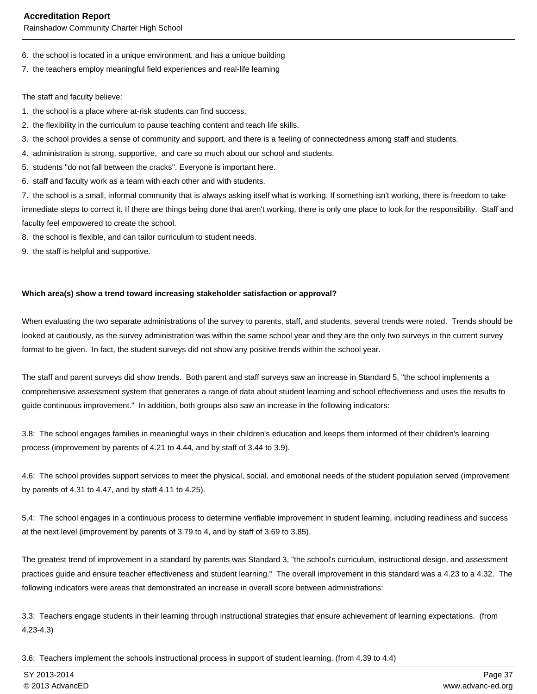Rainshadow Community Charter High School

- 6. the school is located in a unique environment, and has a unique building
- 7. the teachers employ meaningful field experiences and real-life learning

The staff and faculty believe:

- 1. the school is a place where at-risk students can find success.
- 2. the flexibility in the curriculum to pause teaching content and teach life skills.
- 3. the school provides a sense of community and support, and there is a feeling of connectedness among staff and students.
- 4. administration is strong, supportive, and care so much about our school and students.
- 5. students "do not fall between the cracks". Everyone is important here.
- 6. staff and faculty work as a team with each other and with students.

7. the school is a small, informal community that is always asking itself what is working. If something isn't working, there is freedom to take immediate steps to correct it. If there are things being done that aren't working, there is only one place to look for the responsibility. Staff and faculty feel empowered to create the school.

- 8. the school is flexible, and can tailor curriculum to student needs.
- 9. the staff is helpful and supportive.

#### **Which area(s) show a trend toward increasing stakeholder satisfaction or approval?**

When evaluating the two separate administrations of the survey to parents, staff, and students, several trends were noted. Trends should be looked at cautiously, as the survey administration was within the same school year and they are the only two surveys in the current survey format to be given. In fact, the student surveys did not show any positive trends within the school year.

The staff and parent surveys did show trends. Both parent and staff surveys saw an increase in Standard 5, "the school implements a comprehensive assessment system that generates a range of data about student learning and school effectiveness and uses the results to guide continuous improvement." In addition, both groups also saw an increase in the following indicators:

3.8: The school engages families in meaningful ways in their children's education and keeps them informed of their children's learning process (improvement by parents of 4.21 to 4.44, and by staff of 3.44 to 3.9).

4.6: The school provides support services to meet the physical, social, and emotional needs of the student population served (improvement by parents of 4.31 to 4.47, and by staff 4.11 to 4.25).

5.4: The school engages in a continuous process to determine verifiable improvement in student learning, including readiness and success at the next level (improvement by parents of 3.79 to 4, and by staff of 3.69 to 3.85).

The greatest trend of improvement in a standard by parents was Standard 3, "the school's curriculum, instructional design, and assessment practices guide and ensure teacher effectiveness and student learning." The overall improvement in this standard was a 4.23 to a 4.32. The following indicators were areas that demonstrated an increase in overall score between administrations:

3.3: Teachers engage students in their learning through instructional strategies that ensure achievement of learning expectations. (from 4.23-4.3)

3.6: Teachers implement the schools instructional process in support of student learning. (from 4.39 to 4.4)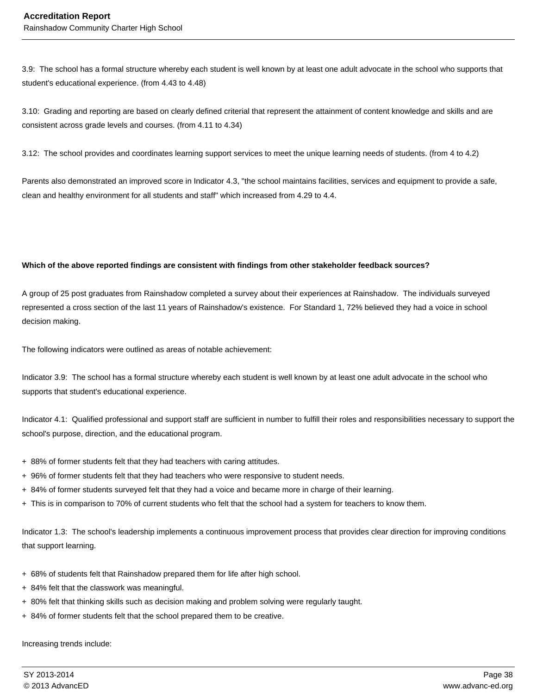3.9: The school has a formal structure whereby each student is well known by at least one adult advocate in the school who supports that student's educational experience. (from 4.43 to 4.48)

3.10: Grading and reporting are based on clearly defined criterial that represent the attainment of content knowledge and skills and are consistent across grade levels and courses. (from 4.11 to 4.34)

3.12: The school provides and coordinates learning support services to meet the unique learning needs of students. (from 4 to 4.2)

Parents also demonstrated an improved score in Indicator 4.3, "the school maintains facilities, services and equipment to provide a safe, clean and healthy environment for all students and staff" which increased from 4.29 to 4.4.

#### **Which of the above reported findings are consistent with findings from other stakeholder feedback sources?**

A group of 25 post graduates from Rainshadow completed a survey about their experiences at Rainshadow. The individuals surveyed represented a cross section of the last 11 years of Rainshadow's existence. For Standard 1, 72% believed they had a voice in school decision making.

The following indicators were outlined as areas of notable achievement:

Indicator 3.9: The school has a formal structure whereby each student is well known by at least one adult advocate in the school who supports that student's educational experience.

Indicator 4.1: Qualified professional and support staff are sufficient in number to fulfill their roles and responsibilities necessary to support the school's purpose, direction, and the educational program.

- + 88% of former students felt that they had teachers with caring attitudes.
- + 96% of former students felt that they had teachers who were responsive to student needs.
- + 84% of former students surveyed felt that they had a voice and became more in charge of their learning.
- + This is in comparison to 70% of current students who felt that the school had a system for teachers to know them.

Indicator 1.3: The school's leadership implements a continuous improvement process that provides clear direction for improving conditions that support learning.

- + 68% of students felt that Rainshadow prepared them for life after high school.
- + 84% felt that the classwork was meaningful.
- + 80% felt that thinking skills such as decision making and problem solving were regularly taught.
- + 84% of former students felt that the school prepared them to be creative.

Increasing trends include: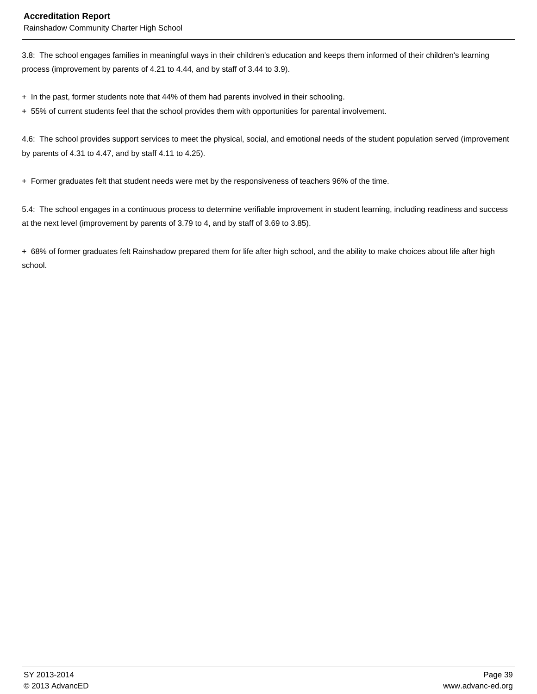#### **Accreditation Report**

Rainshadow Community Charter High School

3.8: The school engages families in meaningful ways in their children's education and keeps them informed of their children's learning process (improvement by parents of 4.21 to 4.44, and by staff of 3.44 to 3.9).

+ In the past, former students note that 44% of them had parents involved in their schooling.

+ 55% of current students feel that the school provides them with opportunities for parental involvement.

4.6: The school provides support services to meet the physical, social, and emotional needs of the student population served (improvement by parents of 4.31 to 4.47, and by staff 4.11 to 4.25).

+ Former graduates felt that student needs were met by the responsiveness of teachers 96% of the time.

5.4: The school engages in a continuous process to determine verifiable improvement in student learning, including readiness and success at the next level (improvement by parents of 3.79 to 4, and by staff of 3.69 to 3.85).

+ 68% of former graduates felt Rainshadow prepared them for life after high school, and the ability to make choices about life after high school.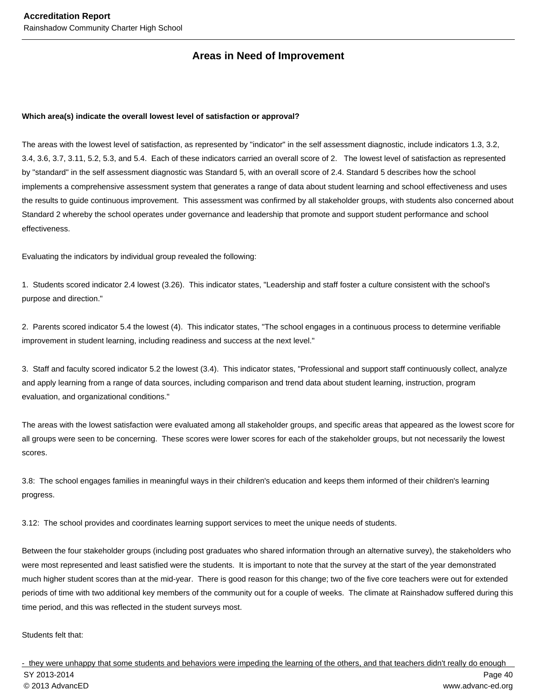## **Areas in Need of Improvement**

#### **Which area(s) indicate the overall lowest level of satisfaction or approval?**

The areas with the lowest level of satisfaction, as represented by "indicator" in the self assessment diagnostic, include indicators 1.3, 3.2, 3.4, 3.6, 3.7, 3.11, 5.2, 5.3, and 5.4. Each of these indicators carried an overall score of 2. The lowest level of satisfaction as represented by "standard" in the self assessment diagnostic was Standard 5, with an overall score of 2.4. Standard 5 describes how the school implements a comprehensive assessment system that generates a range of data about student learning and school effectiveness and uses the results to guide continuous improvement. This assessment was confirmed by all stakeholder groups, with students also concerned about Standard 2 whereby the school operates under governance and leadership that promote and support student performance and school effectiveness.

Evaluating the indicators by individual group revealed the following:

1. Students scored indicator 2.4 lowest (3.26). This indicator states, "Leadership and staff foster a culture consistent with the school's purpose and direction."

2. Parents scored indicator 5.4 the lowest (4). This indicator states, "The school engages in a continuous process to determine verifiable improvement in student learning, including readiness and success at the next level."

3. Staff and faculty scored indicator 5.2 the lowest (3.4). This indicator states, "Professional and support staff continuously collect, analyze and apply learning from a range of data sources, including comparison and trend data about student learning, instruction, program evaluation, and organizational conditions."

The areas with the lowest satisfaction were evaluated among all stakeholder groups, and specific areas that appeared as the lowest score for all groups were seen to be concerning. These scores were lower scores for each of the stakeholder groups, but not necessarily the lowest scores.

3.8: The school engages families in meaningful ways in their children's education and keeps them informed of their children's learning progress.

3.12: The school provides and coordinates learning support services to meet the unique needs of students.

Between the four stakeholder groups (including post graduates who shared information through an alternative survey), the stakeholders who were most represented and least satisfied were the students. It is important to note that the survey at the start of the year demonstrated much higher student scores than at the mid-year. There is good reason for this change; two of the five core teachers were out for extended periods of time with two additional key members of the community out for a couple of weeks. The climate at Rainshadow suffered during this time period, and this was reflected in the student surveys most.

Students felt that:

- they were unhappy that some students and behaviors were impeding the learning of the others, and that teachers didn't really do enough SY 2013-2014 Page 40 © 2013 AdvancED www.advanc-ed.org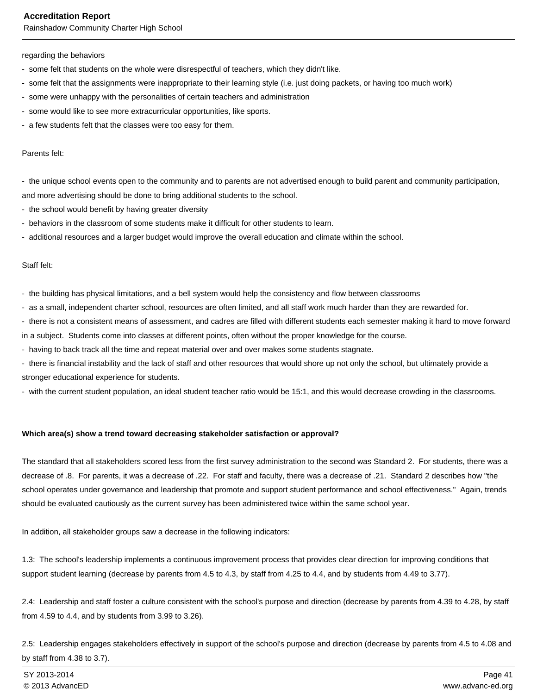Rainshadow Community Charter High School

#### regarding the behaviors

- some felt that students on the whole were disrespectful of teachers, which they didn't like.
- some felt that the assignments were inappropriate to their learning style (i.e. just doing packets, or having too much work)
- some were unhappy with the personalities of certain teachers and administration
- some would like to see more extracurricular opportunities, like sports.
- a few students felt that the classes were too easy for them.

#### Parents felt:

- the unique school events open to the community and to parents are not advertised enough to build parent and community participation, and more advertising should be done to bring additional students to the school.

- the school would benefit by having greater diversity
- behaviors in the classroom of some students make it difficult for other students to learn.
- additional resources and a larger budget would improve the overall education and climate within the school.

#### Staff felt:

- the building has physical limitations, and a bell system would help the consistency and flow between classrooms

- as a small, independent charter school, resources are often limited, and all staff work much harder than they are rewarded for.
- there is not a consistent means of assessment, and cadres are filled with different students each semester making it hard to move forward

in a subject. Students come into classes at different points, often without the proper knowledge for the course.

- having to back track all the time and repeat material over and over makes some students stagnate.
- there is financial instability and the lack of staff and other resources that would shore up not only the school, but ultimately provide a stronger educational experience for students.

- with the current student population, an ideal student teacher ratio would be 15:1, and this would decrease crowding in the classrooms.

#### **Which area(s) show a trend toward decreasing stakeholder satisfaction or approval?**

The standard that all stakeholders scored less from the first survey administration to the second was Standard 2. For students, there was a decrease of .8. For parents, it was a decrease of .22. For staff and faculty, there was a decrease of .21. Standard 2 describes how "the school operates under governance and leadership that promote and support student performance and school effectiveness." Again, trends should be evaluated cautiously as the current survey has been administered twice within the same school year.

In addition, all stakeholder groups saw a decrease in the following indicators:

1.3: The school's leadership implements a continuous improvement process that provides clear direction for improving conditions that support student learning (decrease by parents from 4.5 to 4.3, by staff from 4.25 to 4.4, and by students from 4.49 to 3.77).

2.4: Leadership and staff foster a culture consistent with the school's purpose and direction (decrease by parents from 4.39 to 4.28, by staff from 4.59 to 4.4, and by students from 3.99 to 3.26).

2.5: Leadership engages stakeholders effectively in support of the school's purpose and direction (decrease by parents from 4.5 to 4.08 and by staff from 4.38 to 3.7).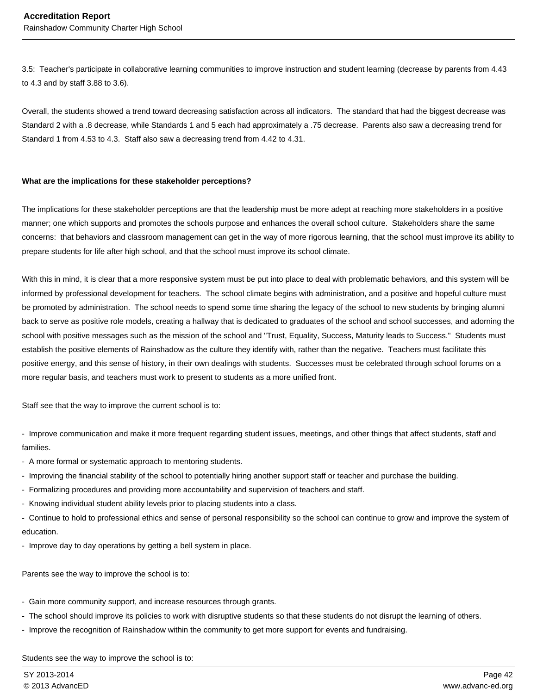3.5: Teacher's participate in collaborative learning communities to improve instruction and student learning (decrease by parents from 4.43 to 4.3 and by staff 3.88 to 3.6).

Overall, the students showed a trend toward decreasing satisfaction across all indicators. The standard that had the biggest decrease was Standard 2 with a .8 decrease, while Standards 1 and 5 each had approximately a .75 decrease. Parents also saw a decreasing trend for Standard 1 from 4.53 to 4.3. Staff also saw a decreasing trend from 4.42 to 4.31.

#### **What are the implications for these stakeholder perceptions?**

The implications for these stakeholder perceptions are that the leadership must be more adept at reaching more stakeholders in a positive manner; one which supports and promotes the schools purpose and enhances the overall school culture. Stakeholders share the same concerns: that behaviors and classroom management can get in the way of more rigorous learning, that the school must improve its ability to prepare students for life after high school, and that the school must improve its school climate.

With this in mind, it is clear that a more responsive system must be put into place to deal with problematic behaviors, and this system will be informed by professional development for teachers. The school climate begins with administration, and a positive and hopeful culture must be promoted by administration. The school needs to spend some time sharing the legacy of the school to new students by bringing alumni back to serve as positive role models, creating a hallway that is dedicated to graduates of the school and school successes, and adorning the school with positive messages such as the mission of the school and "Trust, Equality, Success, Maturity leads to Success." Students must establish the positive elements of Rainshadow as the culture they identify with, rather than the negative. Teachers must facilitate this positive energy, and this sense of history, in their own dealings with students. Successes must be celebrated through school forums on a more regular basis, and teachers must work to present to students as a more unified front.

Staff see that the way to improve the current school is to:

- Improve communication and make it more frequent regarding student issues, meetings, and other things that affect students, staff and families.

- A more formal or systematic approach to mentoring students.

- Improving the financial stability of the school to potentially hiring another support staff or teacher and purchase the building.
- Formalizing procedures and providing more accountability and supervision of teachers and staff.
- Knowing individual student ability levels prior to placing students into a class.

- Continue to hold to professional ethics and sense of personal responsibility so the school can continue to grow and improve the system of education.

- Improve day to day operations by getting a bell system in place.

Parents see the way to improve the school is to:

- Gain more community support, and increase resources through grants.
- The school should improve its policies to work with disruptive students so that these students do not disrupt the learning of others.
- Improve the recognition of Rainshadow within the community to get more support for events and fundraising.

Students see the way to improve the school is to: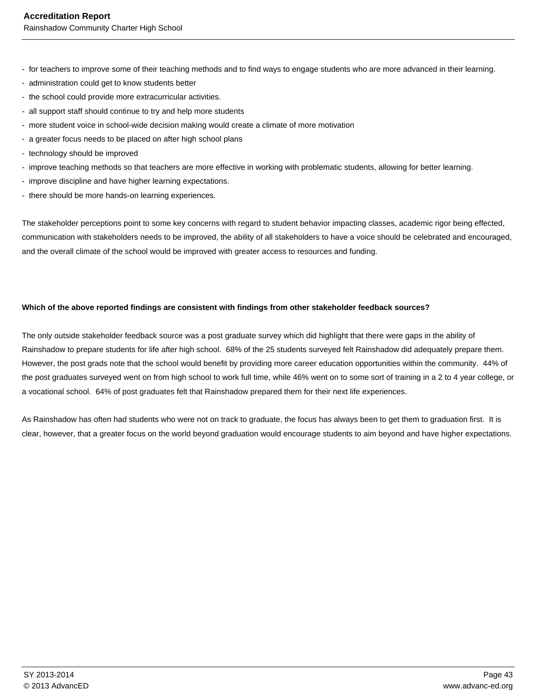- for teachers to improve some of their teaching methods and to find ways to engage students who are more advanced in their learning.
- administration could get to know students better
- the school could provide more extracurricular activities.
- all support staff should continue to try and help more students
- more student voice in school-wide decision making would create a climate of more motivation
- a greater focus needs to be placed on after high school plans
- technology should be improved
- improve teaching methods so that teachers are more effective in working with problematic students, allowing for better learning.
- improve discipline and have higher learning expectations.
- there should be more hands-on learning experiences.

The stakeholder perceptions point to some key concerns with regard to student behavior impacting classes, academic rigor being effected, communication with stakeholders needs to be improved, the ability of all stakeholders to have a voice should be celebrated and encouraged, and the overall climate of the school would be improved with greater access to resources and funding.

#### **Which of the above reported findings are consistent with findings from other stakeholder feedback sources?**

The only outside stakeholder feedback source was a post graduate survey which did highlight that there were gaps in the ability of Rainshadow to prepare students for life after high school. 68% of the 25 students surveyed felt Rainshadow did adequately prepare them. However, the post grads note that the school would benefit by providing more career education opportunities within the community. 44% of the post graduates surveyed went on from high school to work full time, while 46% went on to some sort of training in a 2 to 4 year college, or a vocational school. 64% of post graduates felt that Rainshadow prepared them for their next life experiences.

As Rainshadow has often had students who were not on track to graduate, the focus has always been to get them to graduation first. It is clear, however, that a greater focus on the world beyond graduation would encourage students to aim beyond and have higher expectations.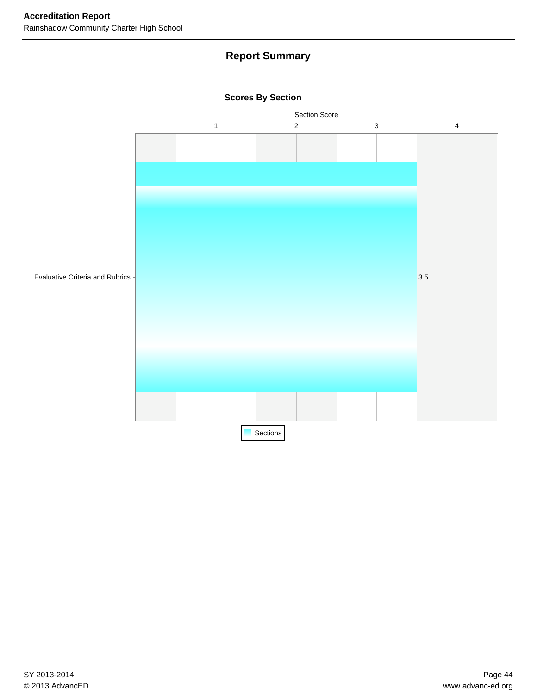## **Report Summary**



### **Scores By Section**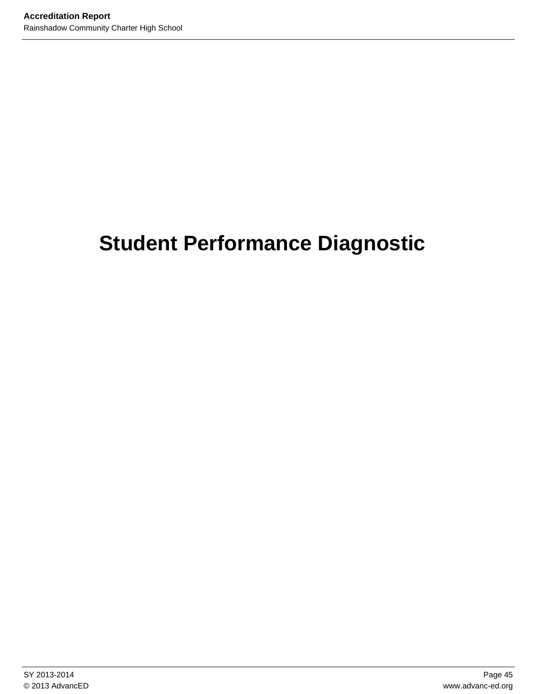# **Student Performance Diagnostic**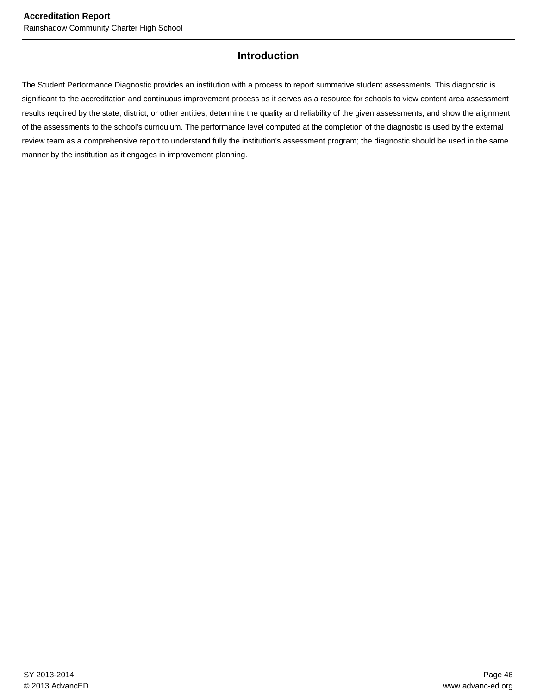## **Introduction**

The Student Performance Diagnostic provides an institution with a process to report summative student assessments. This diagnostic is significant to the accreditation and continuous improvement process as it serves as a resource for schools to view content area assessment results required by the state, district, or other entities, determine the quality and reliability of the given assessments, and show the alignment of the assessments to the school's curriculum. The performance level computed at the completion of the diagnostic is used by the external review team as a comprehensive report to understand fully the institution's assessment program; the diagnostic should be used in the same manner by the institution as it engages in improvement planning.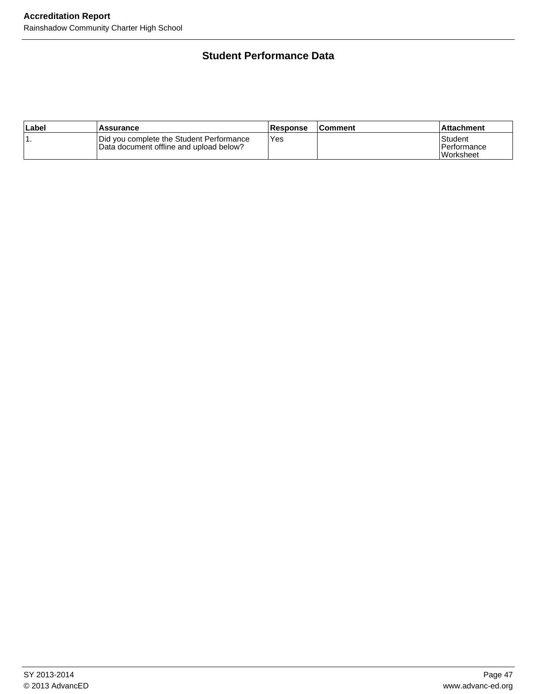## **Student Performance Data**

| ∣Label | Assurance                                                                           | <b>Response</b> | l Comment | l Attachment                                 |
|--------|-------------------------------------------------------------------------------------|-----------------|-----------|----------------------------------------------|
|        | Did you complete the Student Performance<br>Data document offline and upload below? | Yes             |           | Student<br>l Performance<br><b>Worksheet</b> |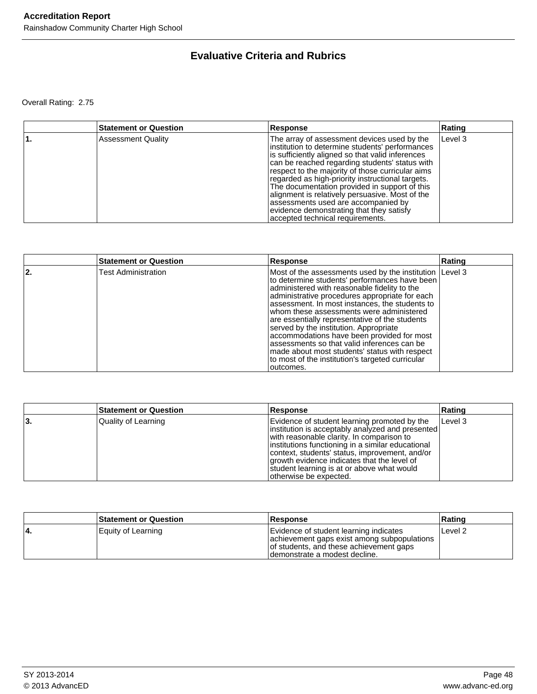## **Evaluative Criteria and Rubrics**

Overall Rating: 2.75

| <b>Statement or Question</b> | <b>Response</b>                                                                                                                                                                                                                                                                                                                                                                                                                                                                                                                         | Rating  |
|------------------------------|-----------------------------------------------------------------------------------------------------------------------------------------------------------------------------------------------------------------------------------------------------------------------------------------------------------------------------------------------------------------------------------------------------------------------------------------------------------------------------------------------------------------------------------------|---------|
| <b>Assessment Quality</b>    | The array of assessment devices used by the<br>institution to determine students' performances<br>is sufficiently aligned so that valid inferences<br>can be reached regarding students' status with<br>respect to the majority of those curricular aims<br>regarded as high-priority instructional targets.<br>The documentation provided in support of this<br>alignment is relatively persuasive. Most of the<br>assessments used are accompanied by<br>evidence demonstrating that they satisfy<br>accepted technical requirements. | Level 3 |

|    | <b>Statement or Question</b> | <b>Response</b>                                                                                                                                                                                                                                                                                                                                                                                                                                                                                                                                                                                                     | Rating |
|----|------------------------------|---------------------------------------------------------------------------------------------------------------------------------------------------------------------------------------------------------------------------------------------------------------------------------------------------------------------------------------------------------------------------------------------------------------------------------------------------------------------------------------------------------------------------------------------------------------------------------------------------------------------|--------|
| 2. | <b>Test Administration</b>   | Most of the assessments used by the institution Level 3<br>to determine students' performances have been<br>administered with reasonable fidelity to the<br>administrative procedures appropriate for each<br>assessment. In most instances, the students to<br>whom these assessments were administered<br>are essentially representative of the students<br>served by the institution. Appropriate<br>accommodations have been provided for most<br>assessments so that valid inferences can be<br>made about most students' status with respect<br>to most of the institution's targeted curricular<br>outcomes. |        |

|     | <b>Statement or Question</b> | Response                                                                                                                                                                                                                                                                                                                                                                      | Rating  |
|-----|------------------------------|-------------------------------------------------------------------------------------------------------------------------------------------------------------------------------------------------------------------------------------------------------------------------------------------------------------------------------------------------------------------------------|---------|
| 13. | Quality of Learning          | Evidence of student learning promoted by the<br> institution is acceptably analyzed and presented<br>with reasonable clarity. In comparison to<br>linstitutions functioning in a similar educational<br>context, students' status, improvement, and/or<br>growth evidence indicates that the level of<br>student learning is at or above what would<br>otherwise be expected. | Level 3 |

|    | <b>Statement or Question</b> | <b>Response</b>                                                                                                                                                     | ∣Ratinɑ |
|----|------------------------------|---------------------------------------------------------------------------------------------------------------------------------------------------------------------|---------|
| 4. | Equity of Learning           | Evidence of student learning indicates<br>achievement gaps exist among subpopulations<br>of students, and these achievement gaps<br>I demonstrate a modest decline. | Level 2 |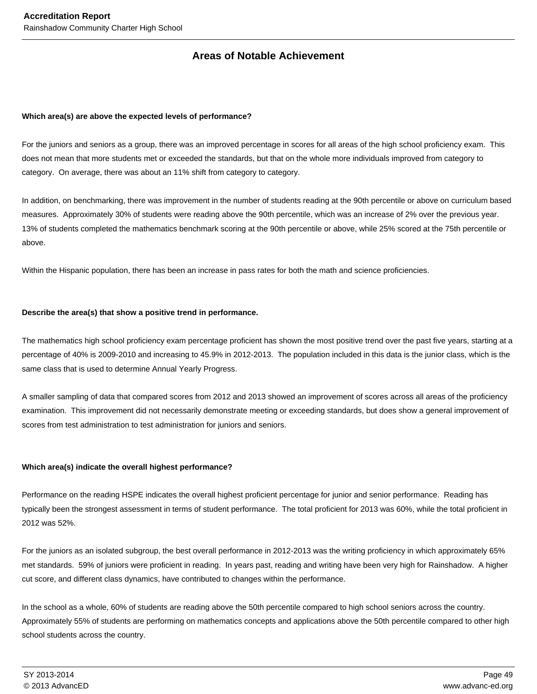## **Areas of Notable Achievement**

#### **Which area(s) are above the expected levels of performance?**

For the juniors and seniors as a group, there was an improved percentage in scores for all areas of the high school proficiency exam. This does not mean that more students met or exceeded the standards, but that on the whole more individuals improved from category to category. On average, there was about an 11% shift from category to category.

In addition, on benchmarking, there was improvement in the number of students reading at the 90th percentile or above on curriculum based measures. Approximately 30% of students were reading above the 90th percentile, which was an increase of 2% over the previous year. 13% of students completed the mathematics benchmark scoring at the 90th percentile or above, while 25% scored at the 75th percentile or above.

Within the Hispanic population, there has been an increase in pass rates for both the math and science proficiencies.

#### **Describe the area(s) that show a positive trend in performance.**

The mathematics high school proficiency exam percentage proficient has shown the most positive trend over the past five years, starting at a percentage of 40% is 2009-2010 and increasing to 45.9% in 2012-2013. The population included in this data is the junior class, which is the same class that is used to determine Annual Yearly Progress.

A smaller sampling of data that compared scores from 2012 and 2013 showed an improvement of scores across all areas of the proficiency examination. This improvement did not necessarily demonstrate meeting or exceeding standards, but does show a general improvement of scores from test administration to test administration for juniors and seniors.

#### **Which area(s) indicate the overall highest performance?**

Performance on the reading HSPE indicates the overall highest proficient percentage for junior and senior performance. Reading has typically been the strongest assessment in terms of student performance. The total proficient for 2013 was 60%, while the total proficient in 2012 was 52%.

For the juniors as an isolated subgroup, the best overall performance in 2012-2013 was the writing proficiency in which approximately 65% met standards. 59% of juniors were proficient in reading. In years past, reading and writing have been very high for Rainshadow. A higher cut score, and different class dynamics, have contributed to changes within the performance.

In the school as a whole, 60% of students are reading above the 50th percentile compared to high school seniors across the country. Approximately 55% of students are performing on mathematics concepts and applications above the 50th percentile compared to other high school students across the country.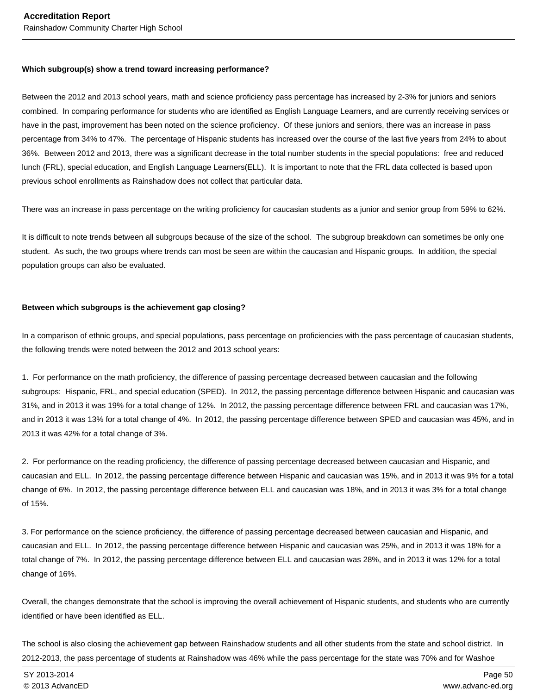#### **Which subgroup(s) show a trend toward increasing performance?**

Between the 2012 and 2013 school years, math and science proficiency pass percentage has increased by 2-3% for juniors and seniors combined. In comparing performance for students who are identified as English Language Learners, and are currently receiving services or have in the past, improvement has been noted on the science proficiency. Of these juniors and seniors, there was an increase in pass percentage from 34% to 47%. The percentage of Hispanic students has increased over the course of the last five years from 24% to about 36%. Between 2012 and 2013, there was a significant decrease in the total number students in the special populations: free and reduced lunch (FRL), special education, and English Language Learners(ELL). It is important to note that the FRL data collected is based upon previous school enrollments as Rainshadow does not collect that particular data.

There was an increase in pass percentage on the writing proficiency for caucasian students as a junior and senior group from 59% to 62%.

It is difficult to note trends between all subgroups because of the size of the school. The subgroup breakdown can sometimes be only one student. As such, the two groups where trends can most be seen are within the caucasian and Hispanic groups. In addition, the special population groups can also be evaluated.

#### **Between which subgroups is the achievement gap closing?**

In a comparison of ethnic groups, and special populations, pass percentage on proficiencies with the pass percentage of caucasian students, the following trends were noted between the 2012 and 2013 school years:

1. For performance on the math proficiency, the difference of passing percentage decreased between caucasian and the following subgroups: Hispanic, FRL, and special education (SPED). In 2012, the passing percentage difference between Hispanic and caucasian was 31%, and in 2013 it was 19% for a total change of 12%. In 2012, the passing percentage difference between FRL and caucasian was 17%, and in 2013 it was 13% for a total change of 4%. In 2012, the passing percentage difference between SPED and caucasian was 45%, and in 2013 it was 42% for a total change of 3%.

2. For performance on the reading proficiency, the difference of passing percentage decreased between caucasian and Hispanic, and caucasian and ELL. In 2012, the passing percentage difference between Hispanic and caucasian was 15%, and in 2013 it was 9% for a total change of 6%. In 2012, the passing percentage difference between ELL and caucasian was 18%, and in 2013 it was 3% for a total change of 15%.

3. For performance on the science proficiency, the difference of passing percentage decreased between caucasian and Hispanic, and caucasian and ELL. In 2012, the passing percentage difference between Hispanic and caucasian was 25%, and in 2013 it was 18% for a total change of 7%. In 2012, the passing percentage difference between ELL and caucasian was 28%, and in 2013 it was 12% for a total change of 16%.

Overall, the changes demonstrate that the school is improving the overall achievement of Hispanic students, and students who are currently identified or have been identified as ELL.

The school is also closing the achievement gap between Rainshadow students and all other students from the state and school district. In 2012-2013, the pass percentage of students at Rainshadow was 46% while the pass percentage for the state was 70% and for Washoe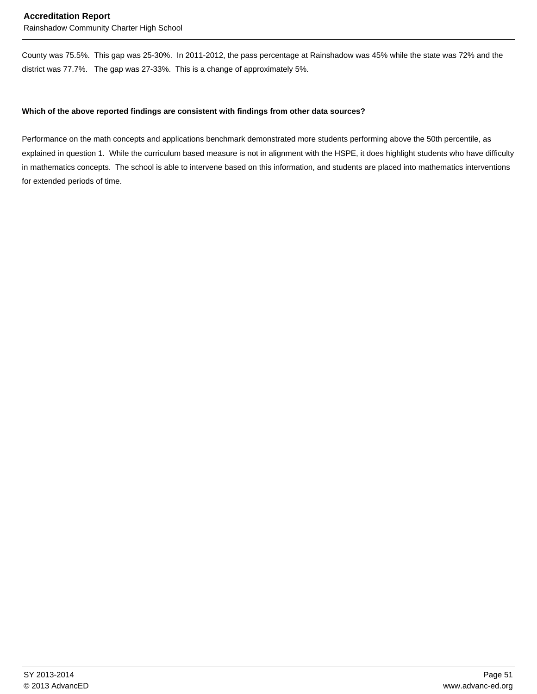#### **Accreditation Report**

Rainshadow Community Charter High School

County was 75.5%. This gap was 25-30%. In 2011-2012, the pass percentage at Rainshadow was 45% while the state was 72% and the district was 77.7%. The gap was 27-33%. This is a change of approximately 5%.

#### **Which of the above reported findings are consistent with findings from other data sources?**

Performance on the math concepts and applications benchmark demonstrated more students performing above the 50th percentile, as explained in question 1. While the curriculum based measure is not in alignment with the HSPE, it does highlight students who have difficulty in mathematics concepts. The school is able to intervene based on this information, and students are placed into mathematics interventions for extended periods of time.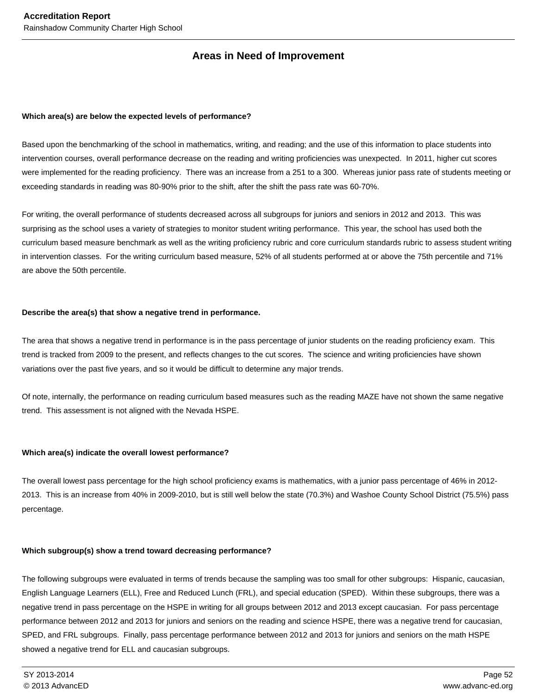## **Areas in Need of Improvement**

#### **Which area(s) are below the expected levels of performance?**

Based upon the benchmarking of the school in mathematics, writing, and reading; and the use of this information to place students into intervention courses, overall performance decrease on the reading and writing proficiencies was unexpected. In 2011, higher cut scores were implemented for the reading proficiency. There was an increase from a 251 to a 300. Whereas junior pass rate of students meeting or exceeding standards in reading was 80-90% prior to the shift, after the shift the pass rate was 60-70%.

For writing, the overall performance of students decreased across all subgroups for juniors and seniors in 2012 and 2013. This was surprising as the school uses a variety of strategies to monitor student writing performance. This year, the school has used both the curriculum based measure benchmark as well as the writing proficiency rubric and core curriculum standards rubric to assess student writing in intervention classes. For the writing curriculum based measure, 52% of all students performed at or above the 75th percentile and 71% are above the 50th percentile.

#### **Describe the area(s) that show a negative trend in performance.**

The area that shows a negative trend in performance is in the pass percentage of junior students on the reading proficiency exam. This trend is tracked from 2009 to the present, and reflects changes to the cut scores. The science and writing proficiencies have shown variations over the past five years, and so it would be difficult to determine any major trends.

Of note, internally, the performance on reading curriculum based measures such as the reading MAZE have not shown the same negative trend. This assessment is not aligned with the Nevada HSPE.

#### **Which area(s) indicate the overall lowest performance?**

The overall lowest pass percentage for the high school proficiency exams is mathematics, with a junior pass percentage of 46% in 2012- 2013. This is an increase from 40% in 2009-2010, but is still well below the state (70.3%) and Washoe County School District (75.5%) pass percentage.

#### **Which subgroup(s) show a trend toward decreasing performance?**

The following subgroups were evaluated in terms of trends because the sampling was too small for other subgroups: Hispanic, caucasian, English Language Learners (ELL), Free and Reduced Lunch (FRL), and special education (SPED). Within these subgroups, there was a negative trend in pass percentage on the HSPE in writing for all groups between 2012 and 2013 except caucasian. For pass percentage performance between 2012 and 2013 for juniors and seniors on the reading and science HSPE, there was a negative trend for caucasian, SPED, and FRL subgroups. Finally, pass percentage performance between 2012 and 2013 for juniors and seniors on the math HSPE showed a negative trend for ELL and caucasian subgroups.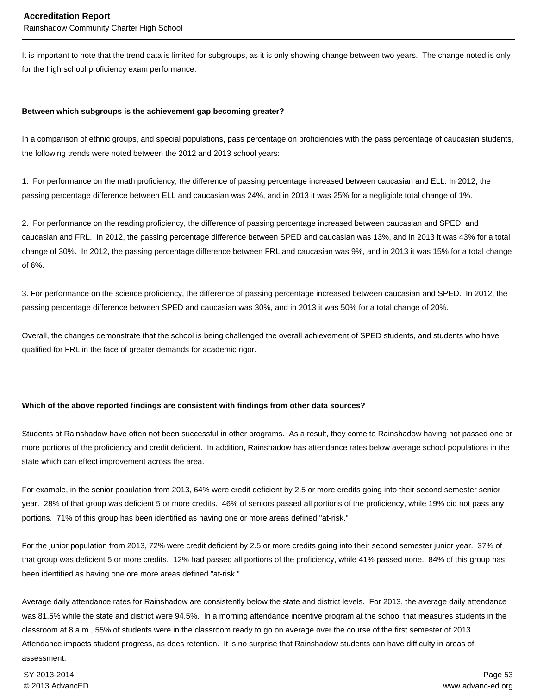It is important to note that the trend data is limited for subgroups, as it is only showing change between two years. The change noted is only for the high school proficiency exam performance.

#### **Between which subgroups is the achievement gap becoming greater?**

In a comparison of ethnic groups, and special populations, pass percentage on proficiencies with the pass percentage of caucasian students, the following trends were noted between the 2012 and 2013 school years:

1. For performance on the math proficiency, the difference of passing percentage increased between caucasian and ELL. In 2012, the passing percentage difference between ELL and caucasian was 24%, and in 2013 it was 25% for a negligible total change of 1%.

2. For performance on the reading proficiency, the difference of passing percentage increased between caucasian and SPED, and caucasian and FRL. In 2012, the passing percentage difference between SPED and caucasian was 13%, and in 2013 it was 43% for a total change of 30%. In 2012, the passing percentage difference between FRL and caucasian was 9%, and in 2013 it was 15% for a total change of 6%.

3. For performance on the science proficiency, the difference of passing percentage increased between caucasian and SPED. In 2012, the passing percentage difference between SPED and caucasian was 30%, and in 2013 it was 50% for a total change of 20%.

Overall, the changes demonstrate that the school is being challenged the overall achievement of SPED students, and students who have qualified for FRL in the face of greater demands for academic rigor.

#### **Which of the above reported findings are consistent with findings from other data sources?**

Students at Rainshadow have often not been successful in other programs. As a result, they come to Rainshadow having not passed one or more portions of the proficiency and credit deficient. In addition, Rainshadow has attendance rates below average school populations in the state which can effect improvement across the area.

For example, in the senior population from 2013, 64% were credit deficient by 2.5 or more credits going into their second semester senior year. 28% of that group was deficient 5 or more credits. 46% of seniors passed all portions of the proficiency, while 19% did not pass any portions. 71% of this group has been identified as having one or more areas defined "at-risk."

For the junior population from 2013, 72% were credit deficient by 2.5 or more credits going into their second semester junior year. 37% of that group was deficient 5 or more credits. 12% had passed all portions of the proficiency, while 41% passed none. 84% of this group has been identified as having one ore more areas defined "at-risk."

Average daily attendance rates for Rainshadow are consistently below the state and district levels. For 2013, the average daily attendance was 81.5% while the state and district were 94.5%. In a morning attendance incentive program at the school that measures students in the classroom at 8 a.m., 55% of students were in the classroom ready to go on average over the course of the first semester of 2013. Attendance impacts student progress, as does retention. It is no surprise that Rainshadow students can have difficulty in areas of assessment.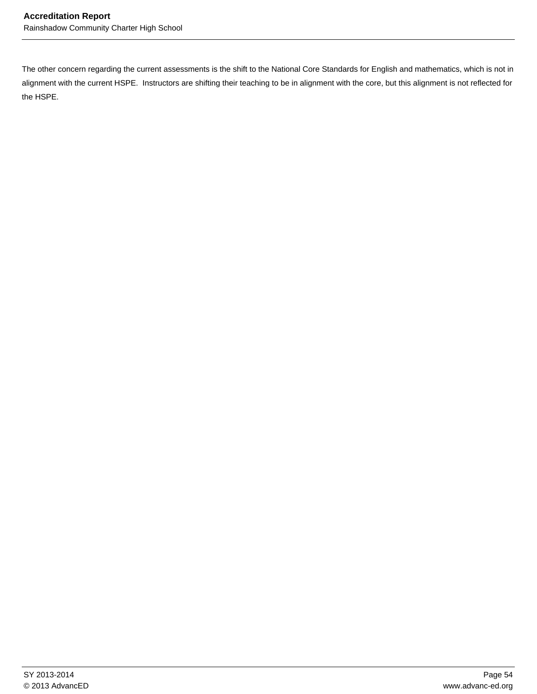The other concern regarding the current assessments is the shift to the National Core Standards for English and mathematics, which is not in alignment with the current HSPE. Instructors are shifting their teaching to be in alignment with the core, but this alignment is not reflected for the HSPE.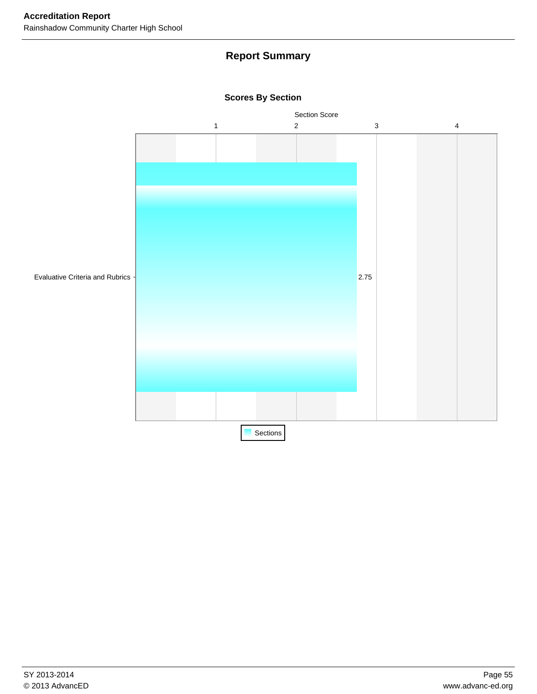## **Report Summary**



**Scores By Section**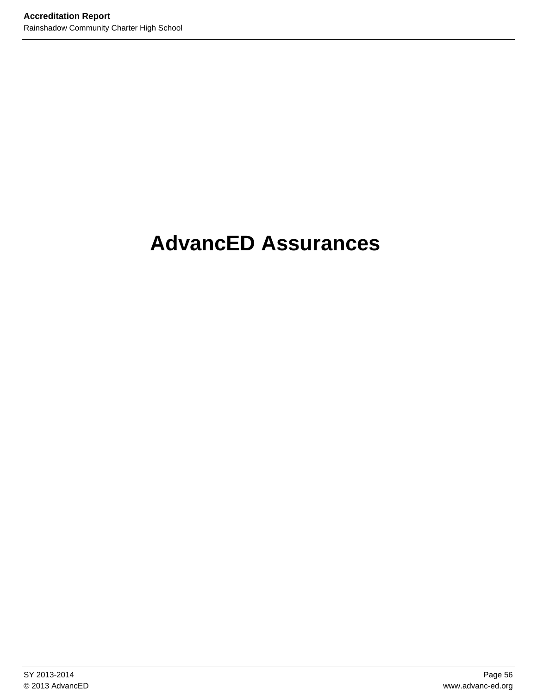# **AdvancED Assurances**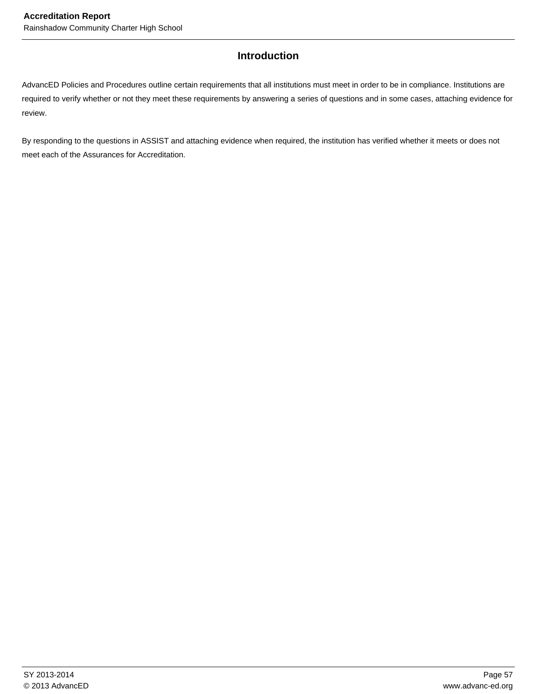## **Introduction**

AdvancED Policies and Procedures outline certain requirements that all institutions must meet in order to be in compliance. Institutions are required to verify whether or not they meet these requirements by answering a series of questions and in some cases, attaching evidence for review.

By responding to the questions in ASSIST and attaching evidence when required, the institution has verified whether it meets or does not meet each of the Assurances for Accreditation.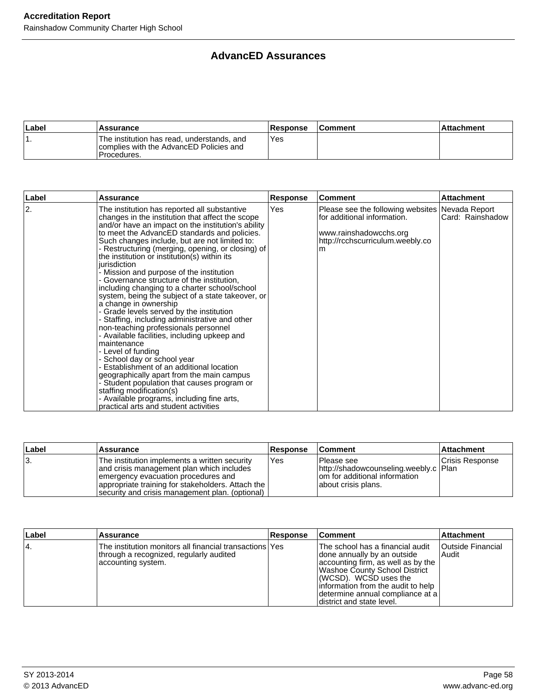## **AdvancED Assurances**

| ∣Label | <b>Assurance</b>                                                                                      | <b>Response</b> | <b>Comment</b> | Attachment |
|--------|-------------------------------------------------------------------------------------------------------|-----------------|----------------|------------|
|        | The institution has read, understands, and<br>complies with the AdvancED Policies and<br>IProcedures. | Yes             |                |            |

| Label | Assurance                                                                                                                                                                                                                                                                                                                                                                                                                                                                                                                                                                                                                                                                                                                                                                                                                                                                                                                                                                                                                                                                                                                 | Response | <b>Comment</b>                                                                                                                                      | <b>Attachment</b> |
|-------|---------------------------------------------------------------------------------------------------------------------------------------------------------------------------------------------------------------------------------------------------------------------------------------------------------------------------------------------------------------------------------------------------------------------------------------------------------------------------------------------------------------------------------------------------------------------------------------------------------------------------------------------------------------------------------------------------------------------------------------------------------------------------------------------------------------------------------------------------------------------------------------------------------------------------------------------------------------------------------------------------------------------------------------------------------------------------------------------------------------------------|----------|-----------------------------------------------------------------------------------------------------------------------------------------------------|-------------------|
| 2.    | The institution has reported all substantive<br>changes in the institution that affect the scope<br>and/or have an impact on the institution's ability<br>to meet the AdvancED standards and policies.<br>Such changes include, but are not limited to:<br>- Restructuring (merging, opening, or closing) of<br>the institution or institution(s) within its<br>iurisdiction<br>- Mission and purpose of the institution<br>- Governance structure of the institution,<br>including changing to a charter school/school<br>system, being the subject of a state takeover, or<br>a change in ownership<br>- Grade levels served by the institution<br>- Staffing, including administrative and other<br>non-teaching professionals personnel<br>- Available facilities, including upkeep and<br>maintenance<br>- Level of funding<br>- School day or school year<br>Establishment of an additional location<br>geographically apart from the main campus<br>- Student population that causes program or<br>staffing modification(s)<br>- Available programs, including fine arts,<br>practical arts and student activities | Yes      | Please see the following websites   Nevada Report<br>for additional information.<br>www.rainshadowcchs.org<br>http://rcchscurriculum.weebly.co<br>m | Card: Rainshadow  |

| ∣Label | ⊺Assurance                                                                                                                                                                                                                                | <b>Response</b> | <b>Comment</b>                                                                                                  | <b>Attachment</b> |
|--------|-------------------------------------------------------------------------------------------------------------------------------------------------------------------------------------------------------------------------------------------|-----------------|-----------------------------------------------------------------------------------------------------------------|-------------------|
| 13.    | The institution implements a written security<br>and crisis management plan which includes<br>emergency evacuation procedures and<br>appropriate training for stakeholders. Attach the<br>security and crisis management plan. (optional) | l Yes           | l Please see<br>http://shadowcounseling.weebly.c   Plan<br>om for additional information<br>about crisis plans. | Crisis Response   |

| Label | ∣Assurance                                                                                                               | <b>Response</b> | <b>Comment</b>                                                                                                                                                                                                                                                            | <b>Attachment</b>                   |
|-------|--------------------------------------------------------------------------------------------------------------------------|-----------------|---------------------------------------------------------------------------------------------------------------------------------------------------------------------------------------------------------------------------------------------------------------------------|-------------------------------------|
| 14.   | The institution monitors all financial transactions Yes<br>through a recognized, regularly audited<br>accounting system. |                 | The school has a financial audit<br>done annually by an outside<br>accounting firm, as well as by the<br>Washoe County School District<br>(WCSD). WCSD uses the<br>information from the audit to help<br> determine annual compliance at a  <br>district and state level. | <b>Outside Financial</b><br>l Audit |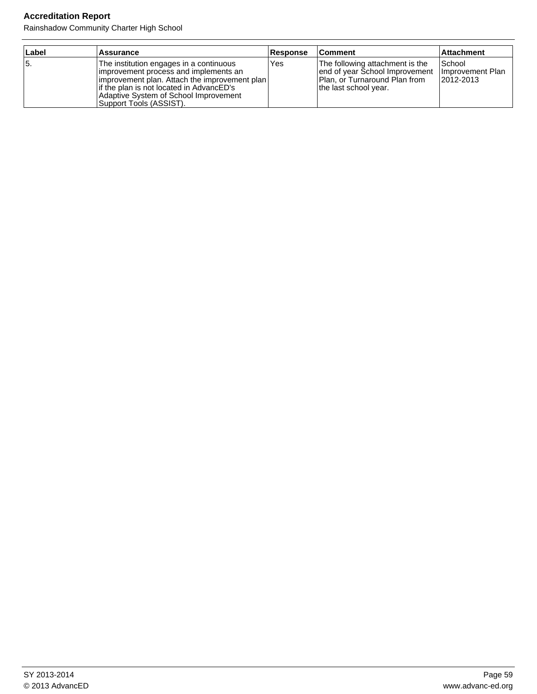## **Accreditation Report**

Rainshadow Community Charter High School

| Label | Assurance                                                                                                                                                                                                                                            | <b>Response</b> | ∣Comment                                                                                                                     | <b>Attachment</b>                          |
|-------|------------------------------------------------------------------------------------------------------------------------------------------------------------------------------------------------------------------------------------------------------|-----------------|------------------------------------------------------------------------------------------------------------------------------|--------------------------------------------|
| 15.   | The institution engages in a continuous<br>improvement process and implements an<br> improvement plan. Attach the improvement plan <br>lif the plan is not located in AdvancED's<br>Adaptive System of School Improvement<br>Support Tools (ASSIST). | Yes             | The following attachment is the<br>lend of year School Improvement<br>Plan, or Turnaround Plan from<br>the last school year. | 'School<br>Ilmprovement Plan<br>12012-2013 |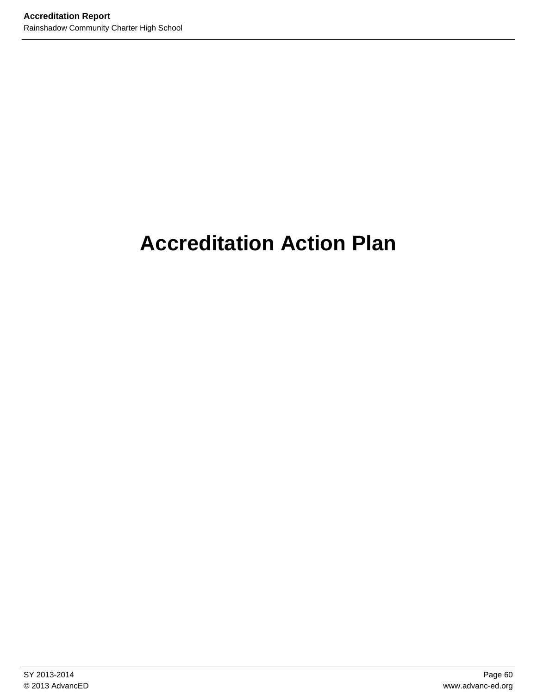# **Accreditation Action Plan**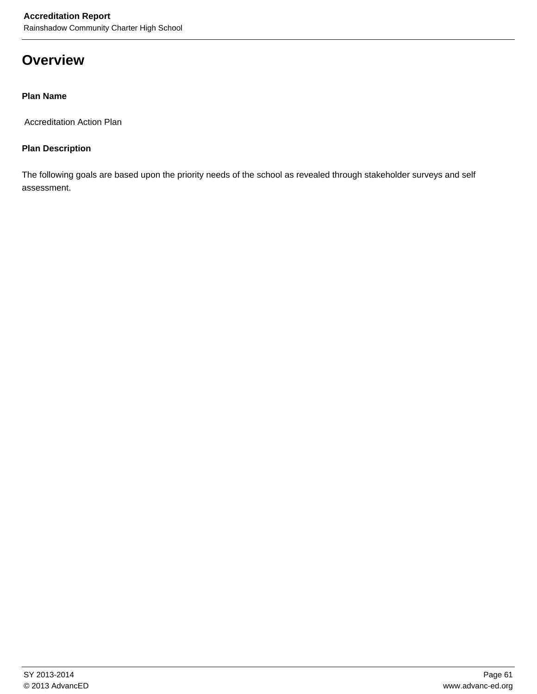## **Overview**

### **Plan Name**

Accreditation Action Plan

### **Plan Description**

The following goals are based upon the priority needs of the school as revealed through stakeholder surveys and self assessment.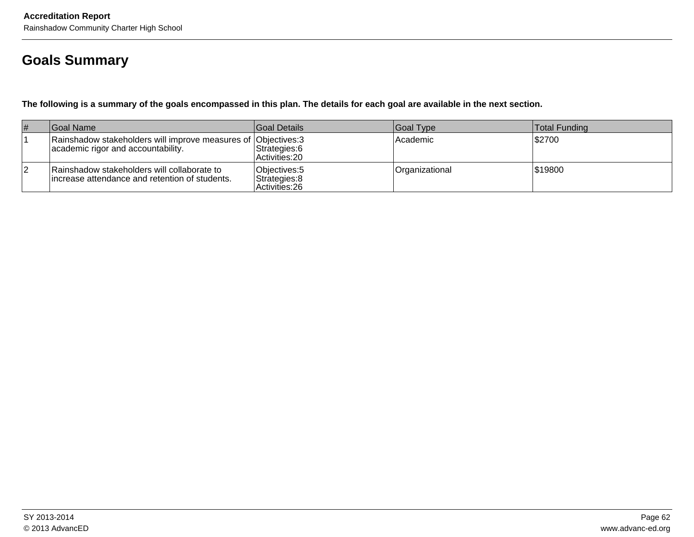## **Goals Summary**

**The following is a summary of the goals encompassed in this plan. The details for each goal are available in the next section.**

| # | Goal Name                                                                                            | <b>Goal Details</b>                              | Goal Type      | <b>Total Funding</b> |
|---|------------------------------------------------------------------------------------------------------|--------------------------------------------------|----------------|----------------------|
|   | Rainshadow stakeholders will improve measures of Objectives: 3<br>academic rigor and accountability. | Strategies: 6<br>Activities: 20                  | Academic       | \$2700               |
| 2 | Rainshadow stakeholders will collaborate to<br>lincrease attendance and retention of students.       | Objectives: 5<br>Strategies: 8<br>Activities: 26 | Organizational | 519800               |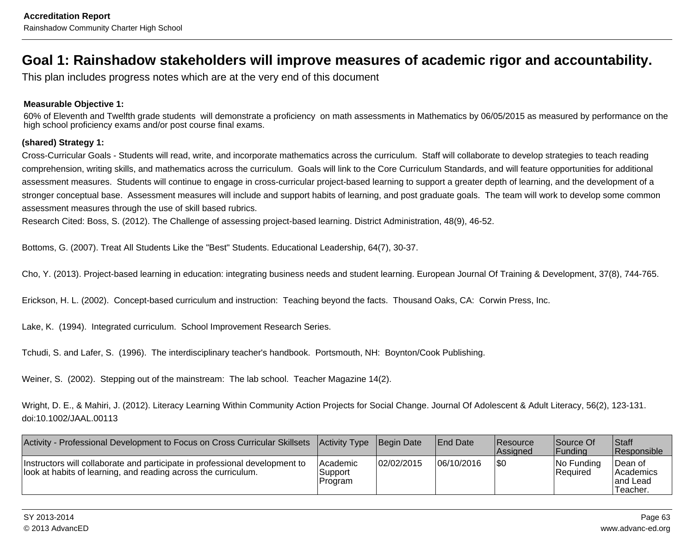## **Goal 1: Rainshadow stakeholders will improve measures of academic rigor and accountability.**

This plan includes progress notes which are at the very end of this document

#### **Measurable Objective 1:**

 60% of Eleventh and Twelfth grade students will demonstrate a proficiency on math assessments in Mathematics by 06/05/2015 as measured by performance on thehigh school proficiency exams and/or post course final exams.

#### **(shared) Strategy 1:**

Cross-Curricular Goals - Students will read, write, and incorporate mathematics across the curriculum. Staff will collaborate to develop strategies to teach reading comprehension, writing skills, and mathematics across the curriculum. Goals will link to the Core Curriculum Standards, and will feature opportunities for additionalassessment measures. Students will continue to engage in cross-curricular project-based learning to support a greater depth of learning, and the development of astronger conceptual base. Assessment measures will include and support habits of learning, and post graduate goals. The team will work to develop some commonassessment measures through the use of skill based rubrics.

Research Cited: Boss, S. (2012). The Challenge of assessing project-based learning. District Administration, 48(9), 46-52.

Bottoms, G. (2007). Treat All Students Like the "Best" Students. Educational Leadership, 64(7), 30-37.

Cho, Y. (2013). Project-based learning in education: integrating business needs and student learning. European Journal Of Training & Development, 37(8), 744-765.

Erickson, H. L. (2002). Concept-based curriculum and instruction: Teaching beyond the facts. Thousand Oaks, CA: Corwin Press, Inc.

Lake, K. (1994). Integrated curriculum. School Improvement Research Series.

Tchudi, S. and Lafer, S. (1996). The interdisciplinary teacher's handbook. Portsmouth, NH: Boynton/Cook Publishing.

Weiner, S. (2002). Stepping out of the mainstream: The lab school. Teacher Magazine 14(2).

Wright, D. E., & Mahiri, J. (2012). Literacy Learning Within Community Action Projects for Social Change. Journal Of Adolescent & Adult Literacy, 56(2), 123-131.doi:10.1002/JAAL.00113

| Activity - Professional Development to Focus on Cross Curricular Skillsets   Activity Type                                                    |                                 | <b>Begin Date</b> | <b>IEnd Date</b> | <b>Resource</b><br><b>Assianed</b> | Source Of<br> Fundina          | <b>Staff</b><br><b>Responsible</b>                    |
|-----------------------------------------------------------------------------------------------------------------------------------------------|---------------------------------|-------------------|------------------|------------------------------------|--------------------------------|-------------------------------------------------------|
| Instructors will collaborate and participate in professional development to<br>look at habits of learning, and reading across the curriculum. | Academic<br>Support<br> Program | 02/02/2015        | 06/10/2016       | I\$0                               | INo Fundina<br><b>Required</b> | ∣Dean of<br><b>Academics</b><br>land Lead<br>Teacher. |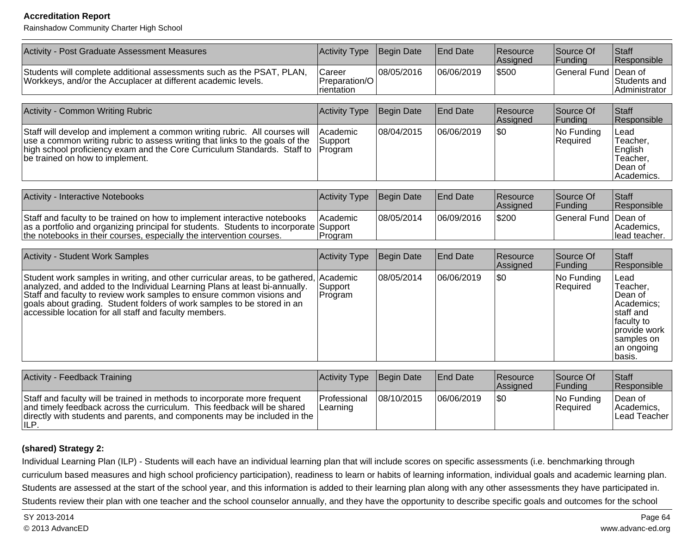#### **Accreditation Report**

Rainshadow Community Charter High School

| Activity - Post Graduate Assessment Measures                                                                                                                                                                                                                                                                                                                                      | Activity Type                         | Begin Date        | <b>End Date</b> | Resource<br>Assigned | Source Of<br>Funding   | Staff<br>Responsible                                                                                                        |
|-----------------------------------------------------------------------------------------------------------------------------------------------------------------------------------------------------------------------------------------------------------------------------------------------------------------------------------------------------------------------------------|---------------------------------------|-------------------|-----------------|----------------------|------------------------|-----------------------------------------------------------------------------------------------------------------------------|
| Students will complete additional assessments such as the PSAT, PLAN,<br>Workkeys, and/or the Accuplacer at different academic levels.                                                                                                                                                                                                                                            | Career<br>Preparation/O<br>rientation | 08/05/2016        | 06/06/2019      | \$500                | <b>General Fund</b>    | Dean of<br>Students and<br>Administrator                                                                                    |
|                                                                                                                                                                                                                                                                                                                                                                                   |                                       |                   |                 |                      |                        |                                                                                                                             |
| Activity - Common Writing Rubric                                                                                                                                                                                                                                                                                                                                                  | Activity Type                         | <b>Begin Date</b> | <b>End Date</b> | Resource<br>Assigned | Source Of<br>Funding   | Staff<br>Responsible                                                                                                        |
| Staff will develop and implement a common writing rubric. All courses will<br>use a common writing rubric to assess writing that links to the goals of the<br>high school proficiency exam and the Core Curriculum Standards. Staff to<br>be trained on how to implement.                                                                                                         | Academic<br>Support<br>Program        | 08/04/2015        | 06/06/2019      | l\$0                 | No Funding<br>Required | Lead<br>Teacher,<br>English<br>Teacher,<br>Dean of<br>Academics.                                                            |
| Activity - Interactive Notebooks                                                                                                                                                                                                                                                                                                                                                  | Activity Type                         | Begin Date        | <b>End Date</b> | Resource<br>Assigned | Source Of<br>Funding   | Staff<br>Responsible                                                                                                        |
| Staff and faculty to be trained on how to implement interactive notebooks<br>as a portfolio and organizing principal for students. Students to incorporate Support<br>the notebooks in their courses, especially the intervention courses.                                                                                                                                        | Academic<br>Program                   | 08/05/2014        | 06/09/2016      | \$200                | <b>General Fund</b>    | Dean of<br>Academics,<br>lead teacher.                                                                                      |
| <b>Activity - Student Work Samples</b>                                                                                                                                                                                                                                                                                                                                            | Activity Type                         | Begin Date        | <b>End Date</b> | Resource<br>Assigned | Source Of<br>Funding   | Staff<br>Responsible                                                                                                        |
| Student work samples in writing, and other curricular areas, to be gathered, Academic<br>analyzed, and added to the Individual Learning Plans at least bi-annually.<br>Staff and faculty to review work samples to ensure common visions and<br>goals about grading. Student folders of work samples to be stored in an<br>accessible location for all staff and faculty members. | Support<br>Program                    | 08/05/2014        | 06/06/2019      | $ $ \$0              | No Funding<br>Required | Lead<br>Teacher,<br>Dean of<br>Academics;<br>staff and<br>faculty to<br>provide work<br>samples on<br>an ongoing<br> basis. |
|                                                                                                                                                                                                                                                                                                                                                                                   |                                       |                   |                 |                      |                        |                                                                                                                             |
| Activity - Feedback Training                                                                                                                                                                                                                                                                                                                                                      | Activity Type                         | Begin Date        | <b>End Date</b> | Resource<br>Assigned | Source Of<br>Funding   | Staff<br>Responsible                                                                                                        |
| Staff and faculty will be trained in methods to incorporate more frequent<br>and timely feedback across the curriculum. This feedback will be shared<br>directly with students and parents, and components may be included in the<br>ILP.                                                                                                                                         | Professional<br>Learning              | 08/10/2015        | 06/06/2019      | l\$0                 | No Funding<br>Required | Dean of<br>Academics,<br>Lead Teacher                                                                                       |

#### **(shared) Strategy 2:**

Individual Learning Plan (ILP) - Students will each have an individual learning plan that will include scores on specific assessments (i.e. benchmarking through curriculum based measures and high school proficiency participation), readiness to learn or habits of learning information, individual goals and academic learning plan.Students are assessed at the start of the school year, and this information is added to their learning plan along with any other assessments they have participated in.Students review their plan with one teacher and the school counselor annually, and they have the opportunity to describe specific goals and outcomes for the school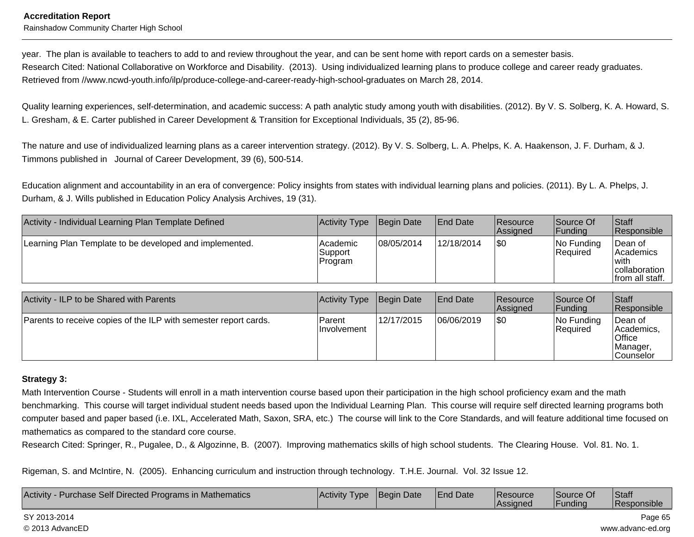#### **Accreditation Report**Rainshadow Community Charter High School

year. The plan is available to teachers to add to and review throughout the year, and can be sent home with report cards on a semester basis. Research Cited: National Collaborative on Workforce and Disability. (2013). Using individualized learning plans to produce college and career ready graduates.Retrieved from //www.ncwd-youth.info/ilp/produce-college-and-career-ready-high-school-graduates on March 28, 2014.

Quality learning experiences, self-determination, and academic success: A path analytic study among youth with disabilities. (2012). By V. S. Solberg, K. A. Howard, S.L. Gresham, & E. Carter published in Career Development & Transition for Exceptional Individuals, 35 (2), 85-96.

The nature and use of individualized learning plans as a career intervention strategy. (2012). By V. S. Solberg, L. A. Phelps, K. A. Haakenson, J. F. Durham, & J.Timmons published in Journal of Career Development, 39 (6), 500-514.

Education alignment and accountability in an era of convergence: Policy insights from states with individual learning plans and policies. (2011). By L. A. Phelps, J.Durham, & J. Wills published in Education Policy Analysis Archives, 19 (31).

| Activity - Individual Learning Plan Template Defined    | Activity Type                  | Begin Date | <b>End Date</b> | Resource<br><b>Assigned</b> | Source Of<br> Funding         | <b>Staff</b><br><b>Responsible</b>                                 |
|---------------------------------------------------------|--------------------------------|------------|-----------------|-----------------------------|-------------------------------|--------------------------------------------------------------------|
| Learning Plan Template to be developed and implemented. | Academic<br>Support<br>Program | 08/05/2014 | 12/18/2014      | 1\$0                        | No Funding<br><b>Required</b> | Dean of<br> Academics<br>with<br>collaboration<br> from all staff. |

| Activity - ILP to be Shared with Parents                         | Activity Type          | Begin Date | End Date   | Resource<br><b>Assigned</b> | Source Of<br> Funding       | <b>Staff</b><br><b>Responsible</b>                                        |
|------------------------------------------------------------------|------------------------|------------|------------|-----------------------------|-----------------------------|---------------------------------------------------------------------------|
| Parents to receive copies of the ILP with semester report cards. | Parent<br>Ilnvolvement | 12/17/2015 | 06/06/2019 | 1\$0                        | $ No$ Funding<br>l Reauired | lDean of<br>lAcademics.<br> Office<br><i>IManager</i><br><b>Counselor</b> |

#### **Strategy 3:**

Math Intervention Course - Students will enroll in a math intervention course based upon their participation in the high school proficiency exam and the math benchmarking. This course will target individual student needs based upon the Individual Learning Plan. This course will require self directed learning programs bothcomputer based and paper based (i.e. IXL, Accelerated Math, Saxon, SRA, etc.) The course will link to the Core Standards, and will feature additional time focused onmathematics as compared to the standard core course.

Research Cited: Springer, R., Pugalee, D., & Algozinne, B. (2007). Improving mathematics skills of high school students. The Clearing House. Vol. 81. No. 1.

Rigeman, S. and McIntire, N. (2005). Enhancing curriculum and instruction through technology. T.H.E. Journal. Vol. 32 Issue 12.

| Activity - Purchase Self Directed Programs in Mathematics | <b>Activity Type</b> | Begin Date | <b>End Date</b> | <b>Resource</b><br><b>Assigned</b> | Source Of<br>Funding | <b>Staff</b><br>Responsible |
|-----------------------------------------------------------|----------------------|------------|-----------------|------------------------------------|----------------------|-----------------------------|
| SY 2013-2014                                              |                      |            |                 |                                    |                      | Page 65                     |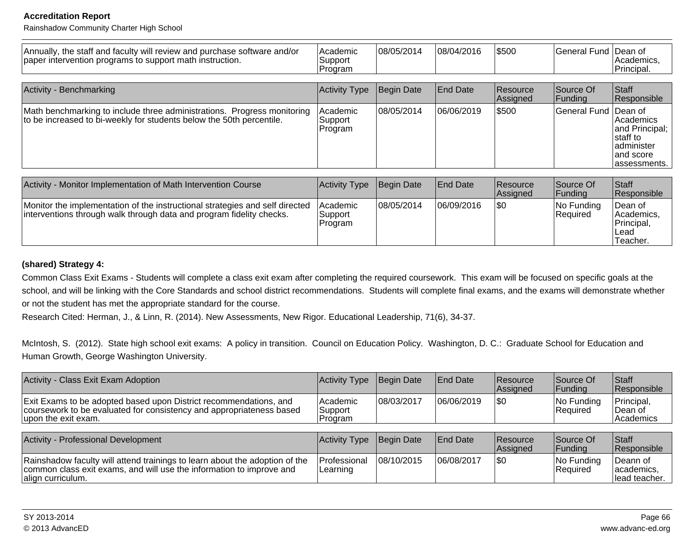#### **Accreditation Report**

Rainshadow Community Charter High School

| Annually, the staff and faculty will review and purchase software and/or<br>paper intervention programs to support math instruction.                 | Academic<br>Support<br>Program | 08/05/2014        | 08/04/2016      | \$500                | General Fund Dean of   | Academics,<br>Principal.                                                               |
|------------------------------------------------------------------------------------------------------------------------------------------------------|--------------------------------|-------------------|-----------------|----------------------|------------------------|----------------------------------------------------------------------------------------|
|                                                                                                                                                      |                                |                   |                 |                      |                        |                                                                                        |
| Activity - Benchmarking                                                                                                                              | Activity Type                  | <b>Begin Date</b> | <b>End Date</b> | Resource<br>Assigned | Source Of<br> Fundina  | Staff<br>Responsible                                                                   |
| Math benchmarking to include three administrations. Progress monitoring<br>to be increased to bi-weekly for students below the 50th percentile.      | Academic<br>Support<br>Program | 08/05/2014        | 06/06/2019      | 5500                 | General Fund Dean of   | Academics<br>and Principal;<br>Istaff to<br>ladminister<br>land score<br>lassessments. |
|                                                                                                                                                      |                                |                   |                 |                      |                        |                                                                                        |
| Activity - Monitor Implementation of Math Intervention Course                                                                                        | Activity Type                  | Begin Date        | <b>End Date</b> | Resource<br>Assigned | Source Of<br>Funding   | Staff<br>Responsible                                                                   |
| Monitor the implementation of the instructional strategies and self directed<br>interventions through walk through data and program fidelity checks. | Academic<br>Support<br>Program | 08/05/2014        | 06/09/2016      | <b>SO</b>            | No Funding<br>Required | Dean of<br>Academics.<br>Principal,<br>Lead<br>Teacher.                                |

#### **(shared) Strategy 4:**

Common Class Exit Exams - Students will complete a class exit exam after completing the required coursework. This exam will be focused on specific goals at theschool, and will be linking with the Core Standards and school district recommendations. Students will complete final exams, and the exams will demonstrate whether or not the student has met the appropriate standard for the course.

Research Cited: Herman, J., & Linn, R. (2014). New Assessments, New Rigor. Educational Leadership, 71(6), 34-37.

McIntosh, S. (2012). State high school exit exams: A policy in transition. Council on Education Policy. Washington, D. C.: Graduate School for Education andHuman Growth, George Washington University.

| Activity - Class Exit Exam Adoption                                                                                                                              | <b>Activity Type</b>             | Begin Date  | <b>End Date</b>  | <b>Resource</b><br><b>Assigned</b> | Source Of<br> Funding  | ∣Staff<br>Responsible                |
|------------------------------------------------------------------------------------------------------------------------------------------------------------------|----------------------------------|-------------|------------------|------------------------------------|------------------------|--------------------------------------|
| Exit Exams to be adopted based upon District recommendations, and<br>coursework to be evaluated for consistency and appropriateness based<br>upon the exit exam. | lAcademic<br>Support<br>IProgram | 108/03/2017 | 06/06/2019       | 1\$0                               | No Funding<br>Required | Principal,<br>⊺Dean of<br> Academics |
| <b>Activity - Professional Development</b>                                                                                                                       | Activity Type                    | Begin Date  | <b>IEnd Date</b> | <b>Resource</b><br>Assigned        | Source Of<br> Funding  | Staff<br>Responsible                 |
| Rainshadow faculty will attend trainings to learn about the adoption of the<br>common class exit exams, and will use the information to improve and              | Professional<br>Learning         | 108/10/2015 | 106/08/2017      | \$0                                | No Funding<br>Required | lDeann of<br>academics,              |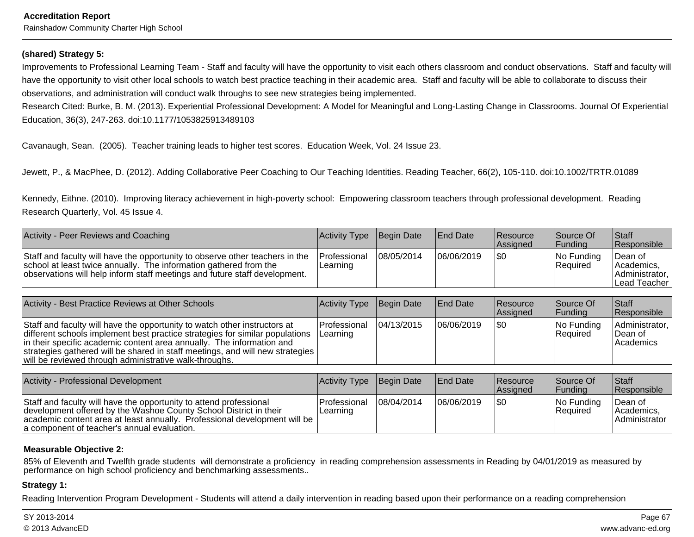#### **(shared) Strategy 5:**

Improvements to Professional Learning Team - Staff and faculty will have the opportunity to visit each others classroom and conduct observations. Staff and faculty willhave the opportunity to visit other local schools to watch best practice teaching in their academic area. Staff and faculty will be able to collaborate to discuss their observations, and administration will conduct walk throughs to see new strategies being implemented.

Research Cited: Burke, B. M. (2013). Experiential Professional Development: A Model for Meaningful and Long-Lasting Change in Classrooms. Journal Of ExperientialEducation, 36(3), 247-263. doi:10.1177/1053825913489103

Cavanaugh, Sean. (2005). Teacher training leads to higher test scores. Education Week, Vol. 24 Issue 23.

Jewett, P., & MacPhee, D. (2012). Adding Collaborative Peer Coaching to Our Teaching Identities. Reading Teacher, 66(2), 105-110. doi:10.1002/TRTR.01089

Kennedy, Eithne. (2010). Improving literacy achievement in high-poverty school: Empowering classroom teachers through professional development. ReadingResearch Quarterly, Vol. 45 Issue 4.

| Activity - Peer Reviews and Coaching                                                                                                                                                                                            | Activity Type Begin Date         |            | <b>End Date</b> | Resource<br><b>Assianed</b> | Source Of<br><b>IFunding</b>   | <b>Staff</b><br><b>Responsible</b>                                  |
|---------------------------------------------------------------------------------------------------------------------------------------------------------------------------------------------------------------------------------|----------------------------------|------------|-----------------|-----------------------------|--------------------------------|---------------------------------------------------------------------|
| Staff and faculty will have the opportunity to observe other teachers in the<br>school at least twice annually. The information gathered from the<br>observations will help inform staff meetings and future staff development. | <b>IProfessional</b><br>Learning | 08/05/2014 | 06/06/2019      | I\$0                        | INo Fundina<br><b>Required</b> | ∣Dean of<br>IAcademics.<br>Administrator.<br><b>ILead Teacher I</b> |

| Activity - Best Practice Reviews at Other Schools                                                                                                                                                                                                                                                                                                                             | Activity Type Begin Date        |            | <b>End Date</b> | <b>Resource</b><br>Assigned | Source Of<br> Funding  | <b>Staff</b><br>Responsible                   |
|-------------------------------------------------------------------------------------------------------------------------------------------------------------------------------------------------------------------------------------------------------------------------------------------------------------------------------------------------------------------------------|---------------------------------|------------|-----------------|-----------------------------|------------------------|-----------------------------------------------|
| Staff and faculty will have the opportunity to watch other instructors at<br>different schools implement best practice strategies for similar populations<br>in their specific academic content area annually. The information and<br>strategies gathered will be shared in staff meetings, and will new strategies<br>will be reviewed through administrative walk-throughs. | <b>Professional</b><br>Learning | 04/13/2015 | 06/06/2019      | 1\$0                        | No Funding<br>Required | Administrator,<br>Dean of<br><i>Academics</i> |

| Activity - Professional Development                                                                                                                                                                                                                                   | Activity Type Begin Date  |            | <b>End Date</b> | Resource<br>Assigned | Source Of<br><b>IFundina</b> | <b>Staff</b><br>Responsible            |
|-----------------------------------------------------------------------------------------------------------------------------------------------------------------------------------------------------------------------------------------------------------------------|---------------------------|------------|-----------------|----------------------|------------------------------|----------------------------------------|
| Staff and faculty will have the opportunity to attend professional<br>development offered by the Washoe County School District in their<br>  academic content area at least annually. Professional development will be<br>a component of teacher's annual evaluation. | lProfessional<br>Learning | 08/04/2014 | 06/06/2019      | 1\$0                 | No Funding<br>Required       | Dean of<br>Academics,<br>Administrator |

#### **Measurable Objective 2:**

85% of Eleventh and Twelfth grade students will demonstrate a proficiency in reading comprehension assessments in Reading by 04/01/2019 as measured byperformance on high school proficiency and benchmarking assessments..

#### **Strategy 1:**

Reading Intervention Program Development - Students will attend a daily intervention in reading based upon their performance on a reading comprehension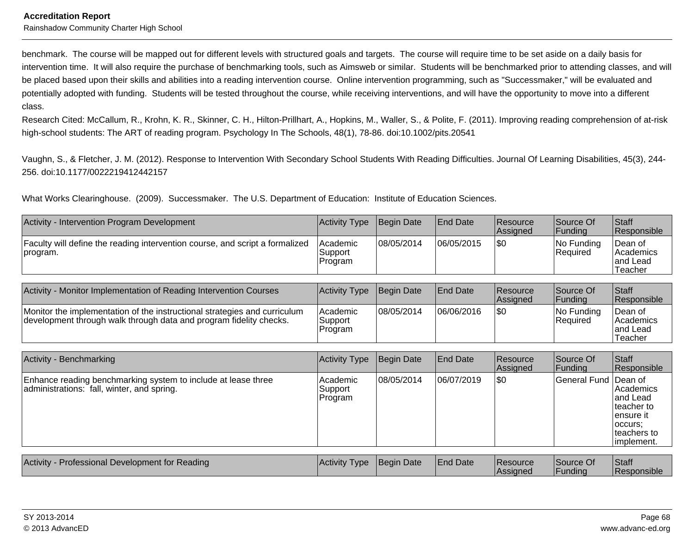benchmark. The course will be mapped out for different levels with structured goals and targets. The course will require time to be set aside on a daily basis forintervention time. It will also require the purchase of benchmarking tools, such as Aimsweb or similar. Students will be benchmarked prior to attending classes, and willbe placed based upon their skills and abilities into a reading intervention course. Online intervention programming, such as "Successmaker," will be evaluated and potentially adopted with funding. Students will be tested throughout the course, while receiving interventions, and will have the opportunity to move into a differentclass.

Research Cited: McCallum, R., Krohn, K. R., Skinner, C. H., Hilton-Prillhart, A., Hopkins, M., Waller, S., & Polite, F. (2011). Improving reading comprehension of at-riskhigh-school students: The ART of reading program. Psychology In The Schools, 48(1), 78-86. doi:10.1002/pits.20541

Vaughn, S., & Fletcher, J. M. (2012). Response to Intervention With Secondary School Students With Reading Difficulties. Journal Of Learning Disabilities, 45(3), 244-256. doi:10.1177/0022219412442157

What Works Clearinghouse. (2009). Successmaker. The U.S. Department of Education: Institute of Education Sciences.

| Activity - Intervention Program Development                                                                                                     | <b>Activity Type</b>           | <b>Begin Date</b> | <b>End Date</b> | Resource<br>Assigned | Source Of<br> Funding       | Staff<br>Responsible                                                                                |
|-------------------------------------------------------------------------------------------------------------------------------------------------|--------------------------------|-------------------|-----------------|----------------------|-----------------------------|-----------------------------------------------------------------------------------------------------|
| Faculty will define the reading intervention course, and script a formalized<br>program.                                                        | Academic<br>Support<br>Program | 08/05/2014        | 06/05/2015      | \$0                  | No Funding<br>Required      | Dean of<br>Academics<br>and Lead<br>Teacher                                                         |
|                                                                                                                                                 |                                |                   |                 |                      |                             |                                                                                                     |
| Activity - Monitor Implementation of Reading Intervention Courses                                                                               | <b>Activity Type</b>           | <b>Begin Date</b> | <b>End Date</b> | Resource<br>Assigned | Source Of<br>Funding        | Staff<br>Responsible                                                                                |
| Monitor the implementation of the instructional strategies and curriculum<br>development through walk through data and program fidelity checks. | Academic<br>Support<br>Program | 08/05/2014        | 06/06/2016      | \$0                  | No Funding<br>Required      | Dean of<br>Academics<br>and Lead<br>Teacher                                                         |
|                                                                                                                                                 |                                |                   |                 |                      |                             |                                                                                                     |
| Activity - Benchmarking                                                                                                                         | <b>Activity Type</b>           | <b>Begin Date</b> | <b>End Date</b> | Resource<br>Assigned | Source Of<br><b>Funding</b> | Staff<br>Responsible                                                                                |
| Enhance reading benchmarking system to include at lease three<br>administrations: fall, winter, and spring.                                     | Academic<br>Support<br>Program | 08/05/2014        | 06/07/2019      | \$0                  | <b>General Fund</b>         | Dean of<br>Academics<br>and Lead<br>teacher to<br>ensure it<br>occurs:<br>teachers to<br>implement. |
|                                                                                                                                                 |                                |                   |                 |                      |                             |                                                                                                     |
| Activity - Professional Development for Reading                                                                                                 | <b>Activity Type</b>           | <b>Begin Date</b> | <b>End Date</b> | Resource<br>Assigned | Source Of<br><b>Funding</b> | Staff<br>Responsible                                                                                |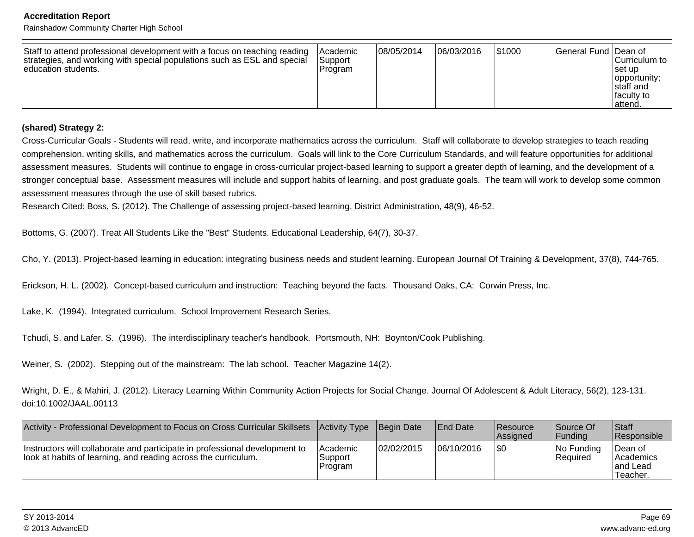#### **Accreditation Report**

Rainshadow Community Charter High School

| Staff to attend professional development with a focus on teaching reading<br>strategies, and working with special populations such as ESL and special<br>education students. | lAcademic<br>Support<br><b>Program</b> | 08/05/2014 | 06/03/2016 | 1\$1000 | <b>General Fund Dean of</b> | Curriculum to<br>⊺set up<br> opportunity;<br>Istaff and<br><b>Ifaculty</b> to<br>attend. |
|------------------------------------------------------------------------------------------------------------------------------------------------------------------------------|----------------------------------------|------------|------------|---------|-----------------------------|------------------------------------------------------------------------------------------|
|------------------------------------------------------------------------------------------------------------------------------------------------------------------------------|----------------------------------------|------------|------------|---------|-----------------------------|------------------------------------------------------------------------------------------|

#### **(shared) Strategy 2:**

Cross-Curricular Goals - Students will read, write, and incorporate mathematics across the curriculum. Staff will collaborate to develop strategies to teach reading comprehension, writing skills, and mathematics across the curriculum. Goals will link to the Core Curriculum Standards, and will feature opportunities for additionalassessment measures. Students will continue to engage in cross-curricular project-based learning to support a greater depth of learning, and the development of a stronger conceptual base. Assessment measures will include and support habits of learning, and post graduate goals. The team will work to develop some commonassessment measures through the use of skill based rubrics.

Research Cited: Boss, S. (2012). The Challenge of assessing project-based learning. District Administration, 48(9), 46-52.

Bottoms, G. (2007). Treat All Students Like the "Best" Students. Educational Leadership, 64(7), 30-37.

Cho, Y. (2013). Project-based learning in education: integrating business needs and student learning. European Journal Of Training & Development, 37(8), 744-765.

Erickson, H. L. (2002). Concept-based curriculum and instruction: Teaching beyond the facts. Thousand Oaks, CA: Corwin Press, Inc.

Lake, K. (1994). Integrated curriculum. School Improvement Research Series.

Tchudi, S. and Lafer, S. (1996). The interdisciplinary teacher's handbook. Portsmouth, NH: Boynton/Cook Publishing.

Weiner, S. (2002). Stepping out of the mainstream: The lab school. Teacher Magazine 14(2).

Wright, D. E., & Mahiri, J. (2012). Literacy Learning Within Community Action Projects for Social Change. Journal Of Adolescent & Adult Literacy, 56(2), 123-131.doi:10.1002/JAAL.00113

| Activity - Professional Development to Focus on Cross Curricular Skillsets                                                                    | Activity Type                   | <b>Begin Date</b> | <b>IEnd Date</b> | <b>Resource</b><br><b>Assigned</b> | Source Of<br> Fundina            | <b>Staff</b><br><b>Responsible</b>             |
|-----------------------------------------------------------------------------------------------------------------------------------------------|---------------------------------|-------------------|------------------|------------------------------------|----------------------------------|------------------------------------------------|
| Instructors will collaborate and participate in professional development to<br>look at habits of learning, and reading across the curriculum. | lAcademic<br>Support<br>Program | 02/02/2015        | 06/10/2016       | \$0                                | $ No$ Funding<br><b>Required</b> | Dean of<br> Academics<br>land Lead<br>Teacher. |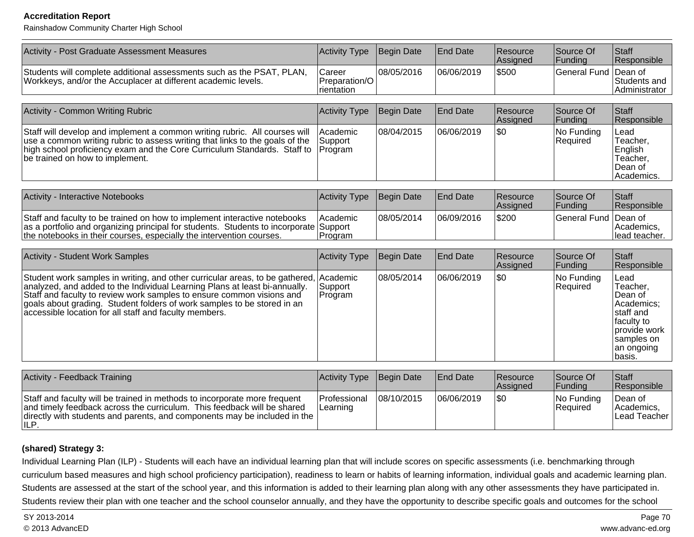Rainshadow Community Charter High School

| Activity - Post Graduate Assessment Measures                                                                                                                                                                                                                                                                                                                                      | Activity Type                         | Begin Date | <b>End Date</b> | Resource<br>Assigned | Source Of<br>Funding   | Staff<br>Responsible                                                                                                       |
|-----------------------------------------------------------------------------------------------------------------------------------------------------------------------------------------------------------------------------------------------------------------------------------------------------------------------------------------------------------------------------------|---------------------------------------|------------|-----------------|----------------------|------------------------|----------------------------------------------------------------------------------------------------------------------------|
| Students will complete additional assessments such as the PSAT, PLAN,<br>Workkeys, and/or the Accuplacer at different academic levels.                                                                                                                                                                                                                                            | Career<br>Preparation/O<br>rientation | 08/05/2016 | 06/06/2019      | \$500                | <b>General Fund</b>    | Dean of<br>Students and<br>Administrator                                                                                   |
|                                                                                                                                                                                                                                                                                                                                                                                   |                                       |            |                 |                      |                        |                                                                                                                            |
| Activity - Common Writing Rubric                                                                                                                                                                                                                                                                                                                                                  | Activity Type                         | Begin Date | <b>End Date</b> | Resource<br>Assigned | Source Of<br>Funding   | Staff<br>Responsible                                                                                                       |
| Staff will develop and implement a common writing rubric. All courses will<br>use a common writing rubric to assess writing that links to the goals of the<br>high school proficiency exam and the Core Curriculum Standards. Staff to<br>be trained on how to implement.                                                                                                         | Academic<br>Support<br>Program        | 08/04/2015 | 06/06/2019      | l\$0                 | No Funding<br>Required | Lead<br>Teacher,<br>English<br>Teacher,<br>Dean of<br>Academics.                                                           |
| Activity - Interactive Notebooks                                                                                                                                                                                                                                                                                                                                                  | Activity Type                         | Begin Date | End Date        | Resource<br>Assigned | Source Of<br>Funding   | Staff<br>Responsible                                                                                                       |
| Staff and faculty to be trained on how to implement interactive notebooks<br>as a portfolio and organizing principal for students. Students to incorporate Support<br>the notebooks in their courses, especially the intervention courses.                                                                                                                                        | Academic<br>Program                   | 08/05/2014 | 06/09/2016      | \$200                | <b>General Fund</b>    | Dean of<br>Academics,<br>lead teacher.                                                                                     |
| <b>Activity - Student Work Samples</b>                                                                                                                                                                                                                                                                                                                                            | Activity Type                         | Begin Date | <b>End Date</b> | Resource<br>Assigned | Source Of<br>Funding   | Staff<br>Responsible                                                                                                       |
| Student work samples in writing, and other curricular areas, to be gathered, Academic<br>analyzed, and added to the Individual Learning Plans at least bi-annually.<br>Staff and faculty to review work samples to ensure common visions and<br>goals about grading. Student folders of work samples to be stored in an<br>accessible location for all staff and faculty members. | Support<br>Program                    | 08/05/2014 | 06/06/2019      | l\$0                 | No Funding<br>Required | Lead<br>Teacher,<br>Dean of<br>Academics:<br>staff and<br>faculty to<br>provide work<br>samples on<br>an ongoing<br>basis. |
|                                                                                                                                                                                                                                                                                                                                                                                   |                                       |            |                 |                      |                        |                                                                                                                            |
| Activity - Feedback Training                                                                                                                                                                                                                                                                                                                                                      | Activity Type                         | Begin Date | <b>End Date</b> | Resource<br>Assigned | Source Of<br>Funding   | Staff<br>Responsible                                                                                                       |
| Staff and faculty will be trained in methods to incorporate more frequent<br>and timely feedback across the curriculum. This feedback will be shared<br>directly with students and parents, and components may be included in the<br>ILP.                                                                                                                                         | Professional<br>Learning              | 08/10/2015 | 06/06/2019      | l\$0                 | No Funding<br>Required | Dean of<br>Academics,<br>Lead Teacher                                                                                      |

#### **(shared) Strategy 3:**

Individual Learning Plan (ILP) - Students will each have an individual learning plan that will include scores on specific assessments (i.e. benchmarking through curriculum based measures and high school proficiency participation), readiness to learn or habits of learning information, individual goals and academic learning plan.Students are assessed at the start of the school year, and this information is added to their learning plan along with any other assessments they have participated in.Students review their plan with one teacher and the school counselor annually, and they have the opportunity to describe specific goals and outcomes for the school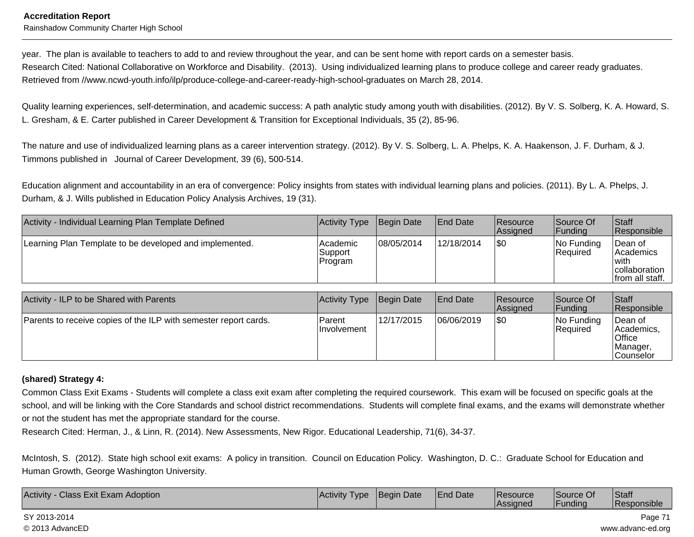#### **Accreditation Report**Rainshadow Community Charter High School

year. The plan is available to teachers to add to and review throughout the year, and can be sent home with report cards on a semester basis. Research Cited: National Collaborative on Workforce and Disability. (2013). Using individualized learning plans to produce college and career ready graduates.Retrieved from //www.ncwd-youth.info/ilp/produce-college-and-career-ready-high-school-graduates on March 28, 2014.

Quality learning experiences, self-determination, and academic success: A path analytic study among youth with disabilities. (2012). By V. S. Solberg, K. A. Howard, S.L. Gresham, & E. Carter published in Career Development & Transition for Exceptional Individuals, 35 (2), 85-96.

The nature and use of individualized learning plans as a career intervention strategy. (2012). By V. S. Solberg, L. A. Phelps, K. A. Haakenson, J. F. Durham, & J.Timmons published in Journal of Career Development, 39 (6), 500-514.

Education alignment and accountability in an era of convergence: Policy insights from states with individual learning plans and policies. (2011). By L. A. Phelps, J.Durham, & J. Wills published in Education Policy Analysis Archives, 19 (31).

| Activity - Individual Learning Plan Template Defined    | Activity Type                   | Begin Date | <b>End Date</b> | Resource<br><b>Assigned</b> | Source Of<br> Funding         | <b>Staff</b><br>Responsible                                         |
|---------------------------------------------------------|---------------------------------|------------|-----------------|-----------------------------|-------------------------------|---------------------------------------------------------------------|
| Learning Plan Template to be developed and implemented. | Academic<br>Support<br> Program | 08/05/2014 | 12/18/2014      | \$0                         | No Funding<br><b>Required</b> | Dean of<br> Academics<br>'with<br>collaboration<br> from all staff. |

| Activity - ILP to be Shared with Parents                         | Activity Type                | Begin Date | <b>IEnd Date</b> | <b>Resource</b><br>Assigned | Source Of<br> Funding         | <b>Staff</b><br>Responsible                                      |
|------------------------------------------------------------------|------------------------------|------------|------------------|-----------------------------|-------------------------------|------------------------------------------------------------------|
| Parents to receive copies of the ILP with semester report cards. | Parent<br><b>Involvement</b> | 12/17/2015 | 06/06/2019       | \$0                         | No Funding<br><b>Required</b> | ∣Dean of<br>Academics,<br>Office<br>Manager,<br><b>Counselor</b> |

### **(shared) Strategy 4:**

Common Class Exit Exams - Students will complete a class exit exam after completing the required coursework. This exam will be focused on specific goals at theschool, and will be linking with the Core Standards and school district recommendations. Students will complete final exams, and the exams will demonstrate whether or not the student has met the appropriate standard for the course.

Research Cited: Herman, J., & Linn, R. (2014). New Assessments, New Rigor. Educational Leadership, 71(6), 34-37.

McIntosh, S. (2012). State high school exit exams: A policy in transition. Council on Education Policy. Washington, D. C.: Graduate School for Education andHuman Growth, George Washington University.

| Activity<br><b>Class Exit Exam Adoption</b><br>∟Date<br>⊥Activity<br><b>Beain</b><br><b>Type</b> | Date<br>'End | <b>IResource</b><br><b>Assigned</b> | Source Of<br>unding. | Staff<br>Responsible |
|--------------------------------------------------------------------------------------------------|--------------|-------------------------------------|----------------------|----------------------|
|--------------------------------------------------------------------------------------------------|--------------|-------------------------------------|----------------------|----------------------|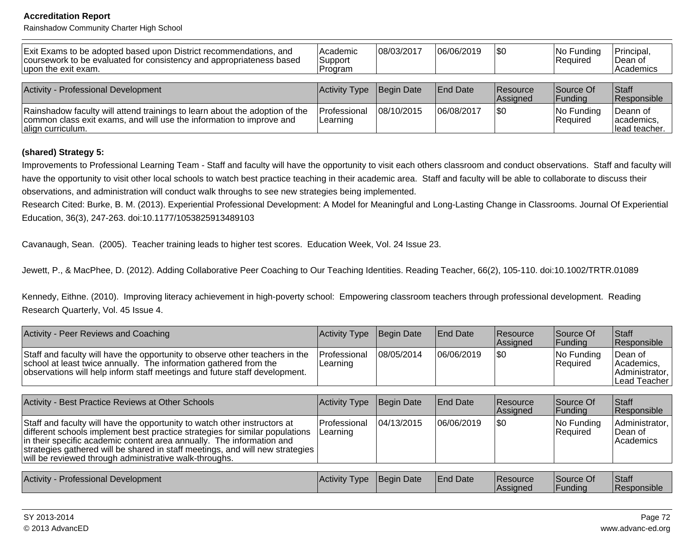Rainshadow Community Charter High School

| Exit Exams to be adopted based upon District recommendations, and<br>coursework to be evaluated for consistency and appropriateness based<br>upon the exit exam.         | l Academic<br> Support<br>IProgram | 108/03/2017 | 06/06/2019      | \$0                         | No Funding<br>Required        | Principal,<br>∣Dean of<br><b>Academics</b> |
|--------------------------------------------------------------------------------------------------------------------------------------------------------------------------|------------------------------------|-------------|-----------------|-----------------------------|-------------------------------|--------------------------------------------|
| Activity - Professional Development                                                                                                                                      | <b>Activity Type</b>               | Begin Date  | <b>End Date</b> | <b>Resource</b><br>Assigned | Source Of<br> Funding         | <b>Staff</b><br>Responsible                |
| Rainshadow faculty will attend trainings to learn about the adoption of the<br>common class exit exams, and will use the information to improve and<br>align curriculum. | <b>Professional</b><br>Learning    | 108/10/2015 | 106/08/2017     | \$0                         | No Funding<br><b>Required</b> | Deann of<br>academics,<br>llead teacher.   |

#### **(shared) Strategy 5:**

Improvements to Professional Learning Team - Staff and faculty will have the opportunity to visit each others classroom and conduct observations. Staff and faculty willhave the opportunity to visit other local schools to watch best practice teaching in their academic area. Staff and faculty will be able to collaborate to discuss theirobservations, and administration will conduct walk throughs to see new strategies being implemented.

Research Cited: Burke, B. M. (2013). Experiential Professional Development: A Model for Meaningful and Long-Lasting Change in Classrooms. Journal Of ExperientialEducation, 36(3), 247-263. doi:10.1177/1053825913489103

Cavanaugh, Sean. (2005). Teacher training leads to higher test scores. Education Week, Vol. 24 Issue 23.

Jewett, P., & MacPhee, D. (2012). Adding Collaborative Peer Coaching to Our Teaching Identities. Reading Teacher, 66(2), 105-110. doi:10.1002/TRTR.01089

Kennedy, Eithne. (2010). Improving literacy achievement in high-poverty school: Empowering classroom teachers through professional development. ReadingResearch Quarterly, Vol. 45 Issue 4.

| Activity - Peer Reviews and Coaching                                                                                                                                                                                            | <b>Activity Type Begin Date</b> |            | <b>End Date</b> | <b>Resource</b><br><b>Assigned</b> | Source Of<br><b>IFundina</b> | <b>Staff</b><br><b>Responsible</b>                      |
|---------------------------------------------------------------------------------------------------------------------------------------------------------------------------------------------------------------------------------|---------------------------------|------------|-----------------|------------------------------------|------------------------------|---------------------------------------------------------|
| Staff and faculty will have the opportunity to observe other teachers in the<br>school at least twice annually. The information gathered from the<br>observations will help inform staff meetings and future staff development. | Professional<br>Learning        | 08/05/2014 | 06/06/2019      | ISO                                | No Funding<br>Required       | Dean of<br>Academics.<br>Administrator,<br>Lead Teacher |

| Activity - Best Practice Reviews at Other Schools                                                                                                                                                                                                                                                                                                                               | Activity Type Begin Date                |            | <b>End Date</b> | <b>Resource</b><br>Assigned | Source Of<br><b>Funding</b> | <b>Staff</b><br>Responsible               |
|---------------------------------------------------------------------------------------------------------------------------------------------------------------------------------------------------------------------------------------------------------------------------------------------------------------------------------------------------------------------------------|-----------------------------------------|------------|-----------------|-----------------------------|-----------------------------|-------------------------------------------|
| Staff and faculty will have the opportunity to watch other instructors at<br>different schools implement best practice strategies for similar populations<br>In their specific academic content area annually. The information and<br>strategies gathered will be shared in staff meetings, and will new strategies  <br>will be reviewed through administrative walk-throughs. | <b>Professional</b><br><b>ILearning</b> | 04/13/2015 | 06/06/2019      | 1\$0                        | No Funding<br>Required      | Administrator,<br>IDean of<br>l Academics |

| Activity - Professional Development | Activity Type | Begin Date | <b>End Date</b> | <b>Resource</b> | Source Of      | Staff<br>.  |
|-------------------------------------|---------------|------------|-----------------|-----------------|----------------|-------------|
|                                     |               |            |                 | Assigned        | <b>Funding</b> | Responsible |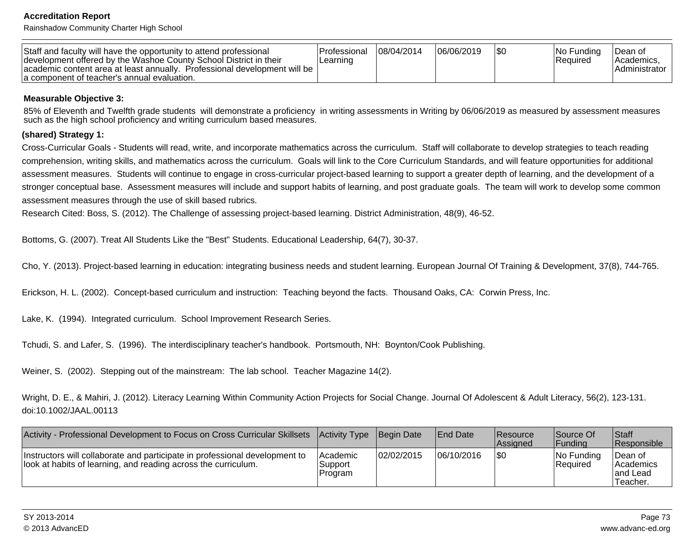Rainshadow Community Charter High School

| Staff and faculty will have the opportunity to attend professional<br>development offered by the Washoe County School District in their<br>academic content area at least annually. Professional development will be<br>la component of teacher's annual evaluation. | Professional<br>Learnıng | 08/04/2014 | 06/06/2019 |  | INo Fundina<br>Required | ∣Dean of<br>IAcademics.<br><b>Administrator</b> |
|----------------------------------------------------------------------------------------------------------------------------------------------------------------------------------------------------------------------------------------------------------------------|--------------------------|------------|------------|--|-------------------------|-------------------------------------------------|
|----------------------------------------------------------------------------------------------------------------------------------------------------------------------------------------------------------------------------------------------------------------------|--------------------------|------------|------------|--|-------------------------|-------------------------------------------------|

#### **Measurable Objective 3:**

85% of Eleventh and Twelfth grade students will demonstrate a proficiency in writing assessments in Writing by 06/06/2019 as measured by assessment measures such as the high school proficiency and writing curriculum based measures.

#### **(shared) Strategy 1:**

Cross-Curricular Goals - Students will read, write, and incorporate mathematics across the curriculum. Staff will collaborate to develop strategies to teach reading comprehension, writing skills, and mathematics across the curriculum. Goals will link to the Core Curriculum Standards, and will feature opportunities for additionalassessment measures. Students will continue to engage in cross-curricular project-based learning to support a greater depth of learning, and the development of astronger conceptual base. Assessment measures will include and support habits of learning, and post graduate goals. The team will work to develop some common assessment measures through the use of skill based rubrics.

Research Cited: Boss, S. (2012). The Challenge of assessing project-based learning. District Administration, 48(9), 46-52.

Bottoms, G. (2007). Treat All Students Like the "Best" Students. Educational Leadership, 64(7), 30-37.

Cho, Y. (2013). Project-based learning in education: integrating business needs and student learning. European Journal Of Training & Development, 37(8), 744-765.

Erickson, H. L. (2002). Concept-based curriculum and instruction: Teaching beyond the facts. Thousand Oaks, CA: Corwin Press, Inc.

Lake, K. (1994). Integrated curriculum. School Improvement Research Series.

Tchudi, S. and Lafer, S. (1996). The interdisciplinary teacher's handbook. Portsmouth, NH: Boynton/Cook Publishing.

Weiner, S. (2002). Stepping out of the mainstream: The lab school. Teacher Magazine 14(2).

Wright, D. E., & Mahiri, J. (2012). Literacy Learning Within Community Action Projects for Social Change. Journal Of Adolescent & Adult Literacy, 56(2), 123-131.doi:10.1002/JAAL.00113

| Activity - Professional Development to Focus on Cross Curricular Skillsets                                                                    | Activity Type Begin Date       |            | <b>End Date</b> | <b>Resource</b><br><b>Assigned</b> | Source Of<br>lFundina   | <b>Staff</b><br><b>Responsible</b>               |
|-----------------------------------------------------------------------------------------------------------------------------------------------|--------------------------------|------------|-----------------|------------------------------------|-------------------------|--------------------------------------------------|
| Instructors will collaborate and participate in professional development to<br>look at habits of learning, and reading across the curriculum. | Academic<br>Support<br>Program | 02/02/2015 | 06/10/2016      | 1\$0                               | INo Fundina<br>Required | ∣Dean of<br>l Academics<br>land Lead<br>Teacher. |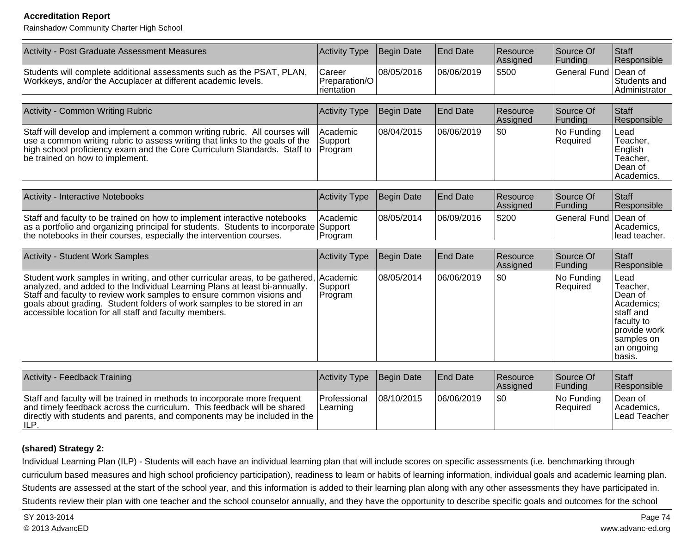Rainshadow Community Charter High School

| Activity - Post Graduate Assessment Measures                                                                                                                                                                                                                                                                                                                                      | Activity Type                         | Begin Date | <b>End Date</b> | Resource<br>Assigned | Source Of<br>Funding   | Staff<br>Responsible                                                                                                       |
|-----------------------------------------------------------------------------------------------------------------------------------------------------------------------------------------------------------------------------------------------------------------------------------------------------------------------------------------------------------------------------------|---------------------------------------|------------|-----------------|----------------------|------------------------|----------------------------------------------------------------------------------------------------------------------------|
| Students will complete additional assessments such as the PSAT, PLAN,<br>Workkeys, and/or the Accuplacer at different academic levels.                                                                                                                                                                                                                                            | Career<br>Preparation/O<br>rientation | 08/05/2016 | 06/06/2019      | \$500                | <b>General Fund</b>    | Dean of<br>Students and<br>Administrator                                                                                   |
|                                                                                                                                                                                                                                                                                                                                                                                   |                                       |            |                 |                      |                        |                                                                                                                            |
| Activity - Common Writing Rubric                                                                                                                                                                                                                                                                                                                                                  | Activity Type                         | Begin Date | <b>End Date</b> | Resource<br>Assigned | Source Of<br>Funding   | Staff<br>Responsible                                                                                                       |
| Staff will develop and implement a common writing rubric. All courses will<br>use a common writing rubric to assess writing that links to the goals of the<br>high school proficiency exam and the Core Curriculum Standards. Staff to<br>be trained on how to implement.                                                                                                         | Academic<br>Support<br>Program        | 08/04/2015 | 06/06/2019      | l\$0                 | No Funding<br>Required | Lead<br>Teacher,<br>English<br>Teacher,<br>Dean of<br>Academics.                                                           |
| Activity - Interactive Notebooks                                                                                                                                                                                                                                                                                                                                                  | Activity Type                         | Begin Date | End Date        | Resource<br>Assigned | Source Of<br>Funding   | Staff<br>Responsible                                                                                                       |
| Staff and faculty to be trained on how to implement interactive notebooks<br>as a portfolio and organizing principal for students. Students to incorporate Support<br>the notebooks in their courses, especially the intervention courses.                                                                                                                                        | Academic<br>Program                   | 08/05/2014 | 06/09/2016      | \$200                | <b>General Fund</b>    | Dean of<br>Academics,<br>lead teacher.                                                                                     |
| <b>Activity - Student Work Samples</b>                                                                                                                                                                                                                                                                                                                                            | Activity Type                         | Begin Date | <b>End Date</b> | Resource<br>Assigned | Source Of<br>Funding   | Staff<br>Responsible                                                                                                       |
| Student work samples in writing, and other curricular areas, to be gathered, Academic<br>analyzed, and added to the Individual Learning Plans at least bi-annually.<br>Staff and faculty to review work samples to ensure common visions and<br>goals about grading. Student folders of work samples to be stored in an<br>accessible location for all staff and faculty members. | Support<br>Program                    | 08/05/2014 | 06/06/2019      | l\$0                 | No Funding<br>Required | Lead<br>Teacher,<br>Dean of<br>Academics:<br>staff and<br>faculty to<br>provide work<br>samples on<br>an ongoing<br>basis. |
|                                                                                                                                                                                                                                                                                                                                                                                   |                                       |            |                 |                      |                        |                                                                                                                            |
| Activity - Feedback Training                                                                                                                                                                                                                                                                                                                                                      | Activity Type                         | Begin Date | <b>End Date</b> | Resource<br>Assigned | Source Of<br>Funding   | Staff<br>Responsible                                                                                                       |
| Staff and faculty will be trained in methods to incorporate more frequent<br>and timely feedback across the curriculum. This feedback will be shared<br>directly with students and parents, and components may be included in the<br>ILP.                                                                                                                                         | Professional<br>Learning              | 08/10/2015 | 06/06/2019      | l\$0                 | No Funding<br>Required | Dean of<br>Academics,<br>Lead Teacher                                                                                      |

#### **(shared) Strategy 2:**

Individual Learning Plan (ILP) - Students will each have an individual learning plan that will include scores on specific assessments (i.e. benchmarking through curriculum based measures and high school proficiency participation), readiness to learn or habits of learning information, individual goals and academic learning plan.Students are assessed at the start of the school year, and this information is added to their learning plan along with any other assessments they have participated in.Students review their plan with one teacher and the school counselor annually, and they have the opportunity to describe specific goals and outcomes for the school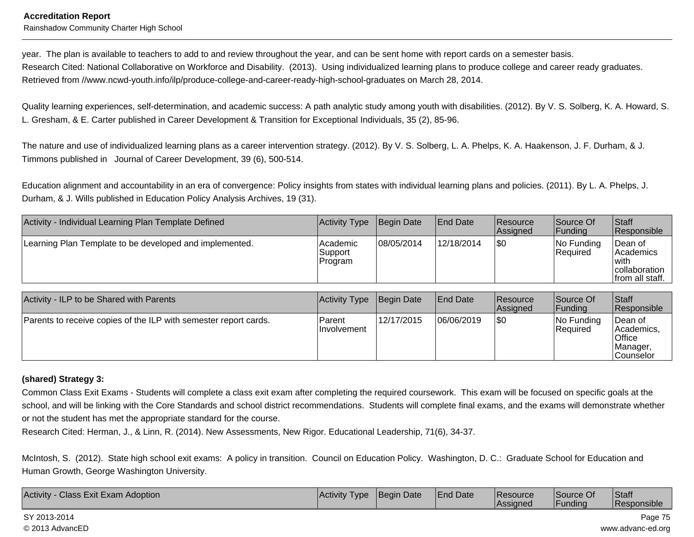#### **Accreditation Report**Rainshadow Community Charter High School

year. The plan is available to teachers to add to and review throughout the year, and can be sent home with report cards on a semester basis. Research Cited: National Collaborative on Workforce and Disability. (2013). Using individualized learning plans to produce college and career ready graduates.Retrieved from //www.ncwd-youth.info/ilp/produce-college-and-career-ready-high-school-graduates on March 28, 2014.

Quality learning experiences, self-determination, and academic success: A path analytic study among youth with disabilities. (2012). By V. S. Solberg, K. A. Howard, S.L. Gresham, & E. Carter published in Career Development & Transition for Exceptional Individuals, 35 (2), 85-96.

The nature and use of individualized learning plans as a career intervention strategy. (2012). By V. S. Solberg, L. A. Phelps, K. A. Haakenson, J. F. Durham, & J.Timmons published in Journal of Career Development, 39 (6), 500-514.

Education alignment and accountability in an era of convergence: Policy insights from states with individual learning plans and policies. (2011). By L. A. Phelps, J.Durham, & J. Wills published in Education Policy Analysis Archives, 19 (31).

| Activity - Individual Learning Plan Template Defined    | Activity Type                  | Begin Date | <b>End Date</b> | <b>Resource</b><br><b>Assigned</b> | Source Of<br> Funding         | <b>Staff</b><br>Responsible                                         |
|---------------------------------------------------------|--------------------------------|------------|-----------------|------------------------------------|-------------------------------|---------------------------------------------------------------------|
| Learning Plan Template to be developed and implemented. | Academic<br>Support<br>Program | 08/05/2014 | 12/18/2014      | 1\$0                               | No Funding<br><b>Required</b> | Dean of<br> Academics<br>'with<br>collaboration<br> from all staff. |

| Activity - ILP to be Shared with Parents                         | Activity Type                | Begin Date | <b>End Date</b> | <b>Resource</b><br>Assigned | Source Of<br> Funding            | <b>Staff</b><br>Responsible                                 |
|------------------------------------------------------------------|------------------------------|------------|-----------------|-----------------------------|----------------------------------|-------------------------------------------------------------|
| Parents to receive copies of the ILP with semester report cards. | Parent<br><b>Involvement</b> | 12/17/2015 | 06/06/2019      | \$0                         | $ No$ Funding<br><b>Required</b> | ∣Dean of<br>IAcademics.<br>Office<br>Manager,<br> Counselor |

#### **(shared) Strategy 3:**

Common Class Exit Exams - Students will complete a class exit exam after completing the required coursework. This exam will be focused on specific goals at theschool, and will be linking with the Core Standards and school district recommendations. Students will complete final exams, and the exams will demonstrate whether or not the student has met the appropriate standard for the course.

Research Cited: Herman, J., & Linn, R. (2014). New Assessments, New Rigor. Educational Leadership, 71(6), 34-37.

McIntosh, S. (2012). State high school exit exams: A policy in transition. Council on Education Policy. Washington, D. C.: Graduate School for Education andHuman Growth, George Washington University.

| Activity<br><b>Class Exit Exam Adoption</b> | I Activitv<br><u>I</u> vpe | <b>Begin Date</b> | <b>End Date</b> | <b>IResource</b><br><b>Assigned</b> | lSource Of<br><b>Lunding</b> | Staff<br>Responsible |
|---------------------------------------------|----------------------------|-------------------|-----------------|-------------------------------------|------------------------------|----------------------|
|---------------------------------------------|----------------------------|-------------------|-----------------|-------------------------------------|------------------------------|----------------------|

SY 2013-2014© 2013 AdvancED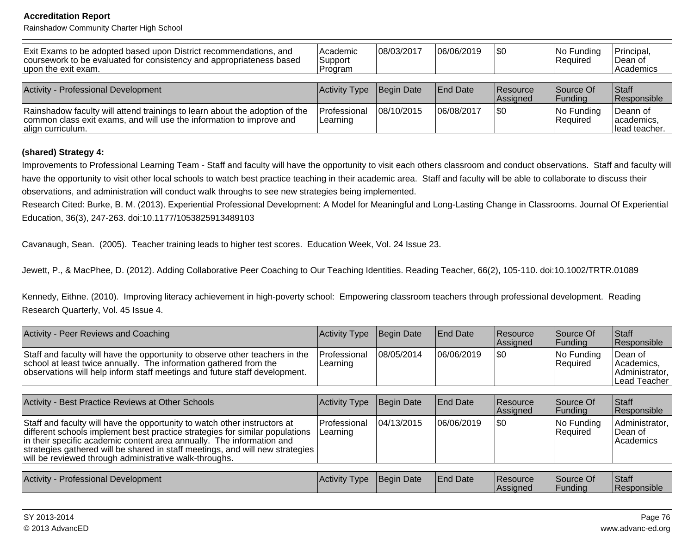Rainshadow Community Charter High School

| Exit Exams to be adopted based upon District recommendations, and<br>coursework to be evaluated for consistency and appropriateness based<br>upon the exit exam.         | l Academic<br>Support<br>IProgram | 108/03/2017 | 06/06/2019      | 1\$0                        | No Funding<br>Required | Principal,<br>∣Dean of<br>  Academics     |
|--------------------------------------------------------------------------------------------------------------------------------------------------------------------------|-----------------------------------|-------------|-----------------|-----------------------------|------------------------|-------------------------------------------|
| Activity - Professional Development                                                                                                                                      | Activity Type                     | Begin Date  | <b>End Date</b> | <b>Resource</b><br>Assigned | Source Of<br> Funding  | <b>Staff</b><br>Responsible               |
| Rainshadow faculty will attend trainings to learn about the adoption of the<br>common class exit exams, and will use the information to improve and<br>align curriculum. | Professional<br>Learning          | 108/10/2015 | 106/08/2017     | 1\$0                        | No Funding<br>Required | Deann of<br>lacademics.<br>llead teacher. |

#### **(shared) Strategy 4:**

Improvements to Professional Learning Team - Staff and faculty will have the opportunity to visit each others classroom and conduct observations. Staff and faculty willhave the opportunity to visit other local schools to watch best practice teaching in their academic area. Staff and faculty will be able to collaborate to discuss theirobservations, and administration will conduct walk throughs to see new strategies being implemented.

Research Cited: Burke, B. M. (2013). Experiential Professional Development: A Model for Meaningful and Long-Lasting Change in Classrooms. Journal Of ExperientialEducation, 36(3), 247-263. doi:10.1177/1053825913489103

Cavanaugh, Sean. (2005). Teacher training leads to higher test scores. Education Week, Vol. 24 Issue 23.

Jewett, P., & MacPhee, D. (2012). Adding Collaborative Peer Coaching to Our Teaching Identities. Reading Teacher, 66(2), 105-110. doi:10.1002/TRTR.01089

Kennedy, Eithne. (2010). Improving literacy achievement in high-poverty school: Empowering classroom teachers through professional development. ReadingResearch Quarterly, Vol. 45 Issue 4.

| Activity - Peer Reviews and Coaching                                                                                                                                                                                            | Activity Type Begin Date         |            | <b>IEnd Date</b> | <b>Resource</b><br><b>Assigned</b> | Source Of<br><b>IFunding</b> | <b>Staff</b><br>Responsible                                    |
|---------------------------------------------------------------------------------------------------------------------------------------------------------------------------------------------------------------------------------|----------------------------------|------------|------------------|------------------------------------|------------------------------|----------------------------------------------------------------|
| Staff and faculty will have the opportunity to observe other teachers in the<br>school at least twice annually. The information gathered from the<br>observations will help inform staff meetings and future staff development. | <b>IProfessional</b><br>Learning | 08/05/2014 | 106/06/2019      | \$0                                | $ No$ Funding<br>Required    | Dean of<br><i>Academics.</i><br>Administrator,<br>Lead Teacher |

| Activity - Best Practice Reviews at Other Schools                                                                                                                                                                                                                                                                                                                             | Activity Type Begin Date         |             | <b>IEnd Date</b> | <b>Resource</b><br>Assigned | Source Of<br> Funding  | <b>Staff</b><br>Responsible               |
|-------------------------------------------------------------------------------------------------------------------------------------------------------------------------------------------------------------------------------------------------------------------------------------------------------------------------------------------------------------------------------|----------------------------------|-------------|------------------|-----------------------------|------------------------|-------------------------------------------|
| Staff and faculty will have the opportunity to watch other instructors at<br>different schools implement best practice strategies for similar populations<br>In their specific academic content area annually. The information and<br>strategies gathered will be shared in staff meetings, and will new strategies<br>will be reviewed through administrative walk-throughs. | IProfessional<br><b>Learning</b> | 104/13/2015 | 06/06/2019       | 1\$0                        | No Funding<br>Required | Administrator,<br>IDean of<br>l Academics |

| Activity - Professional Development | Activity Type | Begin Date | <b>IEnd Date</b> | <b>Resource</b><br><b>Assigned</b> | Source Of<br> Funding | Staff<br>$\cdots$<br><b>Responsible</b> |
|-------------------------------------|---------------|------------|------------------|------------------------------------|-----------------------|-----------------------------------------|
|                                     |               |            |                  |                                    |                       |                                         |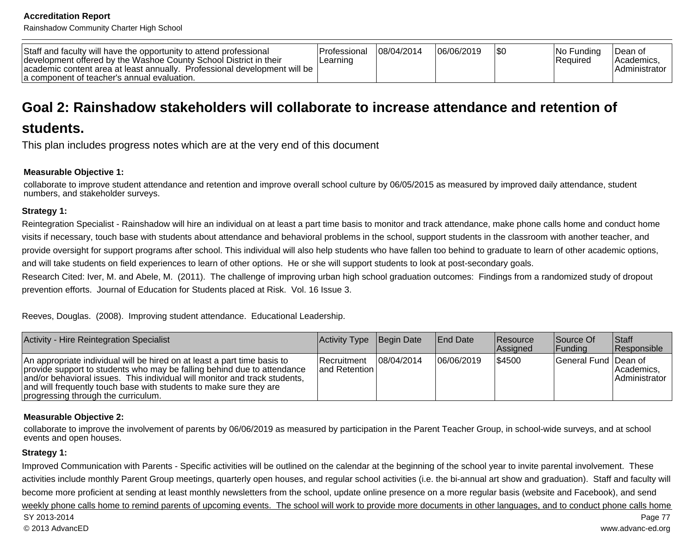Rainshadow Community Charter High School

| Staff and faculty will have the opportunity to attend professional<br>development offered by the Washoe County School District in their<br>Professional development will be<br>lacademic content area at least annually.<br>la component of teacher's annual evaluation. | l Professional<br>Learning | 108/04/2014 | 06/06/2019 |  | INo Fundina<br> Required | Dean of<br><i>Academics</i><br>Administrator |
|--------------------------------------------------------------------------------------------------------------------------------------------------------------------------------------------------------------------------------------------------------------------------|----------------------------|-------------|------------|--|--------------------------|----------------------------------------------|
|--------------------------------------------------------------------------------------------------------------------------------------------------------------------------------------------------------------------------------------------------------------------------|----------------------------|-------------|------------|--|--------------------------|----------------------------------------------|

# **Goal 2: Rainshadow stakeholders will collaborate to increase attendance and retention of**

# **students.**

This plan includes progress notes which are at the very end of this document

#### **Measurable Objective 1:**

 collaborate to improve student attendance and retention and improve overall school culture by 06/05/2015 as measured by improved daily attendance, studentnumbers, and stakeholder surveys.

#### **Strategy 1:**

Reintegration Specialist - Rainshadow will hire an individual on at least a part time basis to monitor and track attendance, make phone calls home and conduct homevisits if necessary, touch base with students about attendance and behavioral problems in the school, support students in the classroom with another teacher, andprovide oversight for support programs after school. This individual will also help students who have fallen too behind to graduate to learn of other academic options,and will take students on field experiences to learn of other options. He or she will support students to look at post-secondary goals.

Research Cited: Iver, M. and Abele, M. (2011). The challenge of improving urban high school graduation outcomes: Findings from a randomized study of dropoutprevention efforts. Journal of Education for Students placed at Risk. Vol. 16 Issue 3.

Reeves, Douglas. (2008). Improving student attendance. Educational Leadership.

| Activity - Hire Reintegration Specialist                                                                                                                                                                                                                                                                                                       | Activity Type Begin Date               |            | <b>End Date</b> | <b>Resource</b><br>Assigned | Source Of<br> Funding | Staff<br><b>Responsible</b>          |
|------------------------------------------------------------------------------------------------------------------------------------------------------------------------------------------------------------------------------------------------------------------------------------------------------------------------------------------------|----------------------------------------|------------|-----------------|-----------------------------|-----------------------|--------------------------------------|
| An appropriate individual will be hired on at least a part time basis to<br>provide support to students who may be falling behind due to attendance<br>and/or behavioral issues. This individual will monitor and track students,<br>and will frequently touch base with students to make sure they are<br>progressing through the curriculum. | <b>Recruitment</b><br>land Retention I | 08/04/2014 | 06/06/2019      | \$4500                      | General Fund Dean of  | l Academics.<br><b>Administrator</b> |

#### **Measurable Objective 2:**

collaborate to improve the involvement of parents by 06/06/2019 as measured by participation in the Parent Teacher Group, in school-wide surveys, and at schoolevents and open houses.

#### **Strategy 1:**

Improved Communication with Parents - Specific activities will be outlined on the calendar at the beginning of the school year to invite parental involvement. These activities include monthly Parent Group meetings, quarterly open houses, and regular school activities (i.e. the bi-annual art show and graduation). Staff and faculty willbecome more proficient at sending at least monthly newsletters from the school, update online presence on a more regular basis (website and Facebook), and sendweekly phone calls home to remind parents of upcoming events. The school will work to provide more documents in other languages, and to conduct phone calls home Page 77 SY 2013-2014 Page 77 © 2013 AdvancEDwww.advanc-ed.org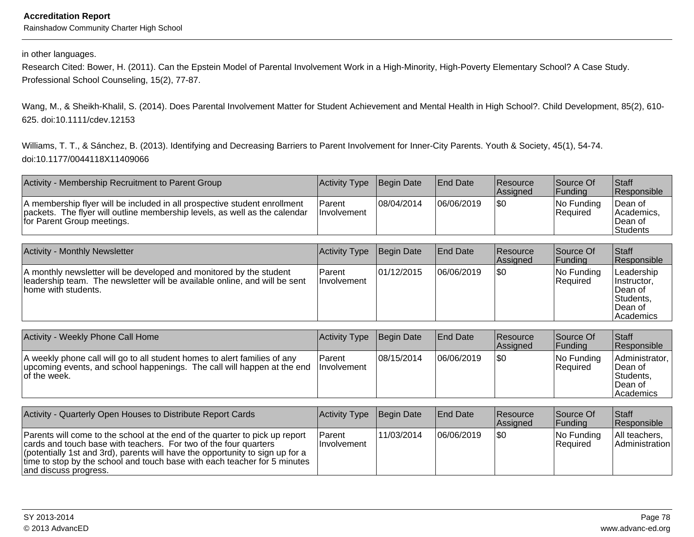#### in other languages.

Research Cited: Bower, H. (2011). Can the Epstein Model of Parental Involvement Work in a High-Minority, High-Poverty Elementary School? A Case Study.Professional School Counseling, 15(2), 77-87.

Wang, M., & Sheikh-Khalil, S. (2014). Does Parental Involvement Matter for Student Achievement and Mental Health in High School?. Child Development, 85(2), 610-625. doi:10.1111/cdev.12153

Williams, T. T., & Sánchez, B. (2013). Identifying and Decreasing Barriers to Parent Involvement for Inner-City Parents. Youth & Society, 45(1), 54-74.doi:10.1177/0044118X11409066

| Activity - Membership Recruitment to Parent Group                                                                                                                                     | Activity Type Begin Date     |            | <b>End Date</b> | <b>Resource</b><br><b>Assigned</b> | Source Of<br><b>IFundina</b> | Staff<br><b>Responsible</b>                           |
|---------------------------------------------------------------------------------------------------------------------------------------------------------------------------------------|------------------------------|------------|-----------------|------------------------------------|------------------------------|-------------------------------------------------------|
| A membership flyer will be included in all prospective student enrollment<br>packets. The flyer will outline membership levels, as well as the calendar<br>for Parent Group meetings. | Parent<br><b>Involvement</b> | 08/04/2014 | 06/06/2019      | 1\$0                               | INo Fundina<br>Required      | Dean of<br>l Academics.<br>Dean of<br><b>Students</b> |

| <b>Activity - Monthly Newsletter</b>                                                                                                                                      | Activity Type                | Begin Date | <b>End Date</b> | <b>Resource</b><br>Assigned | Source Of<br><b>IFundina</b> | Staff<br>Responsible                                                       |
|---------------------------------------------------------------------------------------------------------------------------------------------------------------------------|------------------------------|------------|-----------------|-----------------------------|------------------------------|----------------------------------------------------------------------------|
| A monthly newsletter will be developed and monitored by the student<br>leadership team. The newsletter will be available online, and will be sent<br>Thome with students. | Parent<br><b>Involvement</b> | 01/12/2015 | 106/06/2019     | 1\$0                        | No Funding<br> Reauired      | Leadership<br>Instructor,<br>Dean of<br>Students,<br>Dean of<br> Academics |

| Activity - Weekly Phone Call Home                                                                                                                                                | Activity Type  | Begin Date  | <b>End Date</b> | <b>Resource</b><br><b>Assigned</b> | Source Of<br> Fundina   | Staff<br>Responsible                                                    |
|----------------------------------------------------------------------------------------------------------------------------------------------------------------------------------|----------------|-------------|-----------------|------------------------------------|-------------------------|-------------------------------------------------------------------------|
| A weekly phone call will go to all student homes to alert families of any<br>upcoming events, and school happenings. The call will happen at the end Involvement<br>of the week. | <b>IParent</b> | 108/15/2014 | 06/06/2019      | 1\$0                               | No Funding<br> Reauired | Administrator,<br>'Dean of<br>Students,<br>lDean of<br><b>Academics</b> |

| Activity - Quarterly Open Houses to Distribute Report Cards                                                                                                                                                                                                                                                                            | Activity Type Begin Date      |             | <b>End Date</b> | <b>Resource</b><br>Assigned | Source Of<br><b>IFundina</b> | <b>Staff</b><br>Responsible         |
|----------------------------------------------------------------------------------------------------------------------------------------------------------------------------------------------------------------------------------------------------------------------------------------------------------------------------------------|-------------------------------|-------------|-----------------|-----------------------------|------------------------------|-------------------------------------|
| Parents will come to the school at the end of the quarter to pick up report<br>cards and touch base with teachers. For two of the four quarters<br>(potentially 1st and 3rd), parents will have the opportunity to sign up for a<br>time to stop by the school and touch base with each teacher for 5 minutes<br>and discuss progress. | <b>Parent</b><br>Ilnvolvement | 111/03/2014 | 106/06/2019     | 1\$0                        | $ No$ Funding<br>Required    | All teachers.<br>l Administration l |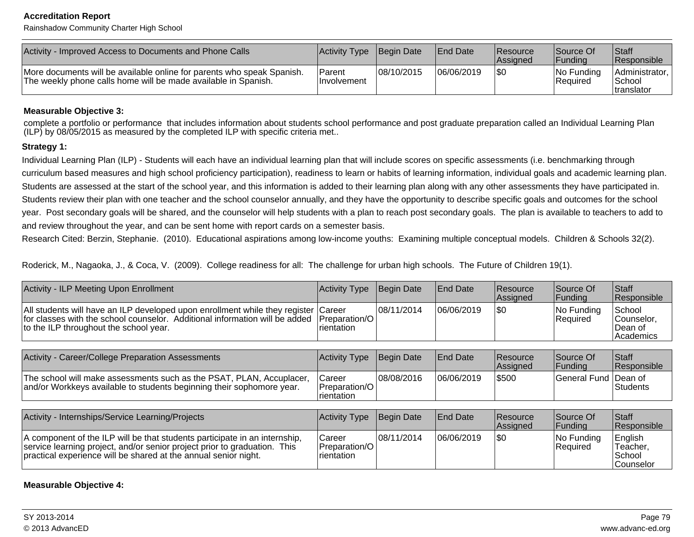Rainshadow Community Charter High School

| Activity - Improved Access to Documents and Phone Calls                                                                                  | Activity Type                  | Begin Date | <b>IEnd Date</b> | <b>Resource</b><br><b>Assigned</b> | Source Of<br> Fundina          | Staff<br><b>Responsible</b>                     |
|------------------------------------------------------------------------------------------------------------------------------------------|--------------------------------|------------|------------------|------------------------------------|--------------------------------|-------------------------------------------------|
| More documents will be available online for parents who speak Spanish.<br>The weekly phone calls home will be made available in Spanish. | l Parent<br><b>Involvement</b> | 08/10/2015 | 06/06/2019       | \$0                                | INo Fundina<br><b>Required</b> | Administrator,<br> School<br><b>Itranslator</b> |

#### **Measurable Objective 3:**

complete a portfolio or performance that includes information about students school performance and post graduate preparation called an Individual Learning Plan(ILP) by 08/05/2015 as measured by the completed ILP with specific criteria met..

#### **Strategy 1:**

Individual Learning Plan (ILP) - Students will each have an individual learning plan that will include scores on specific assessments (i.e. benchmarking through curriculum based measures and high school proficiency participation), readiness to learn or habits of learning information, individual goals and academic learning plan.Students are assessed at the start of the school year, and this information is added to their learning plan along with any other assessments they have participated in.Students review their plan with one teacher and the school counselor annually, and they have the opportunity to describe specific goals and outcomes for the schoolyear. Post secondary goals will be shared, and the counselor will help students with a plan to reach post secondary goals. The plan is available to teachers to add toand review throughout the year, and can be sent home with report cards on a semester basis.

Research Cited: Berzin, Stephanie. (2010). Educational aspirations among low-income youths: Examining multiple conceptual models. Children & Schools 32(2).

Roderick, M., Nagaoka, J., & Coca, V. (2009). College readiness for all: The challenge for urban high schools. The Future of Children 19(1).

| <b>Activity - ILP Meeting Upon Enrollment</b>                                                                                                                                                                              | <b>Activity Type</b>                  | Begin Date | <b>End Date</b> | Resource<br>Assigned | Source Of<br> Funding       | Staff<br>Responsible                         |
|----------------------------------------------------------------------------------------------------------------------------------------------------------------------------------------------------------------------------|---------------------------------------|------------|-----------------|----------------------|-----------------------------|----------------------------------------------|
| All students will have an ILP developed upon enrollment while they register Career<br>for classes with the school counselor. Additional information will be added<br>to the ILP throughout the school year.                | Preparation/O<br>Irientation          | 08/11/2014 | 06/06/2019      | <b>SO</b>            | No Funding<br>Required      | School<br>Counselor.<br>Dean of<br>Academics |
|                                                                                                                                                                                                                            |                                       |            |                 |                      |                             |                                              |
| Activity - Career/College Preparation Assessments                                                                                                                                                                          | <b>Activity Type</b>                  | Begin Date | <b>End Date</b> | Resource<br>Assigned | Source Of<br><b>Funding</b> | <b>Staff</b><br>Responsible                  |
| The school will make assessments such as the PSAT, PLAN, Accuplacer,<br>and/or Workkeys available to students beginning their sophomore year.                                                                              | Career<br>Preparation/O<br>rientation | 08/08/2016 | 06/06/2019      | \$500                | General Fund Dean of        | Students                                     |
|                                                                                                                                                                                                                            |                                       |            |                 |                      |                             |                                              |
| Activity - Internships/Service Learning/Projects                                                                                                                                                                           | <b>Activity Type</b>                  | Begin Date | <b>End Date</b> | Resource<br>Assigned | Source Of<br> Funding       | <b>Staff</b><br>Responsible                  |
| A component of the ILP will be that students participate in an internship,<br>service learning project, and/or senior project prior to graduation. This<br>practical experience will be shared at the annual senior night. | Career<br>Preparation/O<br>rientation | 08/11/2014 | 06/06/2019      | <b>\$0</b>           | No Funding<br>Required      | English<br>Teacher,<br>School<br> Counselor  |

#### **Measurable Objective 4:**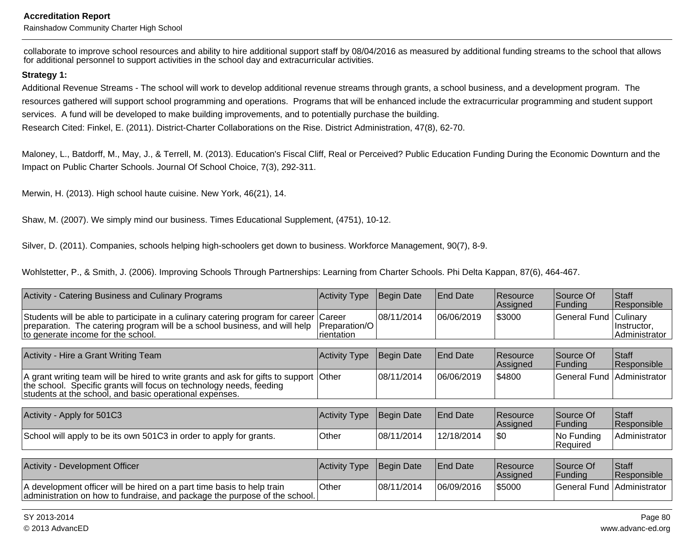Rainshadow Community Charter High School

collaborate to improve school resources and ability to hire additional support staff by 08/04/2016 as measured by additional funding streams to the school that allowsfor additional personnel to support activities in the school day and extracurricular activities.

#### **Strategy 1:**

Additional Revenue Streams - The school will work to develop additional revenue streams through grants, a school business, and a development program. The resources gathered will support school programming and operations. Programs that will be enhanced include the extracurricular programming and student supportservices. A fund will be developed to make building improvements, and to potentially purchase the building.

Research Cited: Finkel, E. (2011). District-Charter Collaborations on the Rise. District Administration, 47(8), 62-70.

Maloney, L., Batdorff, M., May, J., & Terrell, M. (2013). Education's Fiscal Cliff, Real or Perceived? Public Education Funding During the Economic Downturn and theImpact on Public Charter Schools. Journal Of School Choice, 7(3), 292-311.

Merwin, H. (2013). High school haute cuisine. New York, 46(21), 14.

Shaw, M. (2007). We simply mind our business. Times Educational Supplement, (4751), 10-12.

Silver, D. (2011). Companies, schools helping high-schoolers get down to business. Workforce Management, 90(7), 8-9.

Wohlstetter, P., & Smith, J. (2006). Improving Schools Through Partnerships: Learning from Charter Schools. Phi Delta Kappan, 87(6), 464-467.

| Activity - Catering Business and Culinary Programs                                                                                                                                                                      | Activity Type               | <b>Begin Date</b> | End Date        | Resource<br>Assigned        | Source Of<br> Funding        | Staff<br> Responsible_        |
|-------------------------------------------------------------------------------------------------------------------------------------------------------------------------------------------------------------------------|-----------------------------|-------------------|-----------------|-----------------------------|------------------------------|-------------------------------|
| Students will be able to participate in a culinary catering program for career Career<br>preparation. The catering program will be a school business, and will help<br>to generate income for the school.               | Preparation/O<br>rientation | 08/11/2014        | 06/06/2019      | \$3000                      | General Fund Culinary        | Instructor,<br>Administrator  |
|                                                                                                                                                                                                                         |                             |                   |                 |                             |                              |                               |
| Activity - Hire a Grant Writing Team                                                                                                                                                                                    | Activity Type               | Begin Date        | End Date        | Resource<br>Assigned        | Source Of<br> Funding        | Staff<br>Responsible          |
| A grant writing team will be hired to write grants and ask for gifts to support Other<br>the school. Specific grants will focus on technology needs, feeding<br>students at the school, and basic operational expenses. |                             | 108/11/2014       | 06/06/2019      | IS4800                      | General Fund Administrator   |                               |
|                                                                                                                                                                                                                         |                             |                   |                 |                             |                              |                               |
| Activity - Apply for 501C3                                                                                                                                                                                              | Activity Type               | Begin Date        | <b>End Date</b> | Resource<br>Assigned        | Source Of<br> Funding        | <b>Staff</b><br> Responsible_ |
| School will apply to be its own 501C3 in order to apply for grants.                                                                                                                                                     | Other                       | 08/11/2014        | 12/18/2014      | I\$0                        | No Funding<br>Required       | Administrator                 |
|                                                                                                                                                                                                                         |                             |                   |                 |                             |                              |                               |
| Activity - Development Officer                                                                                                                                                                                          | Activity Type               | Begin Date        | End Date        | Resource<br><b>Assigned</b> | Source Of<br> Funding        | Staff<br>Responsible          |
| A development officer will be hired on a part time basis to help train<br>administration on how to fundraise, and package the purpose of the school.                                                                    | Other                       | 08/11/2014        | 06/09/2016      | \$5000                      | General Fund   Administrator |                               |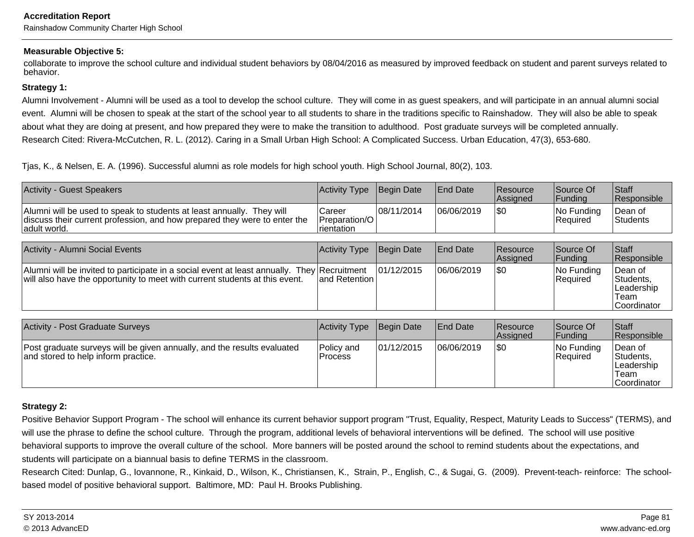#### **Measurable Objective 5:**

collaborate to improve the school culture and individual student behaviors by 08/04/2016 as measured by improved feedback on student and parent surveys related tobehavior.

#### **Strategy 1:**

Alumni Involvement - Alumni will be used as a tool to develop the school culture. They will come in as guest speakers, and will participate in an annual alumni socialevent. Alumni will be chosen to speak at the start of the school year to all students to share in the traditions specific to Rainshadow. They will also be able to speakabout what they are doing at present, and how prepared they were to make the transition to adulthood. Post graduate surveys will be completed annually. Research Cited: Rivera-McCutchen, R. L. (2012). Caring in a Small Urban High School: A Complicated Success. Urban Education, 47(3), 653-680.

Tjas, K., & Nelsen, E. A. (1996). Successful alumni as role models for high school youth. High School Journal, 80(2), 103.

| <b>Activity - Guest Speakers</b>                                                                                                                                           | <b>Activity Type</b>                   | Begin Date  | End Date        | Resource<br> Assigned | Source Of<br> Funding  | <b>Staff</b><br>Responsible                                |
|----------------------------------------------------------------------------------------------------------------------------------------------------------------------------|----------------------------------------|-------------|-----------------|-----------------------|------------------------|------------------------------------------------------------|
| Alumni will be used to speak to students at least annually. They will<br>discuss their current profession, and how prepared they were to enter the<br>adult world.         | Career<br>Preparation/O<br>Irientation | 08/11/2014  | 06/06/2019      | \$0                   | No Funding<br>Required | Dean of<br>Students                                        |
|                                                                                                                                                                            |                                        |             |                 |                       |                        |                                                            |
| Activity - Alumni Social Events                                                                                                                                            | Activity Type                          | Begin Date  | <b>End Date</b> | Resource<br>Assigned  | Source Of<br> Funding  | Staff<br>Responsible                                       |
| Alumni will be invited to participate in a social event at least annually. They Recruitment<br>will also have the opportunity to meet with current students at this event. | land Retention l                       | 101/12/2015 | 06/06/2019      | \$0                   | No Funding<br>Required | Dean of<br>Students,<br>Leadership<br>Team<br>lCoordinator |
|                                                                                                                                                                            |                                        |             |                 |                       |                        |                                                            |
| <b>Activity - Post Graduate Surveys</b>                                                                                                                                    | Activity Type                          | Begin Date  | <b>End Date</b> | Resource<br> Assigned | Source Of<br> Funding  | <b>Staff</b><br>Responsible                                |
| Post graduate surveys will be given annually, and the results evaluated<br>and stored to help inform practice.                                                             | Policy and<br><b>Process</b>           | 01/12/2015  | 06/06/2019      | \$0                   | No Funding<br>Required | Dean of<br>Students,<br>Leadership<br>Team<br>lCoordinator |

#### **Strategy 2:**

Positive Behavior Support Program - The school will enhance its current behavior support program "Trust, Equality, Respect, Maturity Leads to Success" (TERMS), and will use the phrase to define the school culture. Through the program, additional levels of behavioral interventions will be defined. The school will use positive behavioral supports to improve the overall culture of the school. More banners will be posted around the school to remind students about the expectations, andstudents will participate on a biannual basis to define TERMS in the classroom.

Research Cited: Dunlap, G., Iovannone, R., Kinkaid, D., Wilson, K., Christiansen, K., Strain, P., English, C., & Sugai, G. (2009). Prevent-teach- reinforce: The schoolbased model of positive behavioral support. Baltimore, MD: Paul H. Brooks Publishing.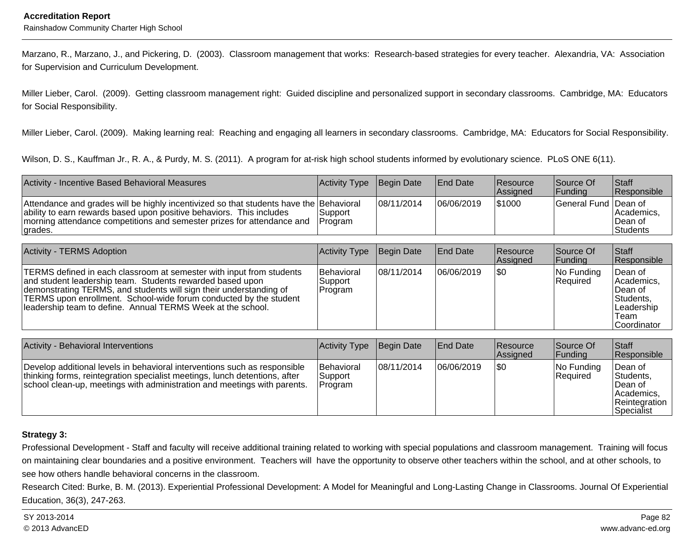Marzano, R., Marzano, J., and Pickering, D. (2003). Classroom management that works: Research-based strategies for every teacher. Alexandria, VA: Associationfor Supervision and Curriculum Development.

Miller Lieber, Carol. (2009). Getting classroom management right: Guided discipline and personalized support in secondary classrooms. Cambridge, MA: Educatorsfor Social Responsibility.

Miller Lieber, Carol. (2009). Making learning real: Reaching and engaging all learners in secondary classrooms. Cambridge, MA: Educators for Social Responsibility.

Wilson, D. S., Kauffman Jr., R. A., & Purdy, M. S. (2011). A program for at-risk high school students informed by evolutionary science. PLoS ONE 6(11).

| Activity - Incentive Based Behavioral Measures                                                                                                                                                                                                       | Activity Type      | Begin Date  | <b>End Date</b> | <b>Resource</b><br><b>Assigned</b> | Source Of<br><b>Funding</b> | <b>Staff</b><br><b>Responsible</b>        |
|------------------------------------------------------------------------------------------------------------------------------------------------------------------------------------------------------------------------------------------------------|--------------------|-------------|-----------------|------------------------------------|-----------------------------|-------------------------------------------|
| Attendance and grades will be highly incentivized so that students have the Behavioral<br>ability to earn rewards based upon positive behaviors. This includes<br>Imorning attendance competitions and semester prizes for attendance and<br>grades. | Support<br>Program | 108/11/2014 | 06/06/2019      | \$1000                             | General Fund Dean of        | Academics.<br>∣Dean of<br><b>Students</b> |

| <b>Activity - TERMS Adoption</b>                                                                                                                                                                                                                                                                                                            | Activity Type                    | Begin Date  | <b>End Date</b> | <b>Resource</b><br>Assigned | Source Of<br> Funding  | <b>Staff</b><br>Responsible                                                                |
|---------------------------------------------------------------------------------------------------------------------------------------------------------------------------------------------------------------------------------------------------------------------------------------------------------------------------------------------|----------------------------------|-------------|-----------------|-----------------------------|------------------------|--------------------------------------------------------------------------------------------|
| TERMS defined in each classroom at semester with input from students<br>and student leadership team. Students rewarded based upon<br>demonstrating TERMS, and students will sign their understanding of<br>TERMS upon enrollment. School-wide forum conducted by the student<br>leadership team to define. Annual TERMS Week at the school. | Behavioral<br>Support<br>Program | 108/11/2014 | 06/06/2019      | 1\$0                        | No Funding<br>Required | Dean of<br>Academics,<br>⊺Dean of<br>Students,<br>Leadership<br>Team<br><b>Coordinator</b> |

| Activity - Behavioral Interventions                                                                                                                                                                                                 | Activity Type                           | Begin Date | End Date   | <b>Resource</b><br>Assigned | Source Of<br> Funding   | <b>Staff</b><br>Responsible                                                      |
|-------------------------------------------------------------------------------------------------------------------------------------------------------------------------------------------------------------------------------------|-----------------------------------------|------------|------------|-----------------------------|-------------------------|----------------------------------------------------------------------------------|
| Develop additional levels in behavioral interventions such as responsible<br>thinking forms, reintegration specialist meetings, lunch detentions, after<br>school clean-up, meetings with administration and meetings with parents. | <b>Behavioral</b><br>Support<br>Program | 08/11/2014 | 06/06/2019 | \$0                         | No Funding<br> Reauired | lDean of<br>Students,<br>∣Dean of<br>lAcademics.<br>Reintegration<br> Specialist |

#### **Strategy 3:**

Professional Development - Staff and faculty will receive additional training related to working with special populations and classroom management. Training will focuson maintaining clear boundaries and a positive environment. Teachers will have the opportunity to observe other teachers within the school, and at other schools, tosee how others handle behavioral concerns in the classroom.

Research Cited: Burke, B. M. (2013). Experiential Professional Development: A Model for Meaningful and Long-Lasting Change in Classrooms. Journal Of ExperientialEducation, 36(3), 247-263.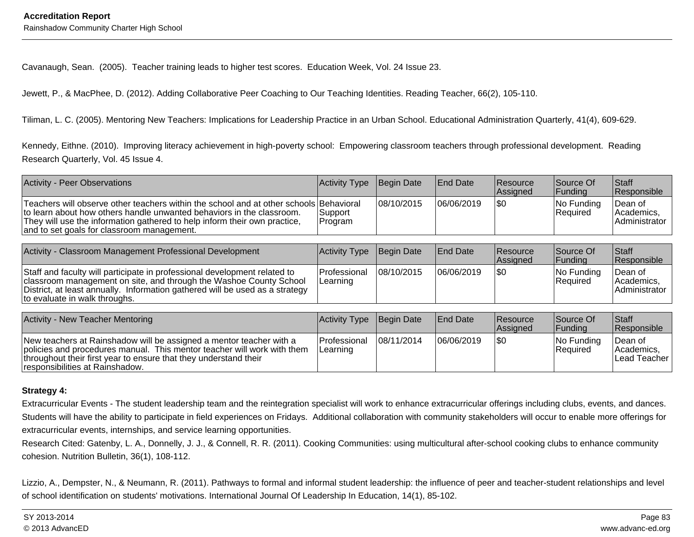Cavanaugh, Sean. (2005). Teacher training leads to higher test scores. Education Week, Vol. 24 Issue 23.

Jewett, P., & MacPhee, D. (2012). Adding Collaborative Peer Coaching to Our Teaching Identities. Reading Teacher, 66(2), 105-110.

Tiliman, L. C. (2005). Mentoring New Teachers: Implications for Leadership Practice in an Urban School. Educational Administration Quarterly, 41(4), 609-629.

Kennedy, Eithne. (2010). Improving literacy achievement in high-poverty school: Empowering classroom teachers through professional development. ReadingResearch Quarterly, Vol. 45 Issue 4.

| <b>Activity - Peer Observations</b>                                                                                                                                                                                                                                                        | Activity Type Begin Date |            | <b>End Date</b> | <b>Resource</b><br><b>Assianed</b> | Source Of<br><b>IFundina</b> | <b>Staff</b><br><b>Responsible</b>              |
|--------------------------------------------------------------------------------------------------------------------------------------------------------------------------------------------------------------------------------------------------------------------------------------------|--------------------------|------------|-----------------|------------------------------------|------------------------------|-------------------------------------------------|
| Teachers will observe other teachers within the school and at other schools Behavioral<br>to learn about how others handle unwanted behaviors in the classroom.<br>They will use the information gathered to help inform their own practice,<br>and to set goals for classroom management. | Support<br> Program      | 08/10/2015 | 06/06/2019      |                                    | $ No$ Funding<br>Required    | ∣Dean of<br>IAcademics.<br><b>Administrator</b> |

| Activity - Classroom Management Professional Development                                                                                                                                                                                                         | Activity Type Begin Date          |             | <b>End Date</b> | <b>Resource</b><br><b>Assigned</b> | Source Of<br> Fundina  | Staff<br>Responsible                          |
|------------------------------------------------------------------------------------------------------------------------------------------------------------------------------------------------------------------------------------------------------------------|-----------------------------------|-------------|-----------------|------------------------------------|------------------------|-----------------------------------------------|
| Staff and faculty will participate in professional development related to<br>classroom management on site, and through the Washoe County School<br>District, at least annually. Information gathered will be used as a strategy<br>to evaluate in walk throughs. | <b>IProfessional</b><br>ILearning | 108/10/2015 | 06/06/2019      | 1\$0                               | No Funding<br>Required | Dean of<br>Academics.<br><b>Administrator</b> |

| Activity - New Teacher Mentoring                                                                                                                                                                                                                      | Activity Type Begin Date   |            | <b>IEnd Date</b> | <b>Resource</b><br><b>Assigned</b> | <b>Source Of</b><br><b>Funding</b> | <b>Staff</b><br><b>Responsible</b>     |
|-------------------------------------------------------------------------------------------------------------------------------------------------------------------------------------------------------------------------------------------------------|----------------------------|------------|------------------|------------------------------------|------------------------------------|----------------------------------------|
| New teachers at Rainshadow will be assigned a mentor teacher with a<br>policies and procedures manual. This mentor teacher will work with them<br>throughout their first year to ensure that they understand their<br>responsibilities at Rainshadow. | l Professional<br>Learning | 08/11/2014 | 06/06/2019       | 1\$0                               | No Funding<br>Required             | ⊺Dean of<br>Academics.<br>Lead Teacher |

#### **Strategy 4:**

Extracurricular Events - The student leadership team and the reintegration specialist will work to enhance extracurricular offerings including clubs, events, and dances.Students will have the ability to participate in field experiences on Fridays. Additional collaboration with community stakeholders will occur to enable more offerings forextracurricular events, internships, and service learning opportunities.

Research Cited: Gatenby, L. A., Donnelly, J. J., & Connell, R. R. (2011). Cooking Communities: using multicultural after-school cooking clubs to enhance communitycohesion. Nutrition Bulletin, 36(1), 108-112.

Lizzio, A., Dempster, N., & Neumann, R. (2011). Pathways to formal and informal student leadership: the influence of peer and teacher-student relationships and levelof school identification on students' motivations. International Journal Of Leadership In Education, 14(1), 85-102.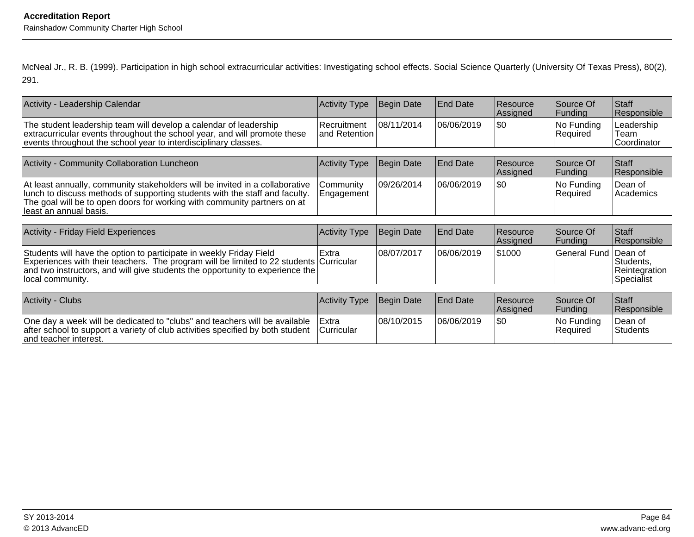McNeal Jr., R. B. (1999). Participation in high school extracurricular activities: Investigating school effects. Social Science Quarterly (University Of Texas Press), 80(2),291.

| Activity Type           | <b>Begin Date</b>                                                                                                                                                                                                                                                                                                                                                                                                                                                                                                       | <b>End Date</b>             | Resource<br>Assigned | Source Of<br>Funding   | Staff<br> Responsible                                      |
|-------------------------|-------------------------------------------------------------------------------------------------------------------------------------------------------------------------------------------------------------------------------------------------------------------------------------------------------------------------------------------------------------------------------------------------------------------------------------------------------------------------------------------------------------------------|-----------------------------|----------------------|------------------------|------------------------------------------------------------|
| l Recruitment           | 08/11/2014                                                                                                                                                                                                                                                                                                                                                                                                                                                                                                              | 06/06/2019                  | \$0                  | No Funding<br>Required | Leadership<br>Team<br>Coordinator                          |
|                         |                                                                                                                                                                                                                                                                                                                                                                                                                                                                                                                         |                             |                      |                        |                                                            |
|                         |                                                                                                                                                                                                                                                                                                                                                                                                                                                                                                                         |                             | Assigned             | Source Of<br> Funding  | Staff<br>Responsible                                       |
| Community<br>Engagement | 09/26/2014                                                                                                                                                                                                                                                                                                                                                                                                                                                                                                              | 06/06/2019                  | \$0                  | No Funding<br>Required | Dean of<br>Academics                                       |
|                         |                                                                                                                                                                                                                                                                                                                                                                                                                                                                                                                         |                             |                      |                        |                                                            |
| <b>Activity Type</b>    | Begin Date                                                                                                                                                                                                                                                                                                                                                                                                                                                                                                              | <b>End Date</b>             | Resource<br>Assigned | Source Of<br> Funding  | Staff<br>Responsible                                       |
| Extra                   | 08/07/2017                                                                                                                                                                                                                                                                                                                                                                                                                                                                                                              | 06/06/2019                  | 51000                | <b>General Fund</b>    | Dean of<br>Students,<br>Reintegration<br><b>Specialist</b> |
| <b>Activity Type</b>    | Begin Date                                                                                                                                                                                                                                                                                                                                                                                                                                                                                                              | <b>End Date</b>             | Resource             | Source Of              | Staff<br>l Resnonsible                                     |
|                         | extracurricular events throughout the school year, and will promote these<br><b>Activity Type</b><br>At least annually, community stakeholders will be invited in a collaborative<br>lunch to discuss methods of supporting students with the staff and faculty.<br>The goal will be to open doors for working with community partners on at<br>Experiences with their teachers. The program will be limited to 22 students Curricular<br>and two instructors, and will give students the opportunity to experience the | and Retention<br>Begin Date | <b>End Date</b>      | Resource<br>l Assianed | <b>Eundina</b>                                             |

| <b>IACtivity - Ciuds</b>                                                                                                                                                              | <b>IACtivity Type</b>         | <b>IBegin Date</b> | TENG Date  | <b>IResource</b><br><b>Assigned</b> | <b>ISOUrce OT</b><br><b>IFunding</b> | ∣Staπ<br><b>Responsible</b> |
|---------------------------------------------------------------------------------------------------------------------------------------------------------------------------------------|-------------------------------|--------------------|------------|-------------------------------------|--------------------------------------|-----------------------------|
| One day a week will be dedicated to "clubs" and teachers will be available<br>after school to support a variety of club activities specified by both student<br>and teacher interest. | l Extra<br><b>ICurricular</b> | 08/10/2015         | 06/06/2019 | 1\$0                                | INo Fundina<br>⊦Reauired             | ⊺Dean of<br>Students        |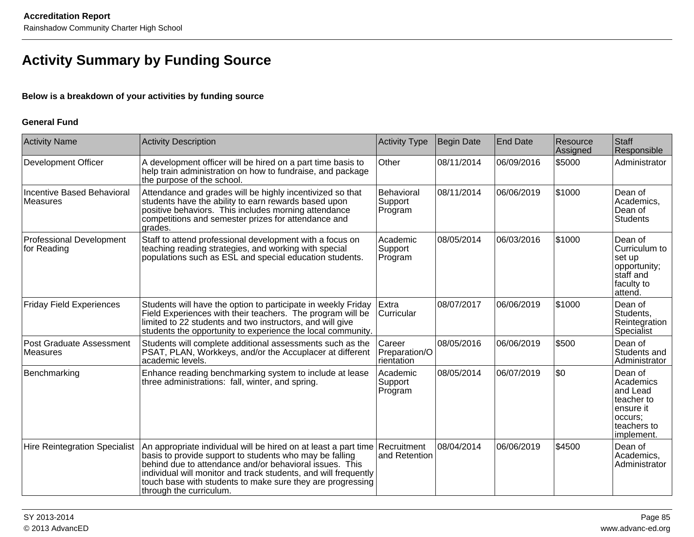# **Activity Summary by Funding Source**

#### **Below is a breakdown of your activities by funding source**

#### **General Fund**

| <b>Activity Name</b>                           | <b>Activity Description</b>                                                                                                                                                                                                                                                                                                                                   | Activity Type                                | Begin Date | <b>End Date</b> | Resource<br>Assigned | Staff<br>Responsible                                                                                |
|------------------------------------------------|---------------------------------------------------------------------------------------------------------------------------------------------------------------------------------------------------------------------------------------------------------------------------------------------------------------------------------------------------------------|----------------------------------------------|------------|-----------------|----------------------|-----------------------------------------------------------------------------------------------------|
| <b>Development Officer</b>                     | A development officer will be hired on a part time basis to<br>help train administration on how to fundraise, and package<br>the purpose of the school.                                                                                                                                                                                                       | <b>Other</b>                                 | 08/11/2014 | 06/09/2016      | \$5000               | Administrator                                                                                       |
| Incentive Based Behavioral<br><b>Measures</b>  | Attendance and grades will be highly incentivized so that<br>students have the ability to earn rewards based upon<br>positive behaviors. This includes morning attendance<br>competitions and semester prizes for attendance and<br>grades.                                                                                                                   | <b>Behavioral</b><br>Support<br>Program      | 08/11/2014 | 06/06/2019      | \$1000               | Dean of<br>Academics,<br>Dean of<br><b>Students</b>                                                 |
| <b>Professional Development</b><br>for Reading | Staff to attend professional development with a focus on<br>teaching reading strategies, and working with special<br>populations such as ESL and special education students.                                                                                                                                                                                  | Academic<br>Support<br>Program               | 08/05/2014 | 06/03/2016      | \$1000               | Dean of<br>Curriculum to<br>set up<br> opportunity;<br>staff and<br>faculty to<br>attend.           |
| <b>Friday Field Experiences</b>                | Students will have the option to participate in weekly Friday<br>Field Experiences with their teachers. The program will be<br>limited to 22 students and two instructors, and will give<br>students the opportunity to experience the local community.                                                                                                       | Extra<br>Curricular                          | 08/07/2017 | 06/06/2019      | \$1000               | Dean of<br>Students,<br>Reintegration<br>Specialist                                                 |
| Post Graduate Assessment<br>Measures           | Students will complete additional assessments such as the<br>PSAT, PLAN, Workkeys, and/or the Accuplacer at different<br>academic levels.                                                                                                                                                                                                                     | <b>Career</b><br>Preparation/O<br>rientation | 08/05/2016 | 06/06/2019      | \$500                | Dean of<br>Students and<br>Administrator                                                            |
| Benchmarking                                   | Enhance reading benchmarking system to include at lease<br>three administrations: fall, winter, and spring.                                                                                                                                                                                                                                                   | <b>Academic</b><br>Support<br>Program        | 08/05/2014 | 06/07/2019      | \$0                  | Dean of<br>Academics<br>and Lead<br>teacher to<br>ensure it<br>occurs:<br>teachers to<br>implement. |
| <b>Hire Reintegration Specialist</b>           | An appropriate individual will be hired on at least a part time Recruitment<br>basis to provide support to students who may be falling<br>behind due to attendance and/or behavioral issues. This<br>individual will monitor and track students, and will frequently<br>touch base with students to make sure they are progressing<br>through the curriculum. | and Retention                                | 08/04/2014 | 06/06/2019      | \$4500               | Dean of<br>Academics,<br>Administrator                                                              |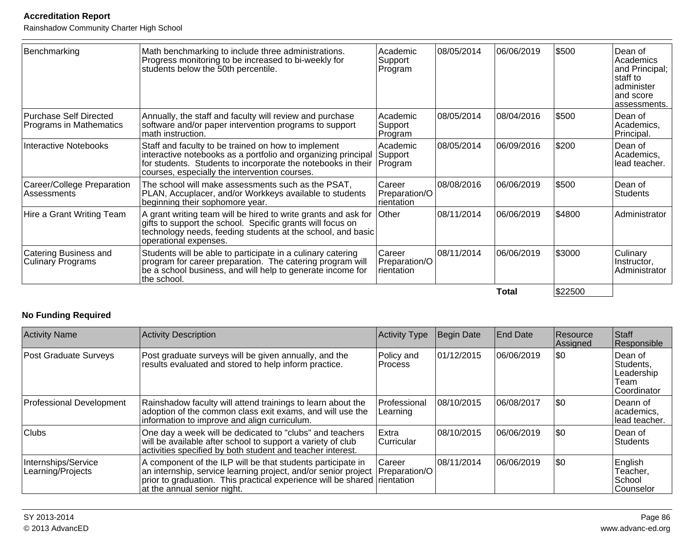Rainshadow Community Charter High School

| Benchmarking                                             | Math benchmarking to include three administrations.<br>Progress monitoring to be increased to bi-weekly for<br>students below the 50th percentile.                                                                                            | Academic<br>Support<br>Program        | 08/05/2014  | 06/06/2019 | 5500    | Dean of<br>Academics<br>and Principal;<br>staff to<br>administer<br>and score<br>assessments. |
|----------------------------------------------------------|-----------------------------------------------------------------------------------------------------------------------------------------------------------------------------------------------------------------------------------------------|---------------------------------------|-------------|------------|---------|-----------------------------------------------------------------------------------------------|
| <b>Purchase Self Directed</b><br>Programs in Mathematics | Annually, the staff and faculty will review and purchase<br>software and/or paper intervention programs to support<br>math instruction.                                                                                                       | Academic<br> Support_<br>Program      | 08/05/2014  | 08/04/2016 | \$500   | Dean of<br>Academics,<br>Principal.                                                           |
| Interactive Notebooks                                    | Staff and faculty to be trained on how to implement<br>interactive notebooks as a portfolio and organizing principal<br>for students. Students to incorporate the notebooks in their Program<br>courses, especially the intervention courses. | Academic<br>Support                   | 108/05/2014 | 06/09/2016 | \$200   | Dean of<br>Academics,<br>lead teacher.                                                        |
| Career/College Preparation<br>Assessments                | The school will make assessments such as the PSAT,<br>PLAN, Accuplacer, and/or Workkeys available to students<br>beginning their sophomore year.                                                                                              | Career<br>Preparation/O<br>rientation | 08/08/2016  | 06/06/2019 | \$500   | Dean of<br><b>Students</b>                                                                    |
| Hire a Grant Writing Team                                | A grant writing team will be hired to write grants and ask for<br>gifts to support the school. Specific grants will focus on<br>technology needs, feeding students at the school, and basic<br>operational expenses.                          | <b>Other</b>                          | 08/11/2014  | 06/06/2019 | \$4800  | Administrator                                                                                 |
| Catering Business and<br><b>Culinary Programs</b>        | Students will be able to participate in a culinary catering<br>program for career preparation. The catering program will<br>be a school business, and will help to generate income for<br>the school.                                         | Career<br>Preparation/O<br>rientation | 08/11/2014  | 06/06/2019 | \$3000  | Culinary<br>Instructor,<br>Administrator                                                      |
|                                                          |                                                                                                                                                                                                                                               |                                       |             | Total      | \$22500 |                                                                                               |

### **No Funding Required**

| <b>Activity Name</b>                     | Activity Description                                                                                                                                                                                                                     | <b>Activity Type</b>           | Begin Date  | <b>End Date</b> | Resource<br>Assigned | Staff<br>Responsible                                       |
|------------------------------------------|------------------------------------------------------------------------------------------------------------------------------------------------------------------------------------------------------------------------------------------|--------------------------------|-------------|-----------------|----------------------|------------------------------------------------------------|
| Post Graduate Surveys                    | Post graduate surveys will be given annually, and the<br>results evaluated and stored to help inform practice.                                                                                                                           | Policy and<br><b>Process</b>   | 01/12/2015  | 06/06/2019      | 1\$0                 | lDean of<br>Students,<br>Leadership<br>Team<br>Coordinator |
| Professional Development                 | Rainshadow faculty will attend trainings to learn about the<br>adoption of the common class exit exams, and will use the<br>information to improve and align curriculum.                                                                 | Professional<br>Learning       | 08/10/2015  | 106/08/2017     | 1\$0                 | lDeann of<br>lacademics.<br>llead teacher.                 |
| <b>Clubs</b>                             | One day a week will be dedicated to "clubs" and teachers<br>will be available after school to support a variety of club<br>activities specified by both student and teacher interest.                                                    | Extra<br>Curricular            | 08/10/2015  | 06/06/2019      | 1\$0                 | Dean of<br><b>Students</b>                                 |
| Internships/Service<br>Learning/Projects | A component of the ILP will be that students participate in<br>an internship, service learning project, and/or senior project<br>prior to graduation. This practical experience will be shared rientation<br>at the annual senior night. | <b>Career</b><br>Preparation/O | 108/11/2014 | 106/06/2019     | 50                   | English<br>Teacher,<br>School<br>lCounselor                |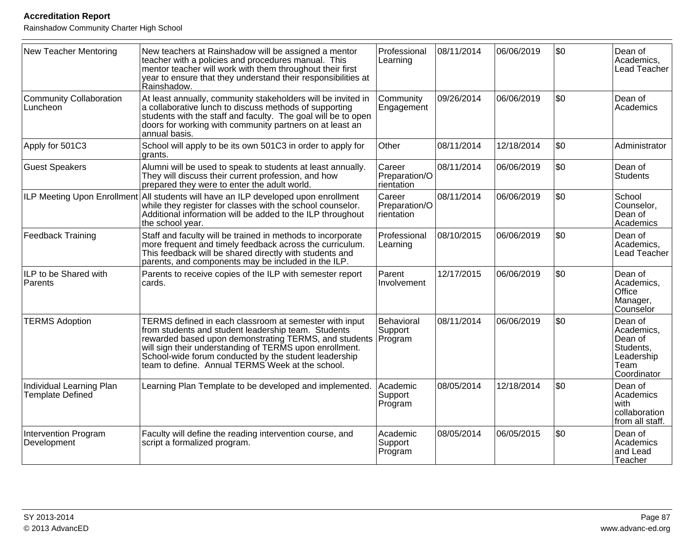| New Teacher Mentoring                               | New teachers at Rainshadow will be assigned a mentor<br>teacher with a policies and procedures manual. This<br>mentor teacher will work with them throughout their first<br>year to ensure that they understand their responsibilities at<br>Rainshadow.                                                                                       | Professional<br>Learning              | 08/11/2014 | 06/06/2019 | \$0  | Dean of<br>Academics,<br>Lead Teacher                                              |
|-----------------------------------------------------|------------------------------------------------------------------------------------------------------------------------------------------------------------------------------------------------------------------------------------------------------------------------------------------------------------------------------------------------|---------------------------------------|------------|------------|------|------------------------------------------------------------------------------------|
| Community Collaboration<br>Luncheon                 | At least annually, community stakeholders will be invited in<br>a collaborative lunch to discuss methods of supporting<br>students with the staff and faculty. The goal will be to open<br>doors for working with community partners on at least an<br>annual basis.                                                                           | Community<br>Engagement               | 09/26/2014 | 06/06/2019 | \$0  | Dean of<br>Academics                                                               |
| Apply for 501C3                                     | School will apply to be its own 501C3 in order to apply for<br>grants.                                                                                                                                                                                                                                                                         | Other                                 | 08/11/2014 | 12/18/2014 | \$0  | Administrator                                                                      |
| <b>Guest Speakers</b>                               | Alumni will be used to speak to students at least annually.<br>They will discuss their current profession, and how<br>prepared they were to enter the adult world.                                                                                                                                                                             | Career<br>Preparation/O<br>rientation | 08/11/2014 | 06/06/2019 | l\$0 | Dean of<br><b>Students</b>                                                         |
|                                                     | ILP Meeting Upon Enrollment All students will have an ILP developed upon enrollment<br>while they register for classes with the school counselor.<br>Additional information will be added to the ILP throughout<br>the school year.                                                                                                            | Career<br>Preparation/O<br>rientation | 08/11/2014 | 06/06/2019 | \$0  | School<br>Counselor,<br>Dean of<br>Academics                                       |
| Feedback Training                                   | Staff and faculty will be trained in methods to incorporate<br>more frequent and timely feedback across the curriculum.<br>This feedback will be shared directly with students and<br>parents, and components may be included in the ILP.                                                                                                      | Professional<br>Learning              | 08/10/2015 | 06/06/2019 | l\$0 | Dean of<br>Academics,<br>Lead Teacher                                              |
| ILP to be Shared with<br>Parents                    | Parents to receive copies of the ILP with semester report<br>cards.                                                                                                                                                                                                                                                                            | Parent<br>Involvement                 | 12/17/2015 | 06/06/2019 | \$0  | Dean of<br>Academics,<br><b>Office</b><br>Manager,<br>Counselor                    |
| <b>TERMS Adoption</b>                               | TERMS defined in each classroom at semester with input<br>from students and student leadership team. Students<br>rewarded based upon demonstrating TERMS, and students<br>will sign their understanding of TERMS upon enrollment.<br>School-wide forum conducted by the student leadership<br>team to define. Annual TERMS Week at the school. | Behavioral<br>Support<br>Program      | 08/11/2014 | 06/06/2019 | l\$0 | Dean of<br>Academics,<br>Dean of<br>Students,<br>Leadership<br>Team<br>Coordinator |
| Individual Learning Plan<br><b>Template Defined</b> | Learning Plan Template to be developed and implemented.                                                                                                                                                                                                                                                                                        | Academic<br>Support<br>Program        | 08/05/2014 | 12/18/2014 | \$0  | Dean of<br>Academics<br>l with<br>collaboration<br>from all staff.                 |
| Intervention Program<br>Development                 | Faculty will define the reading intervention course, and<br>script a formalized program.                                                                                                                                                                                                                                                       | Academic<br>Support<br>Program        | 08/05/2014 | 06/05/2015 | \$0  | Dean of<br>Academics<br>and Lead<br>Teacher                                        |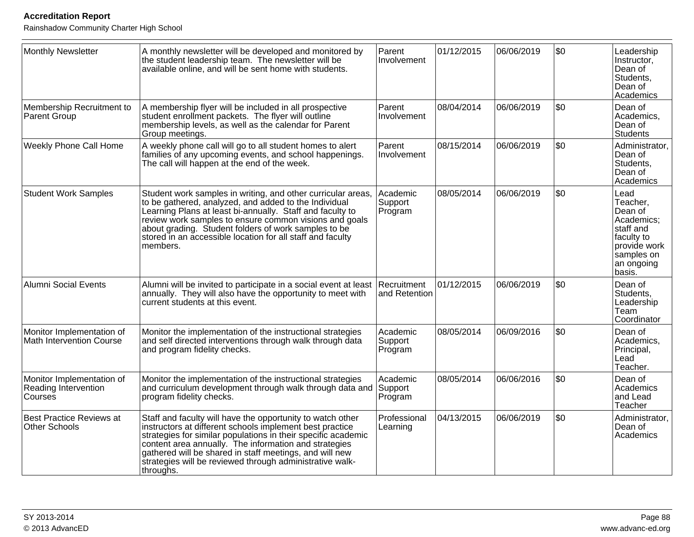| Monthly Newsletter                                           | A monthly newsletter will be developed and monitored by<br>the student leadership team. The newsletter will be<br>available online, and will be sent home with students.                                                                                                                                                                                                             | Parent<br>Involvement          | 01/12/2015 | 06/06/2019 | \$0 | Leadership<br>Instructor,<br>Dean of<br>Students,<br>Dean of<br>Academics                                                  |
|--------------------------------------------------------------|--------------------------------------------------------------------------------------------------------------------------------------------------------------------------------------------------------------------------------------------------------------------------------------------------------------------------------------------------------------------------------------|--------------------------------|------------|------------|-----|----------------------------------------------------------------------------------------------------------------------------|
| Membership Recruitment to<br><b>Parent Group</b>             | A membership flyer will be included in all prospective<br>student enrollment packets. The flyer will outline<br>membership levels, as well as the calendar for Parent<br>Group meetings.                                                                                                                                                                                             | Parent<br>Involvement          | 08/04/2014 | 06/06/2019 | \$0 | Dean of<br>Academics,<br>Dean of<br>Students                                                                               |
| <b>Weekly Phone Call Home</b>                                | A weekly phone call will go to all student homes to alert<br>families of any upcoming events, and school happenings.<br>The call will happen at the end of the week.                                                                                                                                                                                                                 | Parent<br>Involvement          | 08/15/2014 | 06/06/2019 | \$0 | Administrator,<br>Dean of<br>Students,<br>Dean of<br>Academics                                                             |
| <b>Student Work Samples</b>                                  | Student work samples in writing, and other curricular areas,<br>to be gathered, analyzed, and added to the Individual<br>Learning Plans at least bi-annually. Staff and faculty to<br>review work samples to ensure common visions and goals<br>about grading. Student folders of work samples to be<br>stored in an accessible location for all staff and faculty<br>members.       | Academic<br>Support<br>Program | 08/05/2014 | 06/06/2019 | \$0 | Lead<br>Teacher,<br>Dean of<br>Academics:<br>staff and<br>faculty to<br>provide work<br>samples on<br>an ongoing<br>basis. |
| Alumni Social Events                                         | Alumni will be invited to participate in a social event at least<br>annually. They will also have the opportunity to meet with<br>current students at this event.                                                                                                                                                                                                                    | Recruitment<br>and Retention   | 01/12/2015 | 06/06/2019 | \$0 | Dean of<br>Students,<br>Leadership<br> Team<br>Coordinator                                                                 |
| Monitor Implementation of<br><b>Math Intervention Course</b> | Monitor the implementation of the instructional strategies<br>and self directed interventions through walk through data<br>and program fidelity checks.                                                                                                                                                                                                                              | Academic<br>Support<br>Program | 08/05/2014 | 06/09/2016 | \$0 | Dean of<br>Academics,<br>Principal,<br>Lead<br>Teacher.                                                                    |
| Monitor Implementation of<br>Reading Intervention<br>Courses | Monitor the implementation of the instructional strategies<br>and curriculum development through walk through data and<br>program fidelity checks.                                                                                                                                                                                                                                   | Academic<br>Support<br>Program | 08/05/2014 | 06/06/2016 | \$0 | lDean of<br>Academics<br>and Lead<br>Teacher                                                                               |
| <b>Best Practice Reviews at</b><br>Other Schools             | Staff and faculty will have the opportunity to watch other<br>instructors at different schools implement best practice<br>strategies for similar populations in their specific academic<br>content area annually. The information and strategies<br>gathered will be shared in staff meetings, and will new<br>strategies will be reviewed through administrative walk-<br>throughs. | Professional<br>Learning       | 04/13/2015 | 06/06/2019 | \$0 | Administrator,<br>Dean of<br>Academics                                                                                     |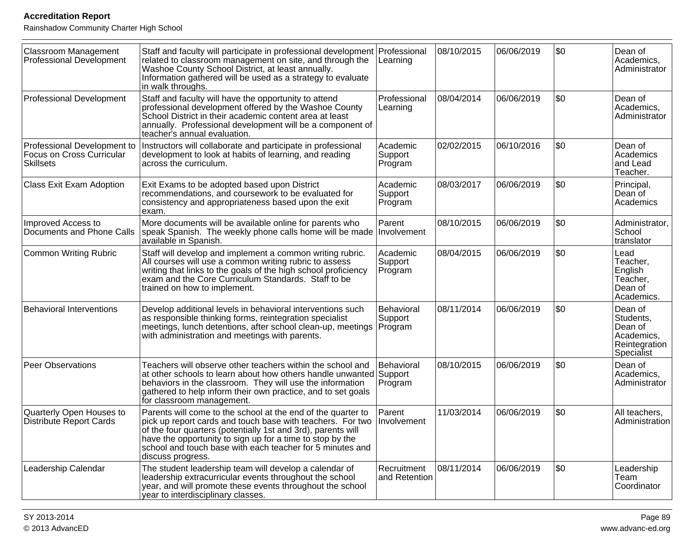| Classroom Management<br>Professional Development                             | Staff and faculty will participate in professional development Professional<br>related to classroom management on site, and through the<br>Washoe County School District, at least annually.<br>Information gathered will be used as a strategy to evaluate<br>in walk throughs.                                                          | Learning                         | 08/10/2015 | 06/06/2019 | l\$0 | Dean of<br>Academics,<br>Administrator                                       |
|------------------------------------------------------------------------------|-------------------------------------------------------------------------------------------------------------------------------------------------------------------------------------------------------------------------------------------------------------------------------------------------------------------------------------------|----------------------------------|------------|------------|------|------------------------------------------------------------------------------|
| <b>Professional Development</b>                                              | Staff and faculty will have the opportunity to attend<br>professional development offered by the Washoe County<br>School District in their academic content area at least<br>annually. Professional development will be a component of<br>teacher's annual evaluation.                                                                    | Professional<br>Learning         | 08/04/2014 | 06/06/2019 | \$0  | Dean of<br>Academics,<br>Administrator                                       |
| Professional Development to<br>Focus on Cross Curricular<br><b>Skillsets</b> | Instructors will collaborate and participate in professional<br>development to look at habits of learning, and reading<br>across the curriculum.                                                                                                                                                                                          | Academic<br>Support<br>Program   | 02/02/2015 | 06/10/2016 | \$0  | Dean of<br>Academics<br>and Lead<br>Teacher.                                 |
| Class Exit Exam Adoption                                                     | Exit Exams to be adopted based upon District<br>recommendations, and coursework to be evaluated for<br>consistency and appropriateness based upon the exit<br>exam.                                                                                                                                                                       | Academic<br>Support<br>Program   | 08/03/2017 | 06/06/2019 | \$0  | Principal,<br>Dean <sup>'</sup> of<br>Academics                              |
| Improved Access to<br>Documents and Phone Calls                              | More documents will be available online for parents who<br>speak Spanish. The weekly phone calls home will be made Involvement<br>available in Spanish.                                                                                                                                                                                   | Parent                           | 08/10/2015 | 06/06/2019 | \$0  | Administrator,<br>School<br>translator                                       |
| <b>Common Writing Rubric</b>                                                 | Staff will develop and implement a common writing rubric.<br>All courses will use a common writing rubric to assess<br>writing that links to the goals of the high school proficiency<br>exam and the Core Curriculum Standards. Staff to be<br>trained on how to implement.                                                              | Academic<br>Support<br>Program   | 08/04/2015 | 06/06/2019 | l\$0 | Lead<br>Teacher.<br>English<br>Teacher,<br>Dean of<br>Academics.             |
| <b>Behavioral Interventions</b>                                              | Develop additional levels in behavioral interventions such<br>as responsible thinking forms, reintegration specialist<br>meetings, lunch detentions, after school clean-up, meetings<br>with administration and meetings with parents.                                                                                                    | Behavioral<br>Support<br>Program | 08/11/2014 | 06/06/2019 | \$0  | Dean of<br>Students,<br>Dean of<br>Academics,<br>Reintegration<br>Specialist |
| Peer Observations                                                            | Teachers will observe other teachers within the school and<br>at other schools to learn about how others handle unwanted Support<br>behaviors in the classroom. They will use the information<br>gathered to help inform their own practice, and to set goals<br>for classroom management.                                                | Behavioral<br>Program            | 08/10/2015 | 06/06/2019 | \$0  | Dean of<br>Academics,<br>Administrator                                       |
| Quarterly Open Houses to<br><b>Distribute Report Cards</b>                   | Parents will come to the school at the end of the quarter to<br>pick up report cards and touch base with teachers. For two<br>of the four quarters (potentially 1st and 3rd), parents will<br>have the opportunity to sign up for a time to stop by the<br>school and touch base with each teacher for 5 minutes and<br>discuss progress. | Parent<br>Involvement            | 11/03/2014 | 06/06/2019 | \$0  | All teachers,<br>Administration                                              |
| Leadership Calendar                                                          | The student leadership team will develop a calendar of<br>leadership extracurricular events throughout the school<br>year, and will promote these events throughout the school<br>year to interdisciplinary classes.                                                                                                                      | Recruitment<br>and Retention     | 08/11/2014 | 06/06/2019 | \$0  | Leadership<br>Team<br><b>Coordinator</b>                                     |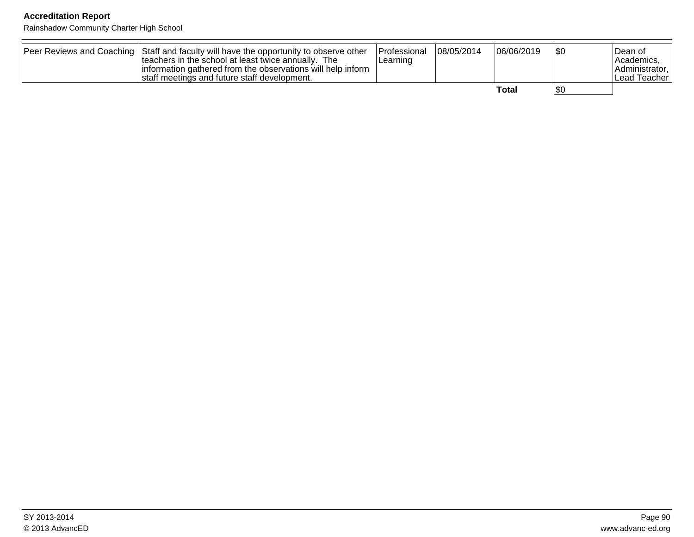| Peer Reviews and Coaching Staff and faculty will have the opportunity to observe other<br>teachers in the school at least twice annually. The<br>information gathered from the observations will help inform<br>staff meetings and future staff development. | <b>IProfessional</b><br>Learning | 08/05/2014 | 06/06/2019 | \$0 | Dean of<br> Academics.<br><b>Administrator</b><br>l Lead Teacher |
|--------------------------------------------------------------------------------------------------------------------------------------------------------------------------------------------------------------------------------------------------------------|----------------------------------|------------|------------|-----|------------------------------------------------------------------|
|                                                                                                                                                                                                                                                              |                                  |            | Total      | 'SO |                                                                  |